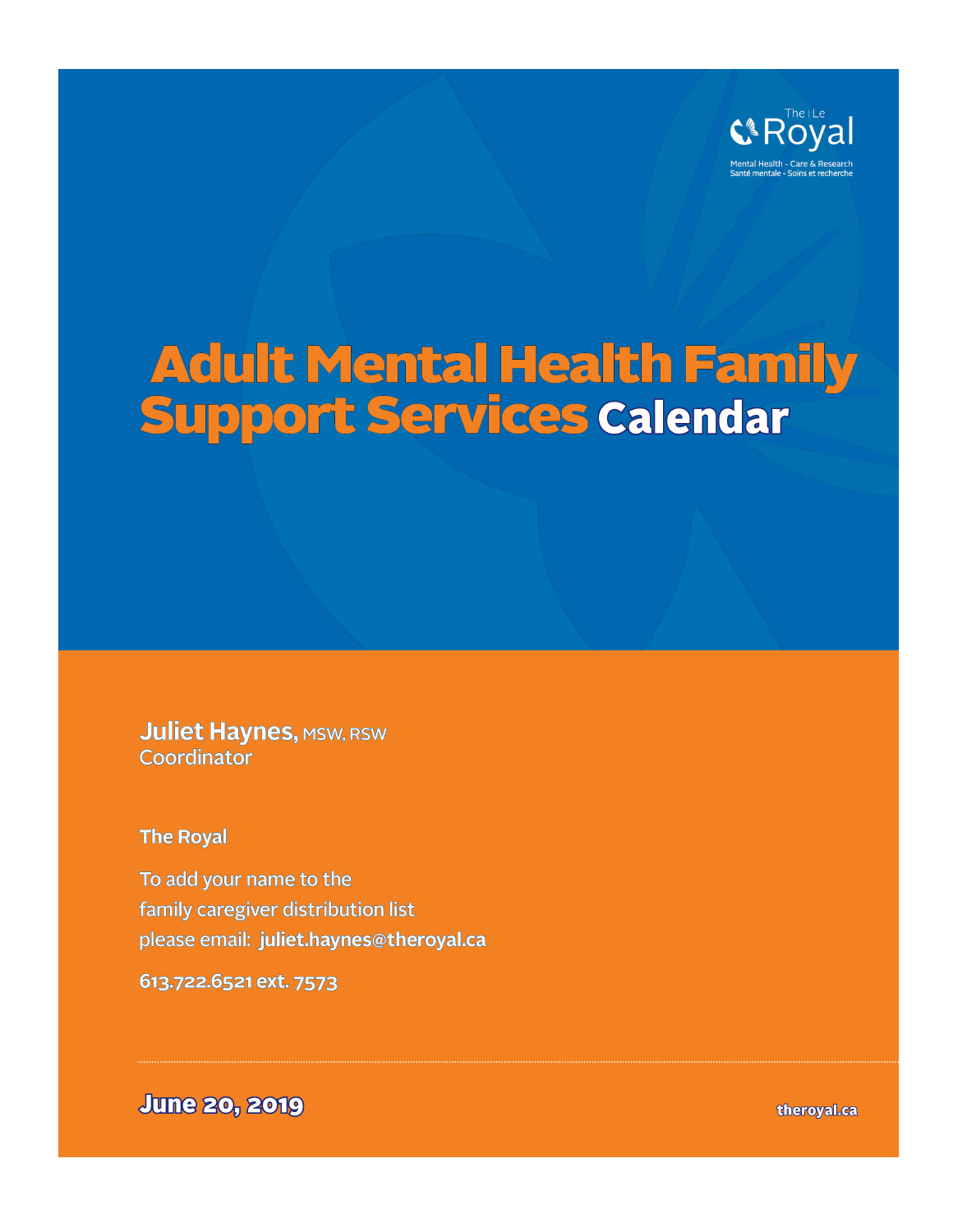

# **Adult Mental Health Family<br>Support Services Calendar**

**Juliet Haynes, MSW, RSW** Coordinator

**The Royal** 

To add your name to the family caregiver distribution list please email: juliet.haynes@theroyal.ca

613.722.6521 ext. 7573

**June 20, 2019** 

theroyal.ca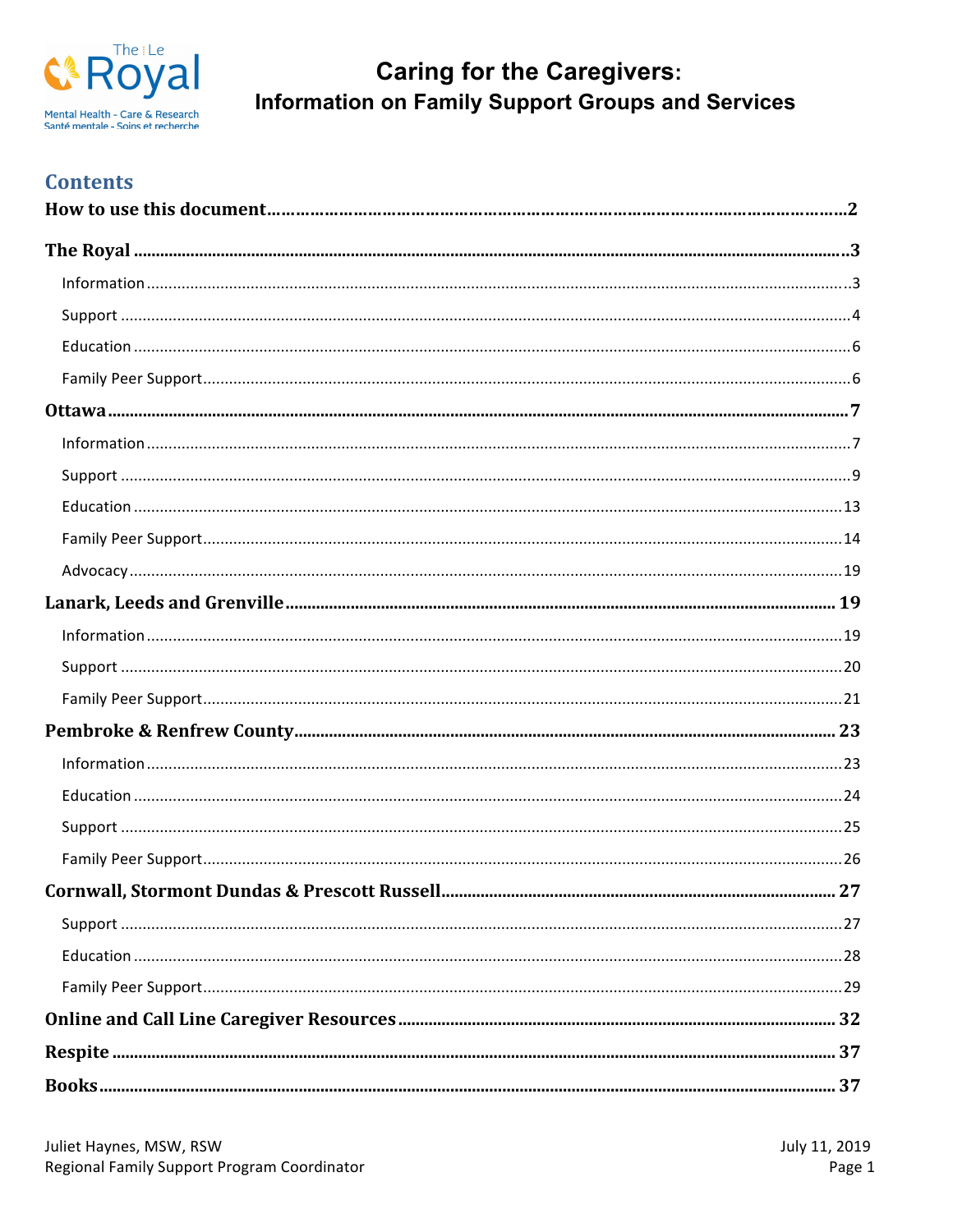

## **Contents**

| 27 |
|----|
|    |
|    |
|    |
|    |
|    |
|    |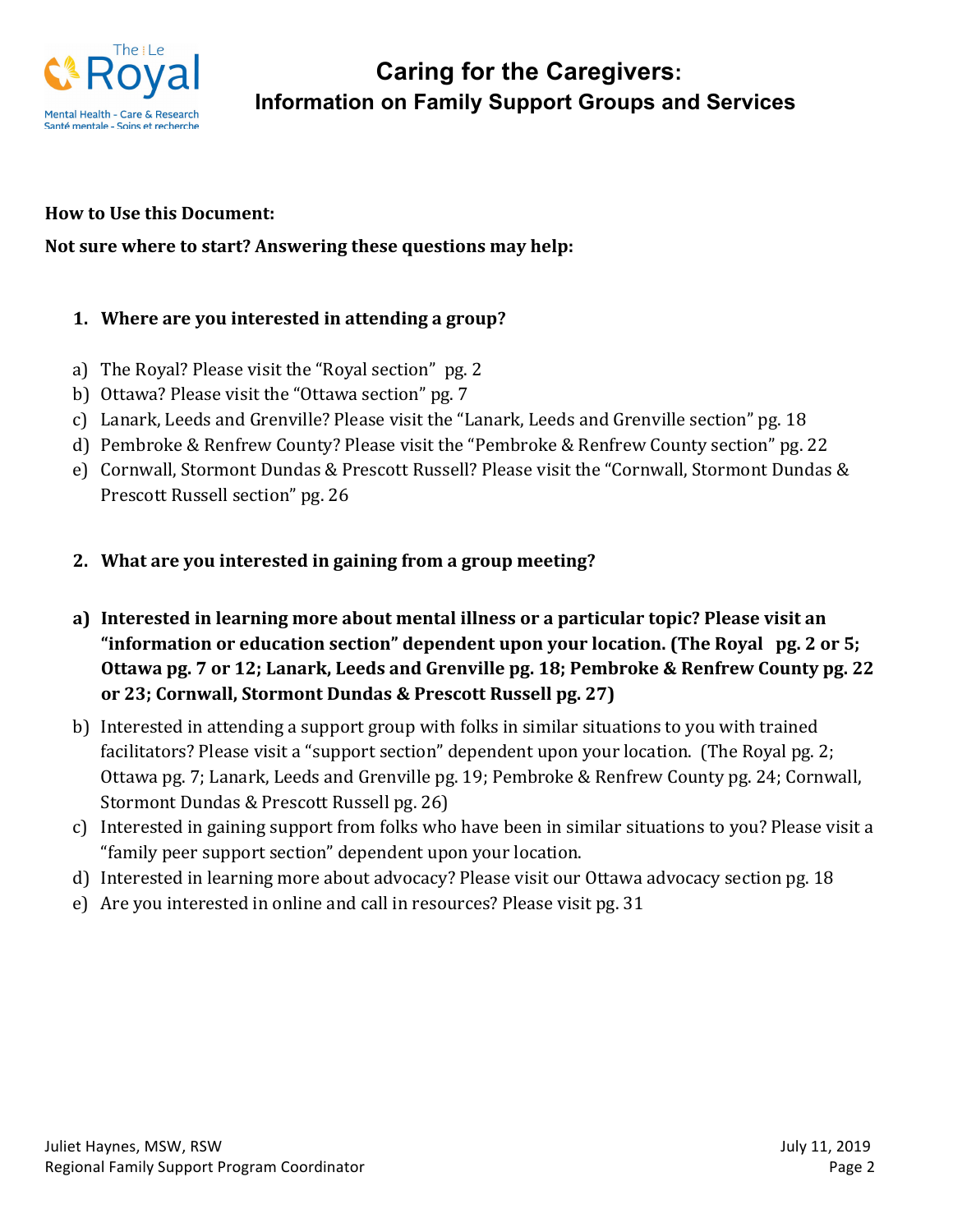

#### **How to Use this Document:**

#### **Not sure where to start? Answering these questions may help:**

#### **1.** Where are you interested in attending a group?

- a) The Royal? Please visit the "Royal section" pg. 2
- b) Ottawa? Please visit the "Ottawa section" pg. 7
- c) Lanark, Leeds and Grenville? Please visit the "Lanark, Leeds and Grenville section" pg. 18
- d) Pembroke & Renfrew County? Please visit the "Pembroke & Renfrew County section" pg. 22
- e) Cornwall, Stormont Dundas & Prescott Russell? Please visit the "Cornwall, Stormont Dundas & Prescott Russell section" pg. 26
- **2.** What are you interested in gaining from a group meeting?
- a) Interested in learning more about mental illness or a particular topic? Please visit an "information or education section" dependent upon your location. (The Royal pg. 2 or 5; Ottawa pg. 7 or 12; Lanark, Leeds and Grenville pg. 18; Pembroke & Renfrew County pg. 22 **or** 23; Cornwall, Stormont Dundas & Prescott Russell pg. 27)
- b) Interested in attending a support group with folks in similar situations to you with trained facilitators? Please visit a "support section" dependent upon your location. (The Royal pg. 2; Ottawa pg. 7; Lanark, Leeds and Grenville pg. 19; Pembroke & Renfrew County pg. 24; Cornwall, Stormont Dundas & Prescott Russell pg. 26)
- c) Interested in gaining support from folks who have been in similar situations to you? Please visit a "family peer support section" dependent upon your location.
- d) Interested in learning more about advocacy? Please visit our Ottawa advocacy section pg. 18
- e) Are you interested in online and call in resources? Please visit pg. 31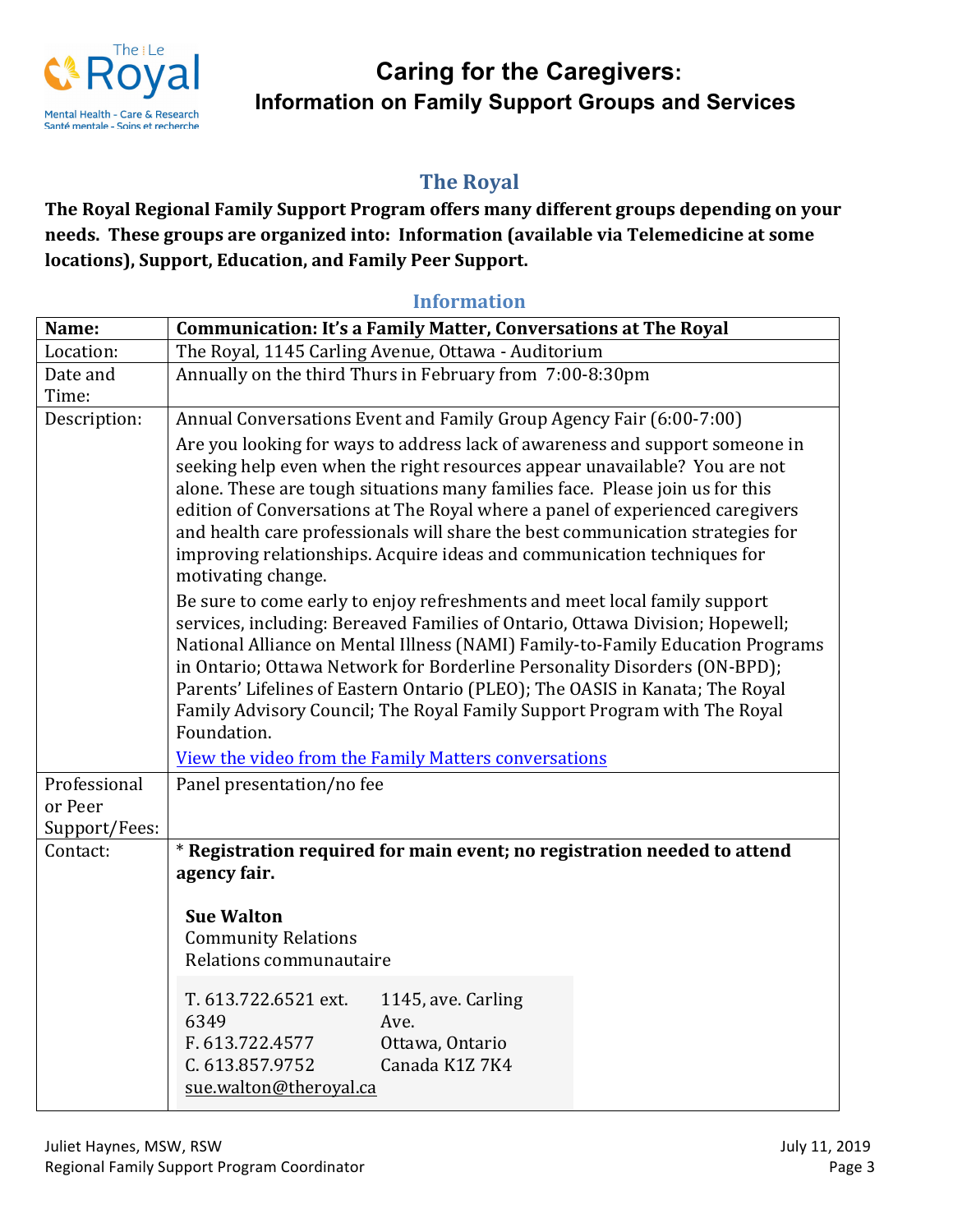

## **The Royal**

The Royal Regional Family Support Program offers many different groups depending on your needs. These groups are organized into: Information (available via Telemedicine at some **locations), Support, Education, and Family Peer Support.** 

## **Information**

| Name:         | <b>Communication: It's a Family Matter, Conversations at The Royal</b>                                                                                          |
|---------------|-----------------------------------------------------------------------------------------------------------------------------------------------------------------|
| Location:     | The Royal, 1145 Carling Avenue, Ottawa - Auditorium                                                                                                             |
| Date and      | Annually on the third Thurs in February from 7:00-8:30pm                                                                                                        |
| Time:         |                                                                                                                                                                 |
| Description:  | Annual Conversations Event and Family Group Agency Fair (6:00-7:00)                                                                                             |
|               | Are you looking for ways to address lack of awareness and support someone in                                                                                    |
|               | seeking help even when the right resources appear unavailable? You are not                                                                                      |
|               | alone. These are tough situations many families face. Please join us for this                                                                                   |
|               | edition of Conversations at The Royal where a panel of experienced caregivers<br>and health care professionals will share the best communication strategies for |
|               | improving relationships. Acquire ideas and communication techniques for                                                                                         |
|               | motivating change.                                                                                                                                              |
|               | Be sure to come early to enjoy refreshments and meet local family support                                                                                       |
|               | services, including: Bereaved Families of Ontario, Ottawa Division; Hopewell;                                                                                   |
|               | National Alliance on Mental Illness (NAMI) Family-to-Family Education Programs                                                                                  |
|               | in Ontario; Ottawa Network for Borderline Personality Disorders (ON-BPD);                                                                                       |
|               | Parents' Lifelines of Eastern Ontario (PLEO); The OASIS in Kanata; The Royal                                                                                    |
|               | Family Advisory Council; The Royal Family Support Program with The Royal<br>Foundation.                                                                         |
|               | View the video from the Family Matters conversations                                                                                                            |
| Professional  | Panel presentation/no fee                                                                                                                                       |
| or Peer       |                                                                                                                                                                 |
| Support/Fees: |                                                                                                                                                                 |
| Contact:      | * Registration required for main event; no registration needed to attend<br>agency fair.                                                                        |
|               |                                                                                                                                                                 |
|               | <b>Sue Walton</b>                                                                                                                                               |
|               | <b>Community Relations</b><br>Relations communautaire                                                                                                           |
|               |                                                                                                                                                                 |
|               | T. 613.722.6521 ext.<br>1145, ave. Carling                                                                                                                      |
|               | 6349<br>Ave.                                                                                                                                                    |
|               | F. 613.722.4577<br>Ottawa, Ontario                                                                                                                              |
|               | Canada K1Z 7K4<br>C. 613.857.9752<br>sue.walton@theroyal.ca                                                                                                     |
|               |                                                                                                                                                                 |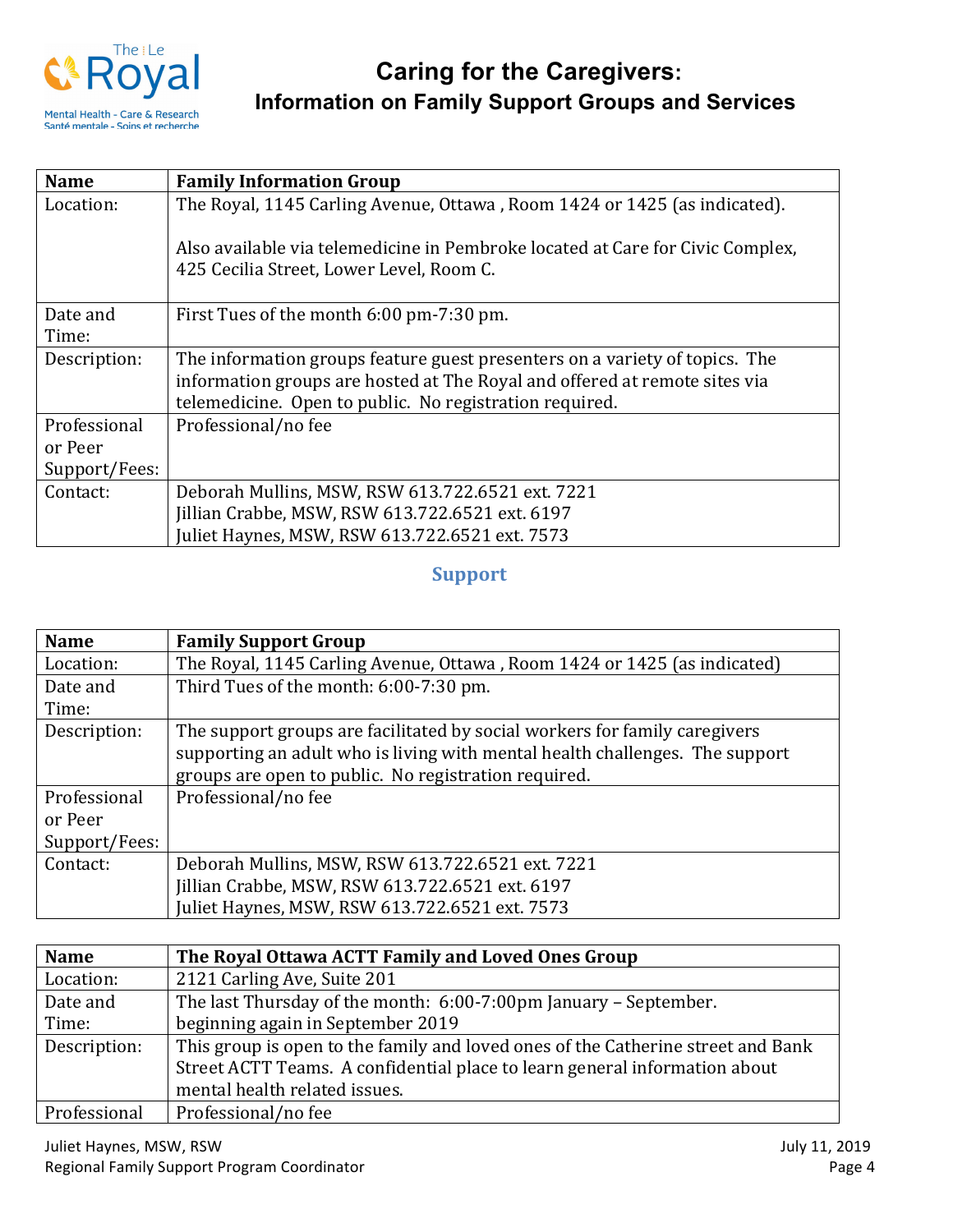

| <b>Name</b>   | <b>Family Information Group</b>                                                                                            |
|---------------|----------------------------------------------------------------------------------------------------------------------------|
| Location:     | The Royal, 1145 Carling Avenue, Ottawa, Room 1424 or 1425 (as indicated).                                                  |
|               | Also available via telemedicine in Pembroke located at Care for Civic Complex,<br>425 Cecilia Street, Lower Level, Room C. |
| Date and      | First Tues of the month 6:00 pm-7:30 pm.                                                                                   |
| Time:         |                                                                                                                            |
| Description:  | The information groups feature guest presenters on a variety of topics. The                                                |
|               | information groups are hosted at The Royal and offered at remote sites via                                                 |
|               | telemedicine. Open to public. No registration required.                                                                    |
| Professional  | Professional/no fee                                                                                                        |
| or Peer       |                                                                                                                            |
| Support/Fees: |                                                                                                                            |
| Contact:      | Deborah Mullins, MSW, RSW 613.722.6521 ext. 7221                                                                           |
|               | Jillian Crabbe, MSW, RSW 613.722.6521 ext. 6197                                                                            |
|               | Juliet Haynes, MSW, RSW 613.722.6521 ext. 7573                                                                             |

### **Support**

| <b>Name</b>   | <b>Family Support Group</b>                                                  |
|---------------|------------------------------------------------------------------------------|
| Location:     | The Royal, 1145 Carling Avenue, Ottawa, Room 1424 or 1425 (as indicated)     |
| Date and      | Third Tues of the month: 6:00-7:30 pm.                                       |
| Time:         |                                                                              |
| Description:  | The support groups are facilitated by social workers for family caregivers   |
|               | supporting an adult who is living with mental health challenges. The support |
|               | groups are open to public. No registration required.                         |
| Professional  | Professional/no fee                                                          |
| or Peer       |                                                                              |
| Support/Fees: |                                                                              |
| Contact:      | Deborah Mullins, MSW, RSW 613.722.6521 ext. 7221                             |
|               | Jillian Crabbe, MSW, RSW 613.722.6521 ext. 6197                              |
|               | Juliet Haynes, MSW, RSW 613.722.6521 ext. 7573                               |

| <b>Name</b>  | The Royal Ottawa ACTT Family and Loved Ones Group                                |
|--------------|----------------------------------------------------------------------------------|
| Location:    | 2121 Carling Ave, Suite 201                                                      |
| Date and     | The last Thursday of the month: 6:00-7:00pm January - September.                 |
| Time:        | beginning again in September 2019                                                |
| Description: | This group is open to the family and loved ones of the Catherine street and Bank |
|              | Street ACTT Teams. A confidential place to learn general information about       |
|              | mental health related issues.                                                    |
| Professional | Professional/no fee                                                              |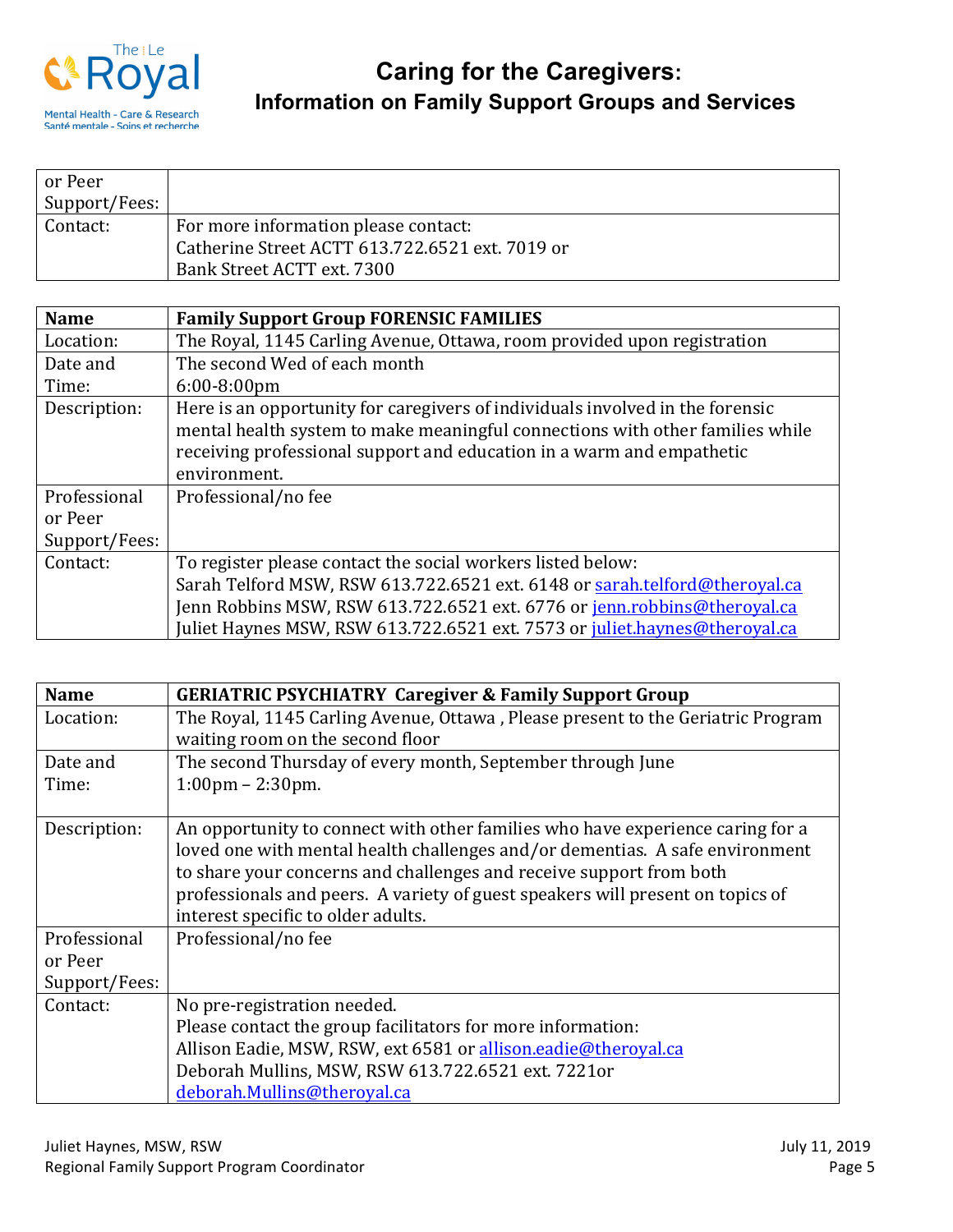

| or Peer       |                                                 |
|---------------|-------------------------------------------------|
| Support/Fees: |                                                 |
| Contact:      | For more information please contact:            |
|               | Catherine Street ACTT 613.722.6521 ext. 7019 or |
|               | Bank Street ACTT ext. 7300                      |

| <b>Name</b>   | <b>Family Support Group FORENSIC FAMILIES</b>                                                                                                                                                                                           |
|---------------|-----------------------------------------------------------------------------------------------------------------------------------------------------------------------------------------------------------------------------------------|
| Location:     | The Royal, 1145 Carling Avenue, Ottawa, room provided upon registration                                                                                                                                                                 |
| Date and      | The second Wed of each month                                                                                                                                                                                                            |
| Time:         | $6:00-8:00$ pm                                                                                                                                                                                                                          |
| Description:  | Here is an opportunity for caregivers of individuals involved in the forensic<br>mental health system to make meaningful connections with other families while<br>receiving professional support and education in a warm and empathetic |
|               | environment.                                                                                                                                                                                                                            |
| Professional  | Professional/no fee                                                                                                                                                                                                                     |
| or Peer       |                                                                                                                                                                                                                                         |
| Support/Fees: |                                                                                                                                                                                                                                         |
| Contact:      | To register please contact the social workers listed below:                                                                                                                                                                             |
|               | Sarah Telford MSW, RSW 613.722.6521 ext. 6148 or sarah.telford@theroyal.ca                                                                                                                                                              |
|               | Jenn Robbins MSW, RSW 613.722.6521 ext. 6776 or jenn.robbins@theroyal.ca                                                                                                                                                                |
|               | Juliet Haynes MSW, RSW 613.722.6521 ext. 7573 or juliet.haynes@theroyal.ca                                                                                                                                                              |

| <b>Name</b>   | <b>GERIATRIC PSYCHIATRY Caregiver &amp; Family Support Group</b>                                                                                                                                                                                                                                                                                              |
|---------------|---------------------------------------------------------------------------------------------------------------------------------------------------------------------------------------------------------------------------------------------------------------------------------------------------------------------------------------------------------------|
| Location:     | The Royal, 1145 Carling Avenue, Ottawa, Please present to the Geriatric Program<br>waiting room on the second floor                                                                                                                                                                                                                                           |
| Date and      | The second Thursday of every month, September through June                                                                                                                                                                                                                                                                                                    |
| Time:         | $1:00 \text{pm} - 2:30 \text{pm}.$                                                                                                                                                                                                                                                                                                                            |
| Description:  | An opportunity to connect with other families who have experience caring for a<br>loved one with mental health challenges and/or dementias. A safe environment<br>to share your concerns and challenges and receive support from both<br>professionals and peers. A variety of guest speakers will present on topics of<br>interest specific to older adults. |
| Professional  | Professional/no fee                                                                                                                                                                                                                                                                                                                                           |
| or Peer       |                                                                                                                                                                                                                                                                                                                                                               |
| Support/Fees: |                                                                                                                                                                                                                                                                                                                                                               |
| Contact:      | No pre-registration needed.                                                                                                                                                                                                                                                                                                                                   |
|               | Please contact the group facilitators for more information:                                                                                                                                                                                                                                                                                                   |
|               | Allison Eadie, MSW, RSW, ext 6581 or allison.eadie@theroyal.ca                                                                                                                                                                                                                                                                                                |
|               | Deborah Mullins, MSW, RSW 613.722.6521 ext. 7221or                                                                                                                                                                                                                                                                                                            |
|               | deborah.Mullins@theroyal.ca                                                                                                                                                                                                                                                                                                                                   |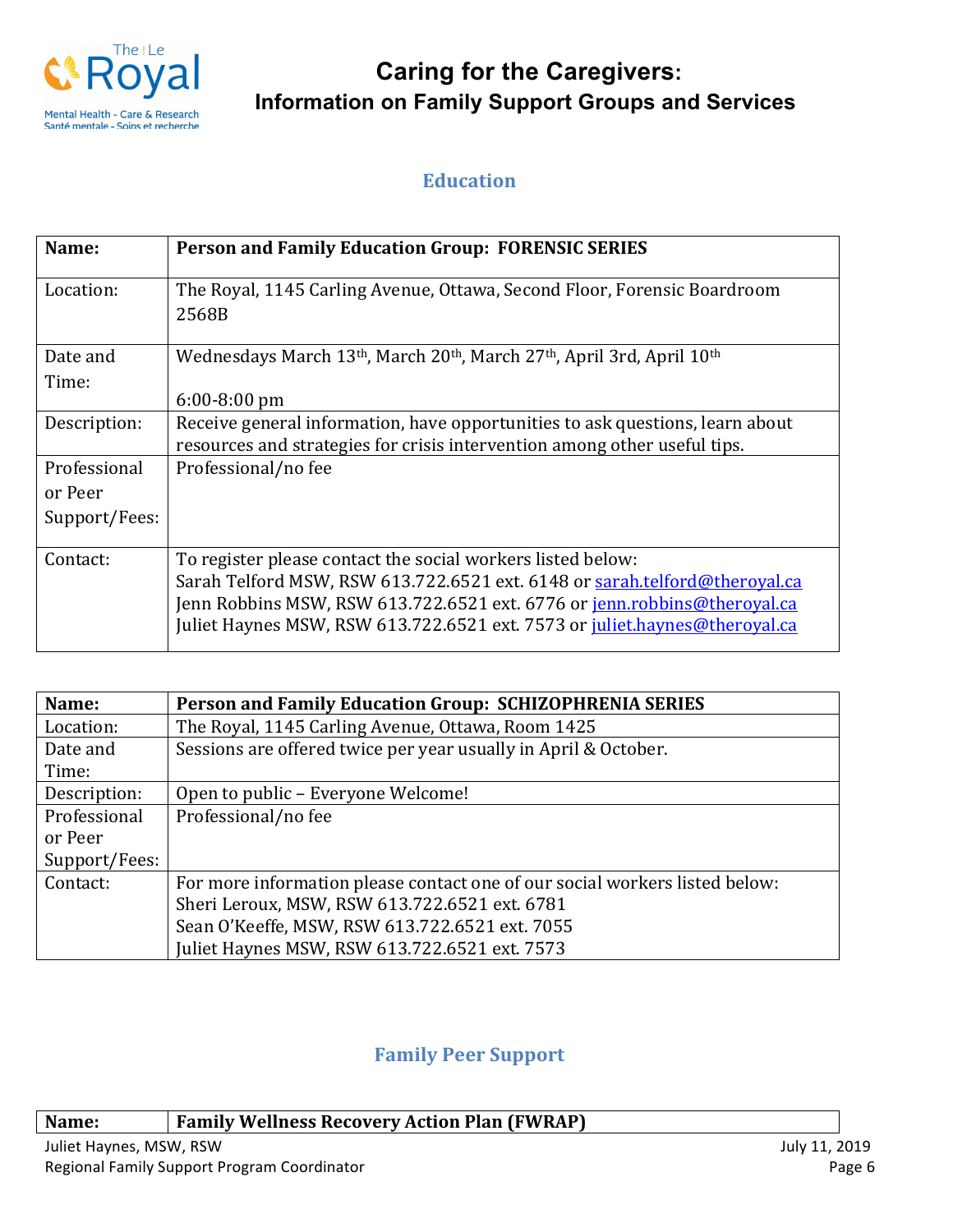

## **Education**

| Name:         | <b>Person and Family Education Group: FORENSIC SERIES</b>                                                               |
|---------------|-------------------------------------------------------------------------------------------------------------------------|
| Location:     | The Royal, 1145 Carling Avenue, Ottawa, Second Floor, Forensic Boardroom<br>2568B                                       |
|               |                                                                                                                         |
| Date and      | Wednesdays March 13 <sup>th</sup> , March 20 <sup>th</sup> , March 27 <sup>th</sup> , April 3rd, April 10 <sup>th</sup> |
| Time:         |                                                                                                                         |
|               | $6:00-8:00$ pm                                                                                                          |
| Description:  | Receive general information, have opportunities to ask questions, learn about                                           |
|               | resources and strategies for crisis intervention among other useful tips.                                               |
| Professional  | Professional/no fee                                                                                                     |
| or Peer       |                                                                                                                         |
| Support/Fees: |                                                                                                                         |
| Contact:      | To register please contact the social workers listed below:                                                             |
|               | Sarah Telford MSW, RSW 613.722.6521 ext. 6148 or sarah.telford@theroyal.ca                                              |
|               | Jenn Robbins MSW, RSW 613.722.6521 ext. 6776 or jenn.robbins@theroyal.ca                                                |
|               | Juliet Haynes MSW, RSW 613.722.6521 ext. 7573 or juliet.haynes@theroyal.ca                                              |

| Name:         | <b>Person and Family Education Group: SCHIZOPHRENIA SERIES</b>              |
|---------------|-----------------------------------------------------------------------------|
| Location:     | The Royal, 1145 Carling Avenue, Ottawa, Room 1425                           |
| Date and      | Sessions are offered twice per year usually in April & October.             |
| Time:         |                                                                             |
| Description:  | Open to public – Everyone Welcome!                                          |
| Professional  | Professional/no fee                                                         |
| or Peer       |                                                                             |
| Support/Fees: |                                                                             |
| Contact:      | For more information please contact one of our social workers listed below: |
|               | Sheri Leroux, MSW, RSW 613.722.6521 ext. 6781                               |
|               | Sean O'Keeffe, MSW, RSW 613.722.6521 ext. 7055                              |
|               | Juliet Haynes MSW, RSW 613.722.6521 ext. 7573                               |

## **Family Peer Support**

## **Name: Family Wellness Recovery Action Plan (FWRAP)**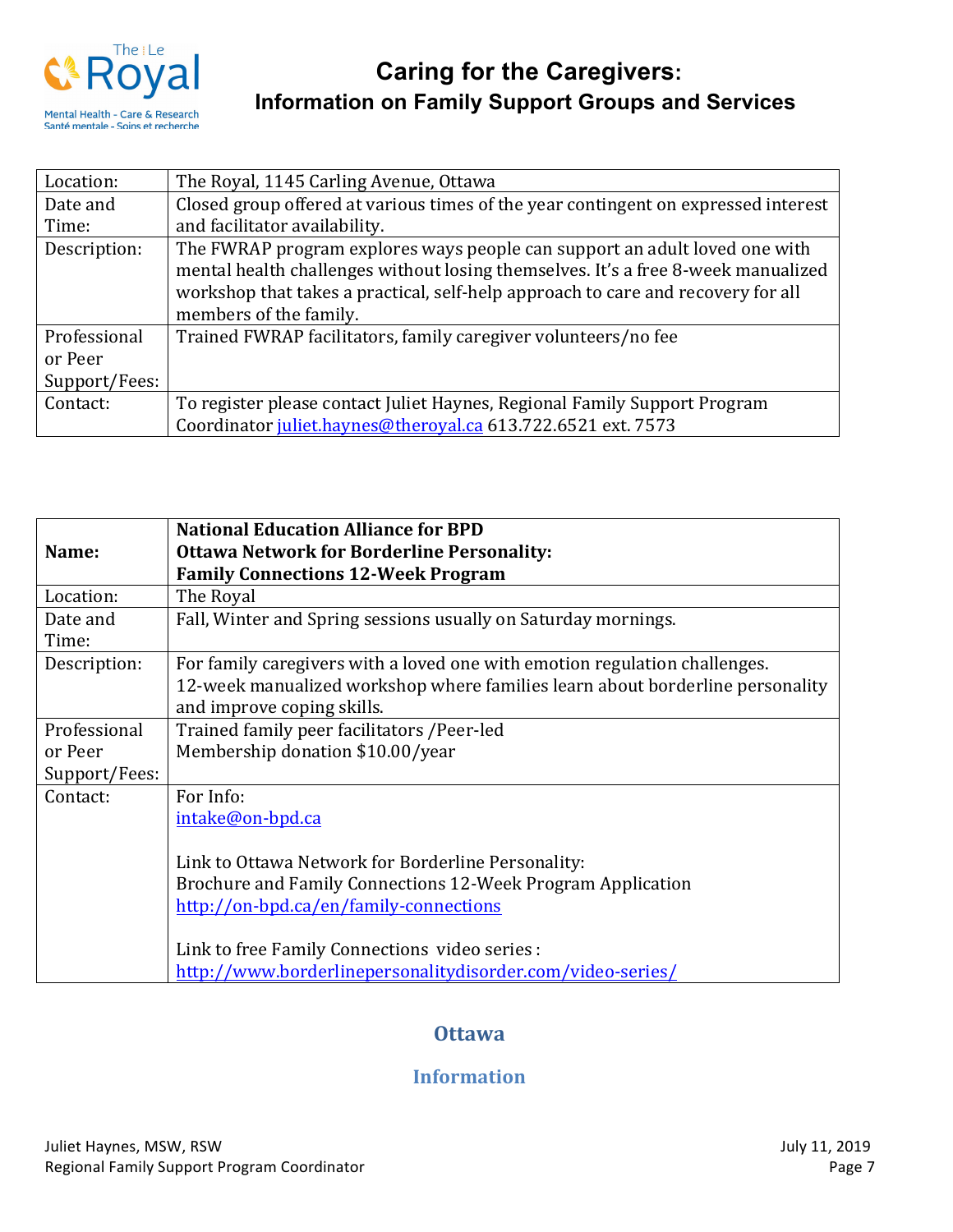

| Location:     | The Royal, 1145 Carling Avenue, Ottawa                                             |
|---------------|------------------------------------------------------------------------------------|
| Date and      | Closed group offered at various times of the year contingent on expressed interest |
| Time:         | and facilitator availability.                                                      |
| Description:  | The FWRAP program explores ways people can support an adult loved one with         |
|               | mental health challenges without losing themselves. It's a free 8-week manualized  |
|               | workshop that takes a practical, self-help approach to care and recovery for all   |
|               | members of the family.                                                             |
| Professional  | Trained FWRAP facilitators, family caregiver volunteers/no fee                     |
| or Peer       |                                                                                    |
| Support/Fees: |                                                                                    |
| Contact:      | To register please contact Juliet Haynes, Regional Family Support Program          |
|               | Coordinator juliet.haynes@theroyal.ca 613.722.6521 ext. 7573                       |

| Name:             | <b>National Education Alliance for BPD</b><br><b>Ottawa Network for Borderline Personality:</b><br><b>Family Connections 12-Week Program</b>                                              |
|-------------------|-------------------------------------------------------------------------------------------------------------------------------------------------------------------------------------------|
| Location:         | The Royal                                                                                                                                                                                 |
| Date and<br>Time: | Fall, Winter and Spring sessions usually on Saturday mornings.                                                                                                                            |
| Description:      | For family caregivers with a loved one with emotion regulation challenges.<br>12-week manualized workshop where families learn about borderline personality<br>and improve coping skills. |
| Professional      | Trained family peer facilitators / Peer-led                                                                                                                                               |
| or Peer           | Membership donation \$10.00/year                                                                                                                                                          |
| Support/Fees:     |                                                                                                                                                                                           |
| Contact:          | For Info:<br>intake@on-bpd.ca                                                                                                                                                             |
|                   | Link to Ottawa Network for Borderline Personality:                                                                                                                                        |
|                   | Brochure and Family Connections 12-Week Program Application                                                                                                                               |
|                   | http://on-bpd.ca/en/family-connections                                                                                                                                                    |
|                   | Link to free Family Connections video series :                                                                                                                                            |
|                   | http://www.borderlinepersonalitydisorder.com/video-series/                                                                                                                                |

## **Ottawa**

## **Information**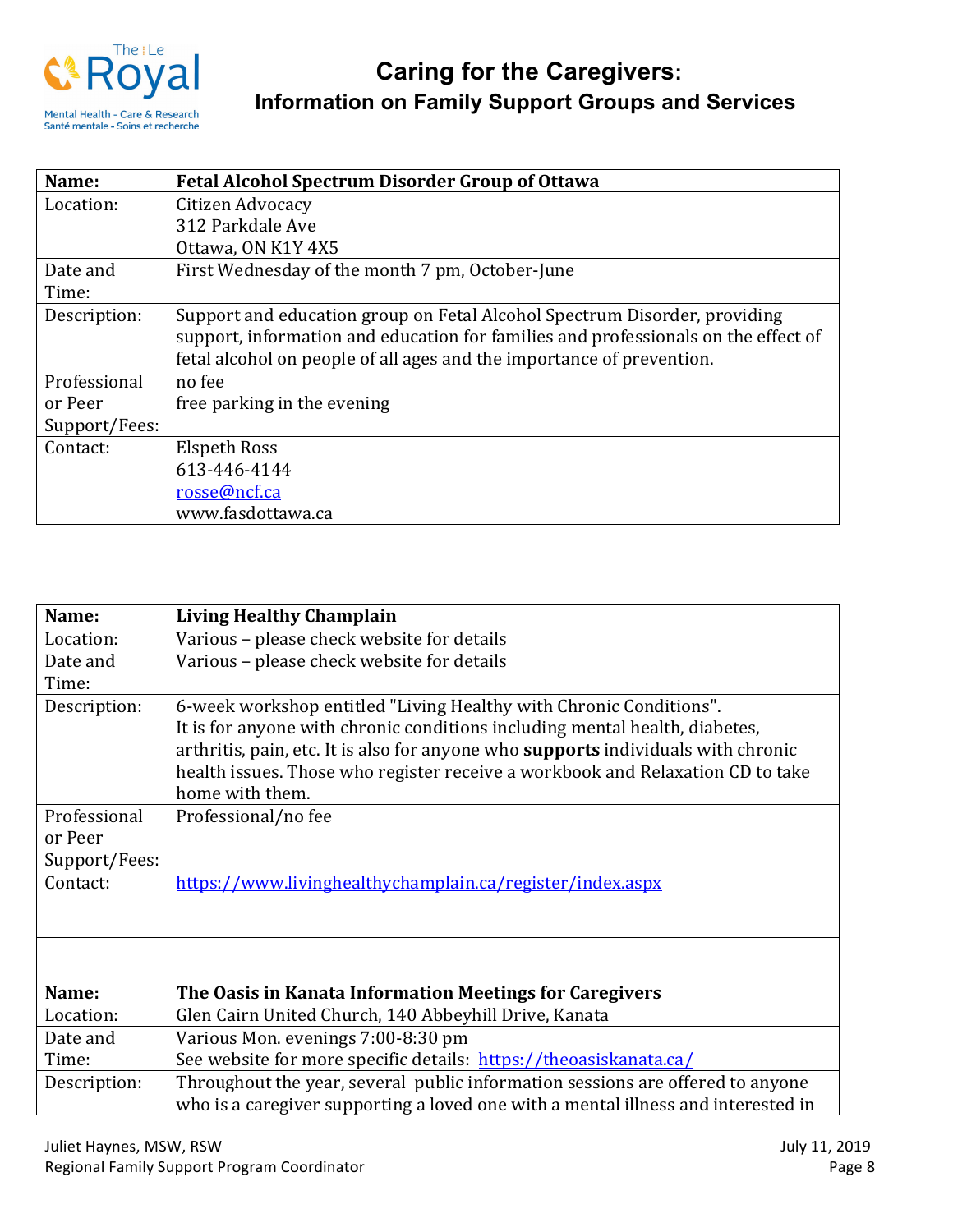

| Name:         | <b>Fetal Alcohol Spectrum Disorder Group of Ottawa</b>                             |
|---------------|------------------------------------------------------------------------------------|
| Location:     | Citizen Advocacy                                                                   |
|               | 312 Parkdale Ave                                                                   |
|               | Ottawa, ON K1Y 4X5                                                                 |
| Date and      | First Wednesday of the month 7 pm, October-June                                    |
| Time:         |                                                                                    |
| Description:  | Support and education group on Fetal Alcohol Spectrum Disorder, providing          |
|               | support, information and education for families and professionals on the effect of |
|               | fetal alcohol on people of all ages and the importance of prevention.              |
| Professional  | no fee                                                                             |
| or Peer       | free parking in the evening                                                        |
| Support/Fees: |                                                                                    |
| Contact:      | <b>Elspeth Ross</b>                                                                |
|               | 613-446-4144                                                                       |
|               | rosse@ncf.ca                                                                       |
|               | www.fasdottawa.ca                                                                  |

| Name:         | <b>Living Healthy Champlain</b>                                                   |
|---------------|-----------------------------------------------------------------------------------|
| Location:     | Various - please check website for details                                        |
| Date and      | Various - please check website for details                                        |
| Time:         |                                                                                   |
| Description:  | 6-week workshop entitled "Living Healthy with Chronic Conditions".                |
|               | It is for anyone with chronic conditions including mental health, diabetes,       |
|               | arthritis, pain, etc. It is also for anyone who supports individuals with chronic |
|               | health issues. Those who register receive a workbook and Relaxation CD to take    |
|               | home with them.                                                                   |
| Professional  | Professional/no fee                                                               |
| or Peer       |                                                                                   |
| Support/Fees: |                                                                                   |
| Contact:      | https://www.livinghealthychamplain.ca/register/index.aspx                         |
|               |                                                                                   |
|               |                                                                                   |
|               |                                                                                   |
|               |                                                                                   |
| Name:         | The Oasis in Kanata Information Meetings for Caregivers                           |
| Location:     | Glen Cairn United Church, 140 Abbeyhill Drive, Kanata                             |
| Date and      | Various Mon. evenings 7:00-8:30 pm                                                |
| Time:         | See website for more specific details: https://theoasiskanata.ca/                 |
| Description:  | Throughout the year, several public information sessions are offered to anyone    |
|               | who is a caregiver supporting a loved one with a mental illness and interested in |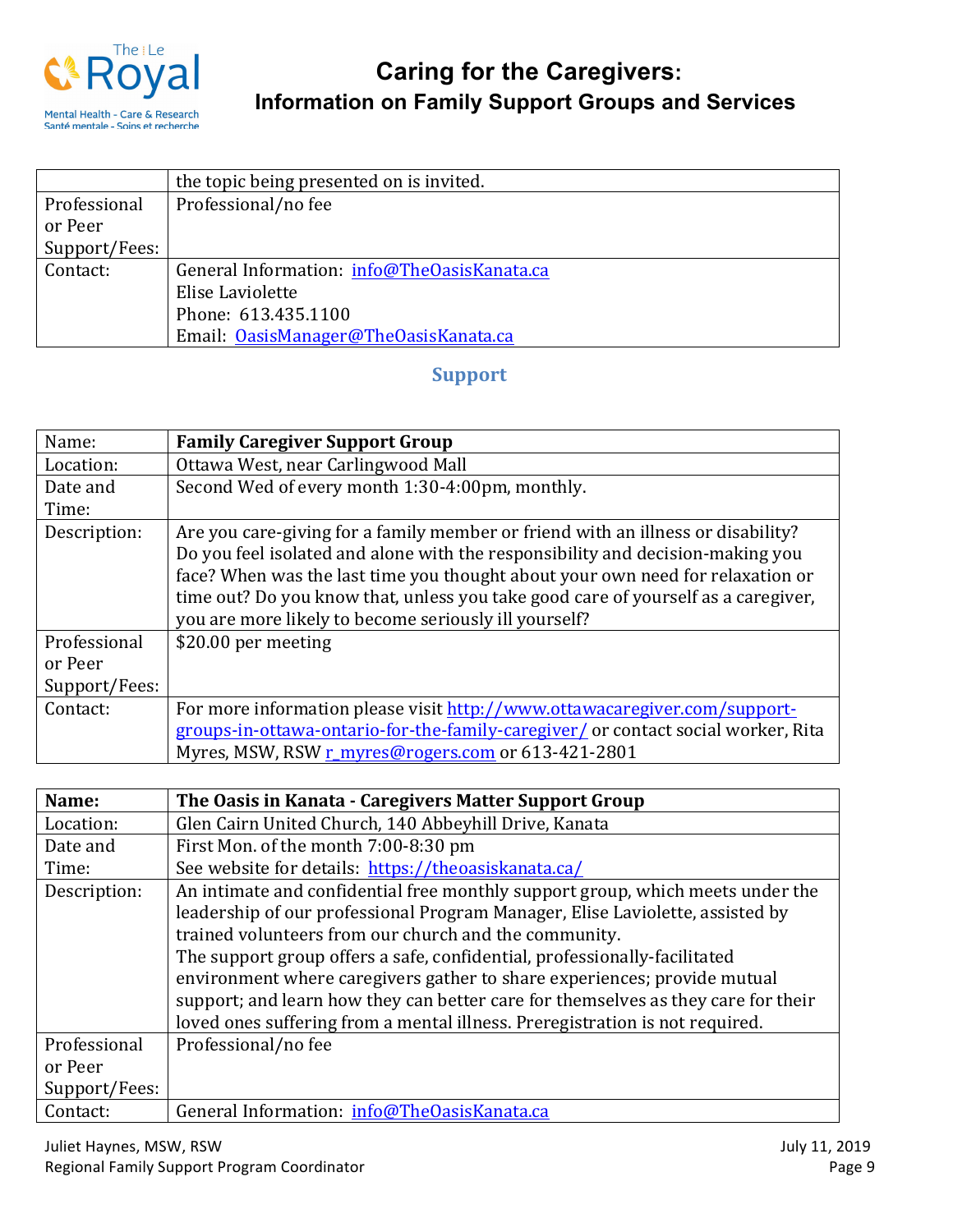

|               | the topic being presented on is invited.    |
|---------------|---------------------------------------------|
| Professional  | Professional/no fee                         |
| or Peer       |                                             |
| Support/Fees: |                                             |
| Contact:      | General Information: info@TheOasisKanata.ca |
|               | Elise Laviolette                            |
|               | Phone: 613.435.1100                         |
|               | Email: OasisManager@TheOasisKanata.ca       |

## **Support**

| Name:         | <b>Family Caregiver Support Group</b>                                                                                                                                                                                                                                                                                                                                                              |
|---------------|----------------------------------------------------------------------------------------------------------------------------------------------------------------------------------------------------------------------------------------------------------------------------------------------------------------------------------------------------------------------------------------------------|
| Location:     | Ottawa West, near Carlingwood Mall                                                                                                                                                                                                                                                                                                                                                                 |
| Date and      | Second Wed of every month 1:30-4:00pm, monthly.                                                                                                                                                                                                                                                                                                                                                    |
| Time:         |                                                                                                                                                                                                                                                                                                                                                                                                    |
| Description:  | Are you care-giving for a family member or friend with an illness or disability?<br>Do you feel isolated and alone with the responsibility and decision-making you<br>face? When was the last time you thought about your own need for relaxation or<br>time out? Do you know that, unless you take good care of yourself as a caregiver,<br>you are more likely to become seriously ill yourself? |
| Professional  | \$20.00 per meeting                                                                                                                                                                                                                                                                                                                                                                                |
| or Peer       |                                                                                                                                                                                                                                                                                                                                                                                                    |
| Support/Fees: |                                                                                                                                                                                                                                                                                                                                                                                                    |
| Contact:      | For more information please visit http://www.ottawacaregiver.com/support-                                                                                                                                                                                                                                                                                                                          |
|               | groups-in-ottawa-ontario-for-the-family-caregiver/ or contact social worker, Rita                                                                                                                                                                                                                                                                                                                  |
|               | Myres, MSW, RSW r_myres@rogers.com or 613-421-2801                                                                                                                                                                                                                                                                                                                                                 |

| Name:         | The Oasis in Kanata - Caregivers Matter Support Group                             |
|---------------|-----------------------------------------------------------------------------------|
| Location:     | Glen Cairn United Church, 140 Abbeyhill Drive, Kanata                             |
| Date and      | First Mon. of the month 7:00-8:30 pm                                              |
| Time:         | See website for details: https://theoasiskanata.ca/                               |
| Description:  | An intimate and confidential free monthly support group, which meets under the    |
|               | leadership of our professional Program Manager, Elise Laviolette, assisted by     |
|               | trained volunteers from our church and the community.                             |
|               | The support group offers a safe, confidential, professionally-facilitated         |
|               | environment where caregivers gather to share experiences; provide mutual          |
|               | support; and learn how they can better care for themselves as they care for their |
|               | loved ones suffering from a mental illness. Preregistration is not required.      |
| Professional  | Professional/no fee                                                               |
| or Peer       |                                                                                   |
| Support/Fees: |                                                                                   |
| Contact:      | General Information: info@TheOasisKanata.ca                                       |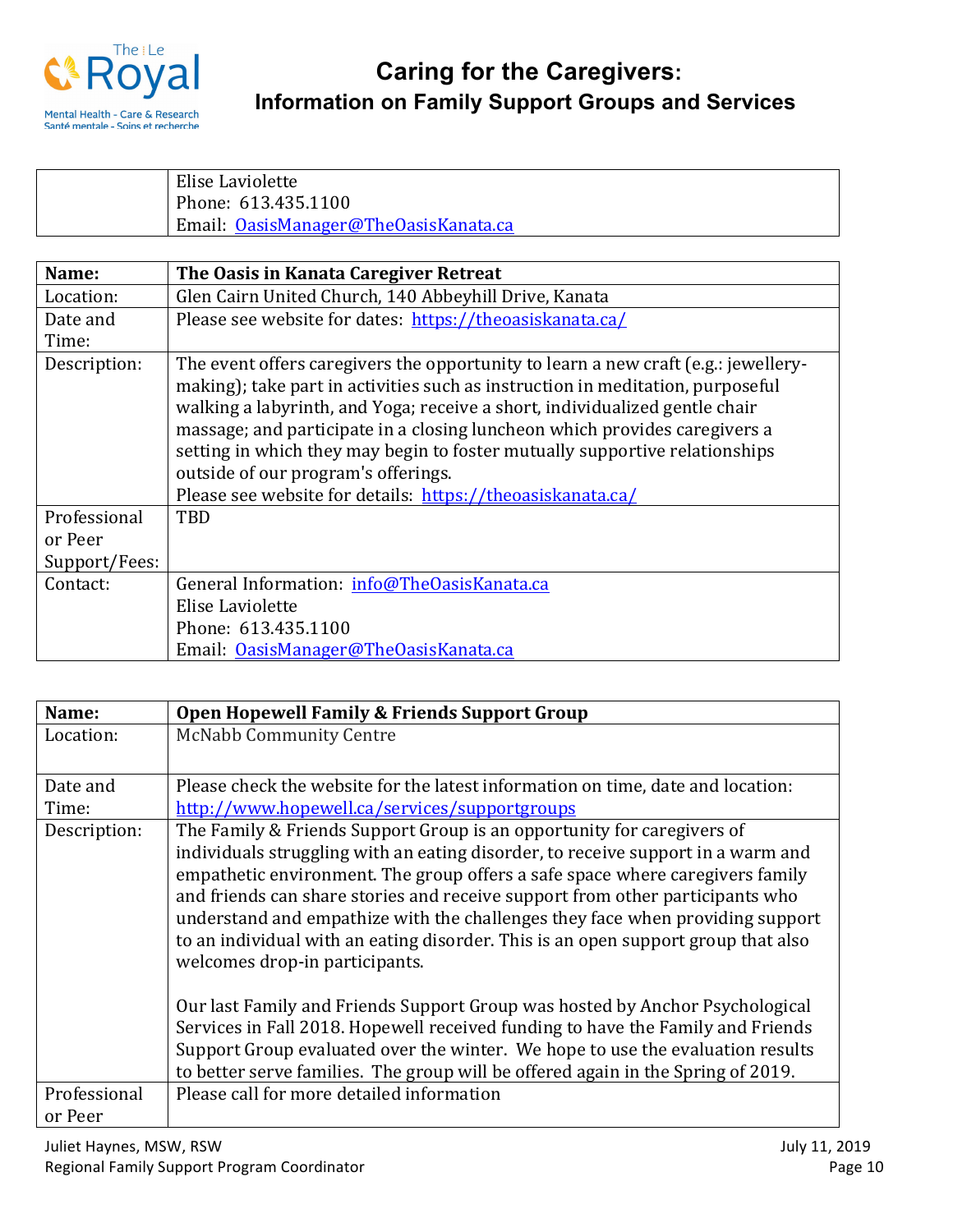

| Elise Laviolette                      |
|---------------------------------------|
| Phone: 613.435.1100                   |
| Email: OasisManager@TheOasisKanata.ca |

| Name:         | The Oasis in Kanata Caregiver Retreat                                                                                                                                                                                                                                                                                                                                                                                                                                                                                 |
|---------------|-----------------------------------------------------------------------------------------------------------------------------------------------------------------------------------------------------------------------------------------------------------------------------------------------------------------------------------------------------------------------------------------------------------------------------------------------------------------------------------------------------------------------|
| Location:     | Glen Cairn United Church, 140 Abbeyhill Drive, Kanata                                                                                                                                                                                                                                                                                                                                                                                                                                                                 |
| Date and      | Please see website for dates: https://theoasiskanata.ca/                                                                                                                                                                                                                                                                                                                                                                                                                                                              |
| Time:         |                                                                                                                                                                                                                                                                                                                                                                                                                                                                                                                       |
| Description:  | The event offers caregivers the opportunity to learn a new craft (e.g.: jewellery-<br>making); take part in activities such as instruction in meditation, purposeful<br>walking a labyrinth, and Yoga; receive a short, individualized gentle chair<br>massage; and participate in a closing luncheon which provides caregivers a<br>setting in which they may begin to foster mutually supportive relationships<br>outside of our program's offerings.<br>Please see website for details: https://theoasiskanata.ca/ |
| Professional  | <b>TBD</b>                                                                                                                                                                                                                                                                                                                                                                                                                                                                                                            |
| or Peer       |                                                                                                                                                                                                                                                                                                                                                                                                                                                                                                                       |
| Support/Fees: |                                                                                                                                                                                                                                                                                                                                                                                                                                                                                                                       |
| Contact:      | General Information: info@TheOasisKanata.ca                                                                                                                                                                                                                                                                                                                                                                                                                                                                           |
|               | Elise Laviolette                                                                                                                                                                                                                                                                                                                                                                                                                                                                                                      |
|               | Phone: 613.435.1100                                                                                                                                                                                                                                                                                                                                                                                                                                                                                                   |
|               | Email: OasisManager@TheOasisKanata.ca                                                                                                                                                                                                                                                                                                                                                                                                                                                                                 |

| Name:        | Open Hopewell Family & Friends Support Group                                                                                                                                                                                                                                                                                                                                                                                                                                                                                                                                                                                                                                                                                                                                                                                                                                  |
|--------------|-------------------------------------------------------------------------------------------------------------------------------------------------------------------------------------------------------------------------------------------------------------------------------------------------------------------------------------------------------------------------------------------------------------------------------------------------------------------------------------------------------------------------------------------------------------------------------------------------------------------------------------------------------------------------------------------------------------------------------------------------------------------------------------------------------------------------------------------------------------------------------|
| Location:    | <b>McNabb Community Centre</b>                                                                                                                                                                                                                                                                                                                                                                                                                                                                                                                                                                                                                                                                                                                                                                                                                                                |
| Date and     | Please check the website for the latest information on time, date and location:                                                                                                                                                                                                                                                                                                                                                                                                                                                                                                                                                                                                                                                                                                                                                                                               |
| Time:        | http://www.hopewell.ca/services/supportgroups                                                                                                                                                                                                                                                                                                                                                                                                                                                                                                                                                                                                                                                                                                                                                                                                                                 |
| Description: | The Family & Friends Support Group is an opportunity for caregivers of<br>individuals struggling with an eating disorder, to receive support in a warm and<br>empathetic environment. The group offers a safe space where caregivers family<br>and friends can share stories and receive support from other participants who<br>understand and empathize with the challenges they face when providing support<br>to an individual with an eating disorder. This is an open support group that also<br>welcomes drop-in participants.<br>Our last Family and Friends Support Group was hosted by Anchor Psychological<br>Services in Fall 2018. Hopewell received funding to have the Family and Friends<br>Support Group evaluated over the winter. We hope to use the evaluation results<br>to better serve families. The group will be offered again in the Spring of 2019. |
| Professional | Please call for more detailed information                                                                                                                                                                                                                                                                                                                                                                                                                                                                                                                                                                                                                                                                                                                                                                                                                                     |
| or Peer      |                                                                                                                                                                                                                                                                                                                                                                                                                                                                                                                                                                                                                                                                                                                                                                                                                                                                               |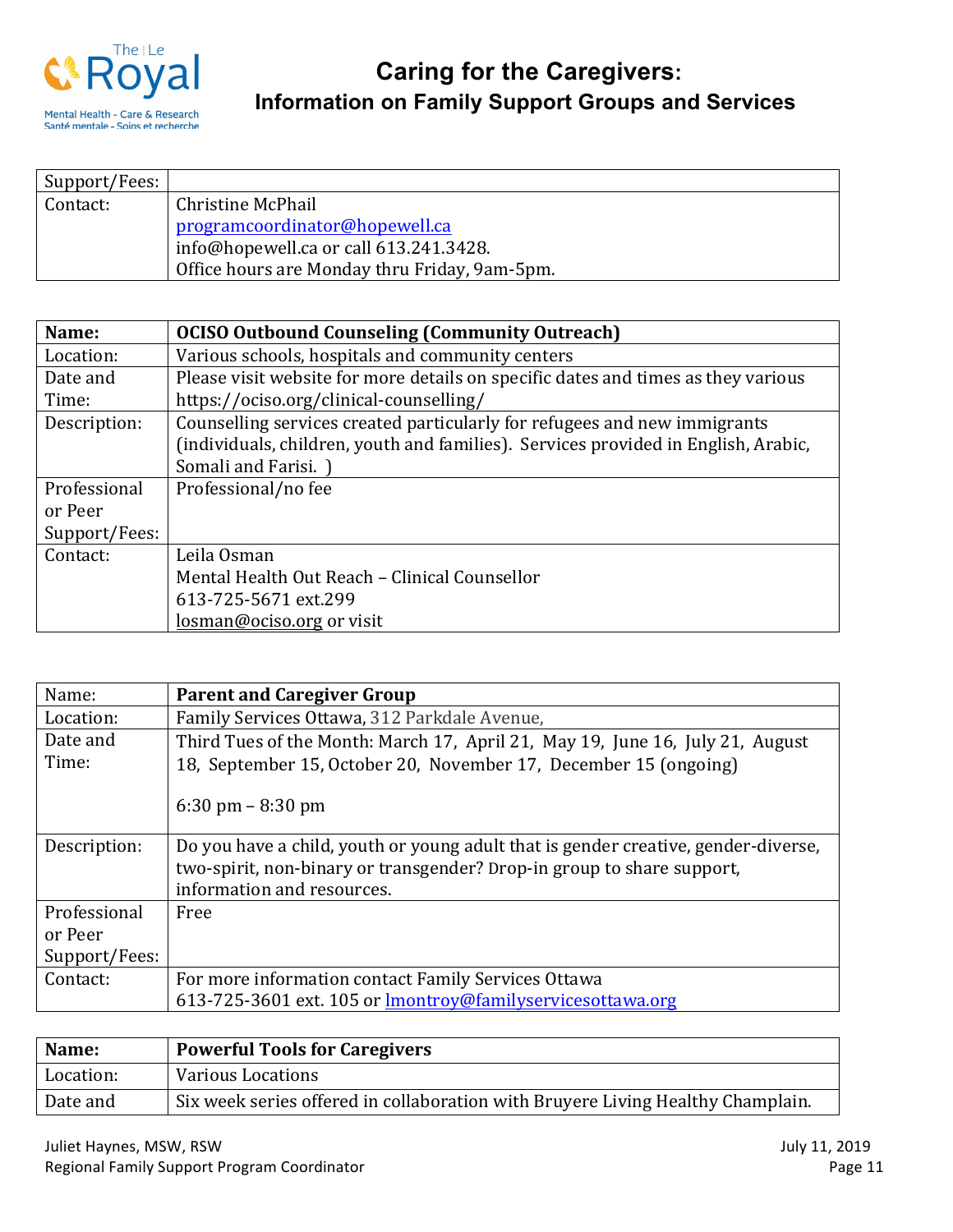

| Support/Fees: |                                               |
|---------------|-----------------------------------------------|
| Contact:      | Christine McPhail                             |
|               | programcoordinator@hopewell.ca                |
|               | info@hopewell.ca or call 613.241.3428.        |
|               | Office hours are Monday thru Friday, 9am-5pm. |

| Name:         | <b>OCISO Outbound Counseling (Community Outreach)</b>                              |
|---------------|------------------------------------------------------------------------------------|
| Location:     | Various schools, hospitals and community centers                                   |
| Date and      | Please visit website for more details on specific dates and times as they various  |
| Time:         | https://ociso.org/clinical-counselling/                                            |
| Description:  | Counselling services created particularly for refugees and new immigrants          |
|               | (individuals, children, youth and families). Services provided in English, Arabic, |
|               | Somali and Farisi. )                                                               |
| Professional  | Professional/no fee                                                                |
| or Peer       |                                                                                    |
| Support/Fees: |                                                                                    |
| Contact:      | Leila Osman                                                                        |
|               | Mental Health Out Reach - Clinical Counsellor                                      |
|               | 613-725-5671 ext.299                                                               |
|               | losman@ociso.org or visit                                                          |

| Name:         | <b>Parent and Caregiver Group</b>                                                  |
|---------------|------------------------------------------------------------------------------------|
| Location:     | Family Services Ottawa, 312 Parkdale Avenue,                                       |
| Date and      | Third Tues of the Month: March 17, April 21, May 19, June 16, July 21, August      |
| Time:         | 18, September 15, October 20, November 17, December 15 (ongoing)                   |
|               | $6:30 \text{ pm} - 8:30 \text{ pm}$                                                |
|               |                                                                                    |
| Description:  | Do you have a child, youth or young adult that is gender creative, gender-diverse, |
|               | two-spirit, non-binary or transgender? Drop-in group to share support,             |
|               | information and resources.                                                         |
| Professional  | Free                                                                               |
| or Peer       |                                                                                    |
| Support/Fees: |                                                                                    |
| Contact:      | For more information contact Family Services Ottawa                                |
|               | 613-725-3601 ext. 105 or <b>Imontroy@familyservicesottawa.org</b>                  |

| Name:     | <b>Powerful Tools for Caregivers</b>                                            |
|-----------|---------------------------------------------------------------------------------|
| Location: | <b>Various Locations</b>                                                        |
| Date and  | Six week series offered in collaboration with Bruyere Living Healthy Champlain. |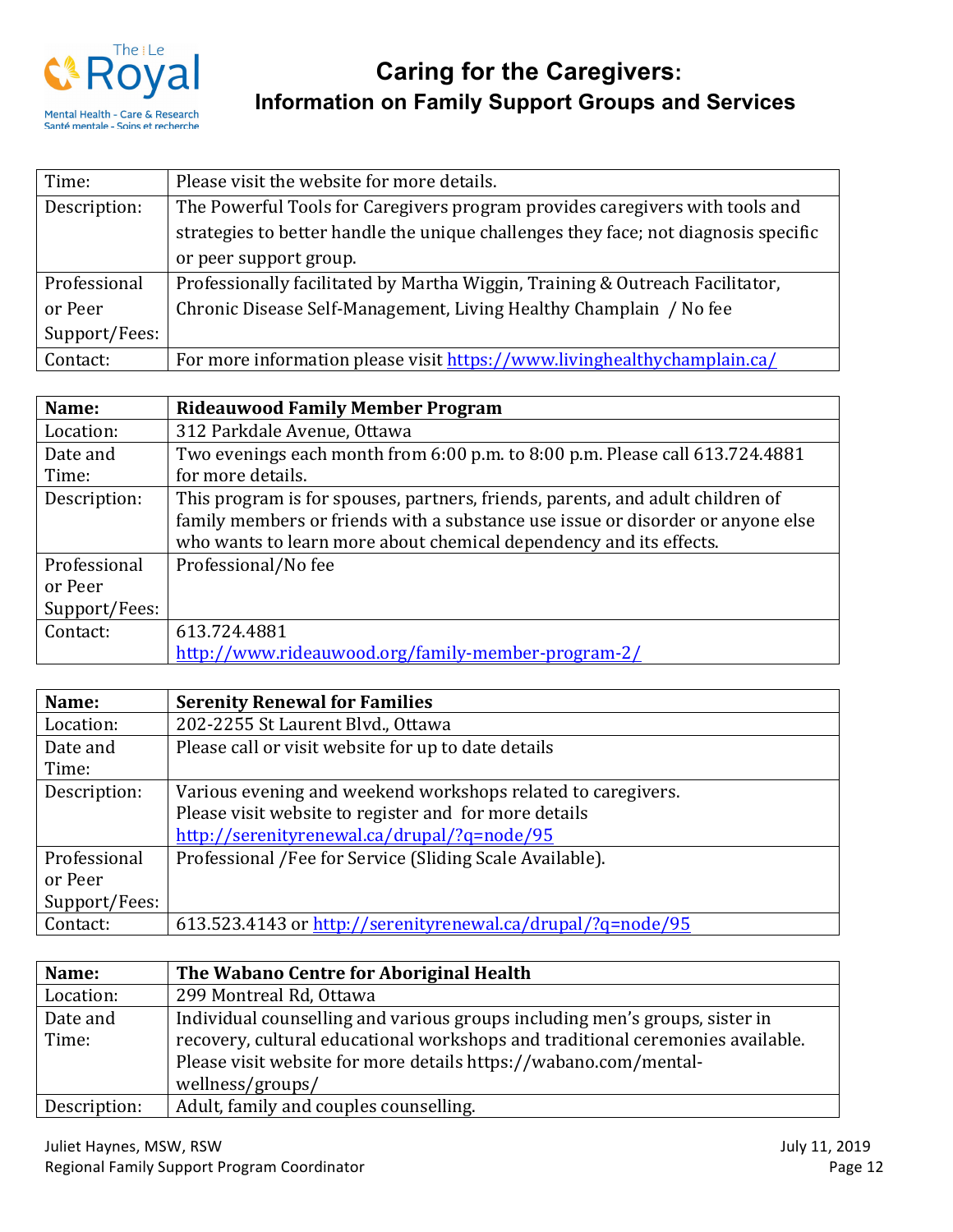

| Time:         | Please visit the website for more details.                                          |
|---------------|-------------------------------------------------------------------------------------|
| Description:  | The Powerful Tools for Caregivers program provides caregivers with tools and        |
|               | strategies to better handle the unique challenges they face; not diagnosis specific |
|               | or peer support group.                                                              |
| Professional  | Professionally facilitated by Martha Wiggin, Training & Outreach Facilitator,       |
| or Peer       | Chronic Disease Self-Management, Living Healthy Champlain / No fee                  |
| Support/Fees: |                                                                                     |
| Contact:      | For more information please visit https://www.livinghealthychamplain.ca/            |

| Name:         | <b>Rideauwood Family Member Program</b>                                         |
|---------------|---------------------------------------------------------------------------------|
| Location:     | 312 Parkdale Avenue, Ottawa                                                     |
| Date and      | Two evenings each month from 6:00 p.m. to 8:00 p.m. Please call 613.724.4881    |
| Time:         | for more details.                                                               |
| Description:  | This program is for spouses, partners, friends, parents, and adult children of  |
|               | family members or friends with a substance use issue or disorder or anyone else |
|               | who wants to learn more about chemical dependency and its effects.              |
| Professional  | Professional/No fee                                                             |
| or Peer       |                                                                                 |
| Support/Fees: |                                                                                 |
| Contact:      | 613.724.4881                                                                    |
|               | http://www.rideauwood.org/family-member-program-2/                              |

| Name:         | <b>Serenity Renewal for Families</b>                         |
|---------------|--------------------------------------------------------------|
| Location:     | 202-2255 St Laurent Blvd., Ottawa                            |
| Date and      | Please call or visit website for up to date details          |
| Time:         |                                                              |
| Description:  | Various evening and weekend workshops related to caregivers. |
|               | Please visit website to register and for more details        |
|               | http://serenityrenewal.ca/drupal/?q=node/95                  |
| Professional  | Professional /Fee for Service (Sliding Scale Available).     |
| or Peer       |                                                              |
| Support/Fees: |                                                              |
| Contact:      | 613.523.4143 or http://serenityrenewal.ca/drupal/?q=node/95  |

| Name:        | The Wabano Centre for Aboriginal Health                                        |
|--------------|--------------------------------------------------------------------------------|
| Location:    | 299 Montreal Rd, Ottawa                                                        |
| Date and     | Individual counselling and various groups including men's groups, sister in    |
| Time:        | recovery, cultural educational workshops and traditional ceremonies available. |
|              | Please visit website for more details https://wabano.com/mental-               |
|              | wellness/groups/                                                               |
| Description: | Adult, family and couples counselling.                                         |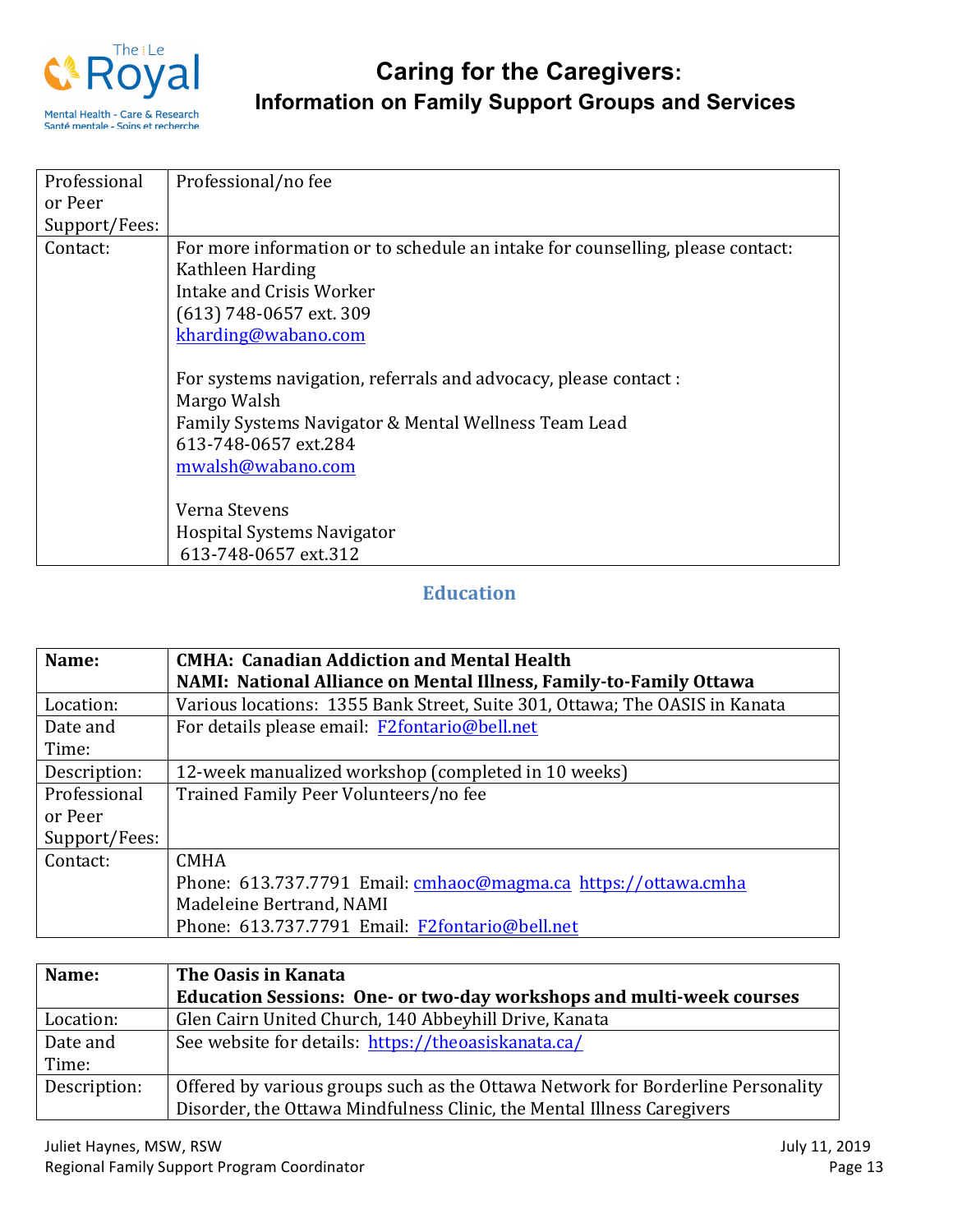

| Professional  | Professional/no fee                                                            |
|---------------|--------------------------------------------------------------------------------|
| or Peer       |                                                                                |
| Support/Fees: |                                                                                |
| Contact:      | For more information or to schedule an intake for counselling, please contact: |
|               | Kathleen Harding                                                               |
|               | Intake and Crisis Worker                                                       |
|               | (613) 748-0657 ext. 309                                                        |
|               | kharding@wabano.com                                                            |
|               |                                                                                |
|               | For systems navigation, referrals and advocacy, please contact :               |
|               | Margo Walsh                                                                    |
|               | Family Systems Navigator & Mental Wellness Team Lead                           |
|               | 613-748-0657 ext.284                                                           |
|               | mwalsh@wabano.com                                                              |
|               |                                                                                |
|               | Verna Stevens                                                                  |
|               | <b>Hospital Systems Navigator</b>                                              |
|               | 613-748-0657 ext.312                                                           |

## **Education**

| Name:         | <b>CMHA: Canadian Addiction and Mental Health</b>                           |
|---------------|-----------------------------------------------------------------------------|
|               | NAMI: National Alliance on Mental Illness, Family-to-Family Ottawa          |
| Location:     | Various locations: 1355 Bank Street, Suite 301, Ottawa; The OASIS in Kanata |
| Date and      | For details please email: F2fontario@bell.net                               |
| Time:         |                                                                             |
| Description:  | 12-week manualized workshop (completed in 10 weeks)                         |
| Professional  | Trained Family Peer Volunteers/no fee                                       |
| or Peer       |                                                                             |
| Support/Fees: |                                                                             |
| Contact:      | <b>CMHA</b>                                                                 |
|               | Phone: 613.737.7791 Email: cmhaoc@magma.ca_https://ottawa.cmha              |
|               | Madeleine Bertrand, NAMI                                                    |
|               | Phone: 613.737.7791 Email: F2fontario@bell.net                              |

| Name:        | The Oasis in Kanata                                                             |
|--------------|---------------------------------------------------------------------------------|
|              | <b>Education Sessions: One- or two-day workshops and multi-week courses</b>     |
| Location:    | Glen Cairn United Church, 140 Abbeyhill Drive, Kanata                           |
| Date and     | See website for details: https://theoasiskanata.ca/                             |
| Time:        |                                                                                 |
| Description: | Offered by various groups such as the Ottawa Network for Borderline Personality |
|              | Disorder, the Ottawa Mindfulness Clinic, the Mental Illness Caregivers          |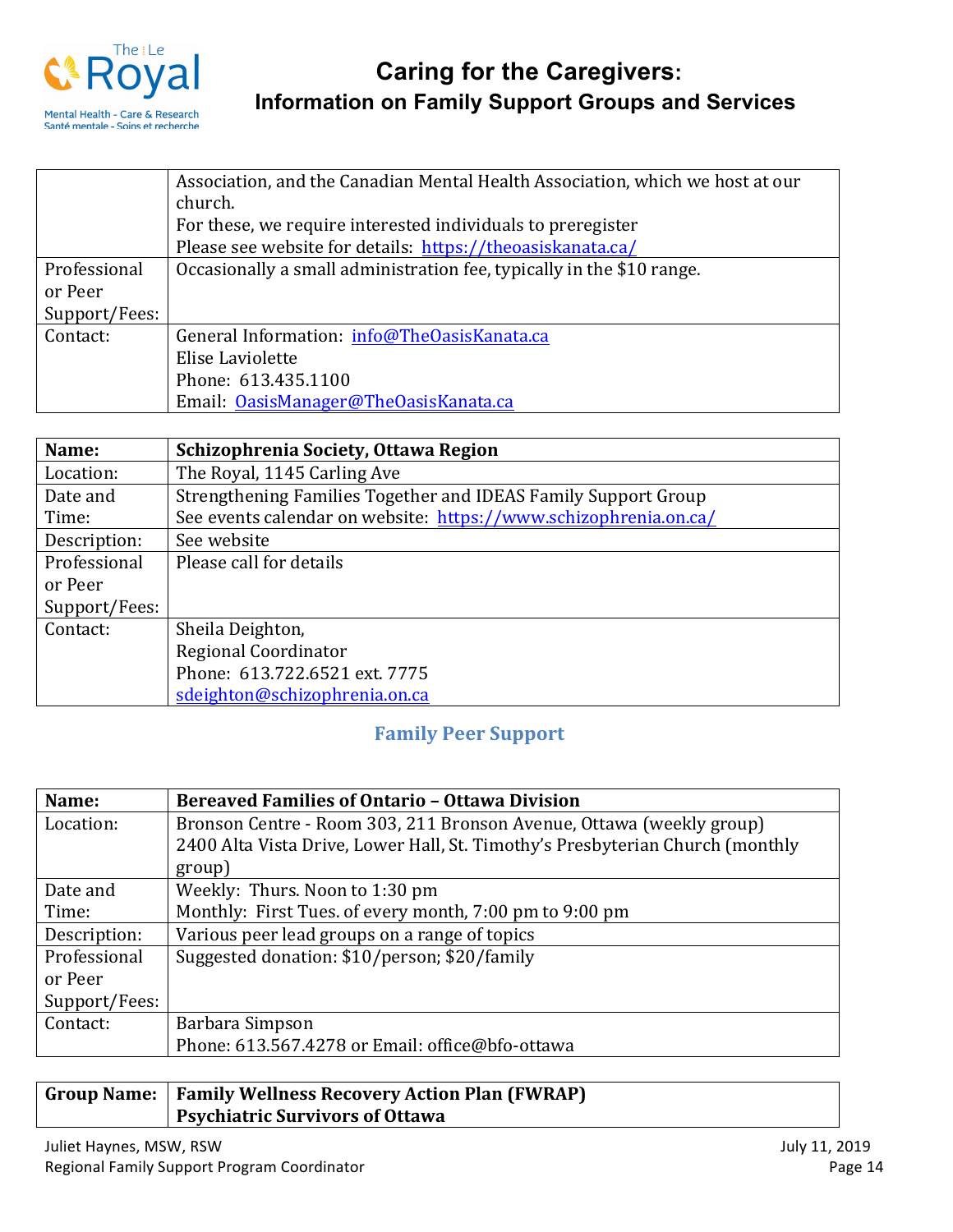

|               | Association, and the Canadian Mental Health Association, which we host at our |
|---------------|-------------------------------------------------------------------------------|
|               | church.                                                                       |
|               | For these, we require interested individuals to preregister                   |
|               | Please see website for details: https://theoasiskanata.ca/                    |
| Professional  | Occasionally a small administration fee, typically in the \$10 range.         |
| or Peer       |                                                                               |
| Support/Fees: |                                                                               |
| Contact:      | General Information: info@TheOasisKanata.ca                                   |
|               | Elise Laviolette                                                              |
|               | Phone: 613.435.1100                                                           |
|               | Email: OasisManager@TheOasisKanata.ca                                         |

| Name:         | Schizophrenia Society, Ottawa Region                             |
|---------------|------------------------------------------------------------------|
| Location:     | The Royal, 1145 Carling Ave                                      |
| Date and      | Strengthening Families Together and IDEAS Family Support Group   |
| Time:         | See events calendar on website: https://www.schizophrenia.on.ca/ |
| Description:  | See website                                                      |
| Professional  | Please call for details                                          |
| or Peer       |                                                                  |
| Support/Fees: |                                                                  |
| Contact:      | Sheila Deighton,                                                 |
|               | Regional Coordinator                                             |
|               | Phone: 613.722.6521 ext. 7775                                    |
|               | sdeighton@schizophrenia.on.ca                                    |

## **Family Peer Support**

| Name:         | <b>Bereaved Families of Ontario - Ottawa Division</b>                         |
|---------------|-------------------------------------------------------------------------------|
| Location:     | Bronson Centre - Room 303, 211 Bronson Avenue, Ottawa (weekly group)          |
|               | 2400 Alta Vista Drive, Lower Hall, St. Timothy's Presbyterian Church (monthly |
|               | group)                                                                        |
| Date and      | Weekly: Thurs. Noon to 1:30 pm                                                |
| Time:         | Monthly: First Tues. of every month, 7:00 pm to 9:00 pm                       |
| Description:  | Various peer lead groups on a range of topics                                 |
| Professional  | Suggested donation: \$10/person; \$20/family                                  |
| or Peer       |                                                                               |
| Support/Fees: |                                                                               |
| Contact:      | Barbara Simpson                                                               |
|               | Phone: 613.567.4278 or Email: office@bfo-ottawa                               |

| Group Name:   Family Wellness Recovery Action Plan (FWRAP) |
|------------------------------------------------------------|
| <b>Psychiatric Survivors of Ottawa</b>                     |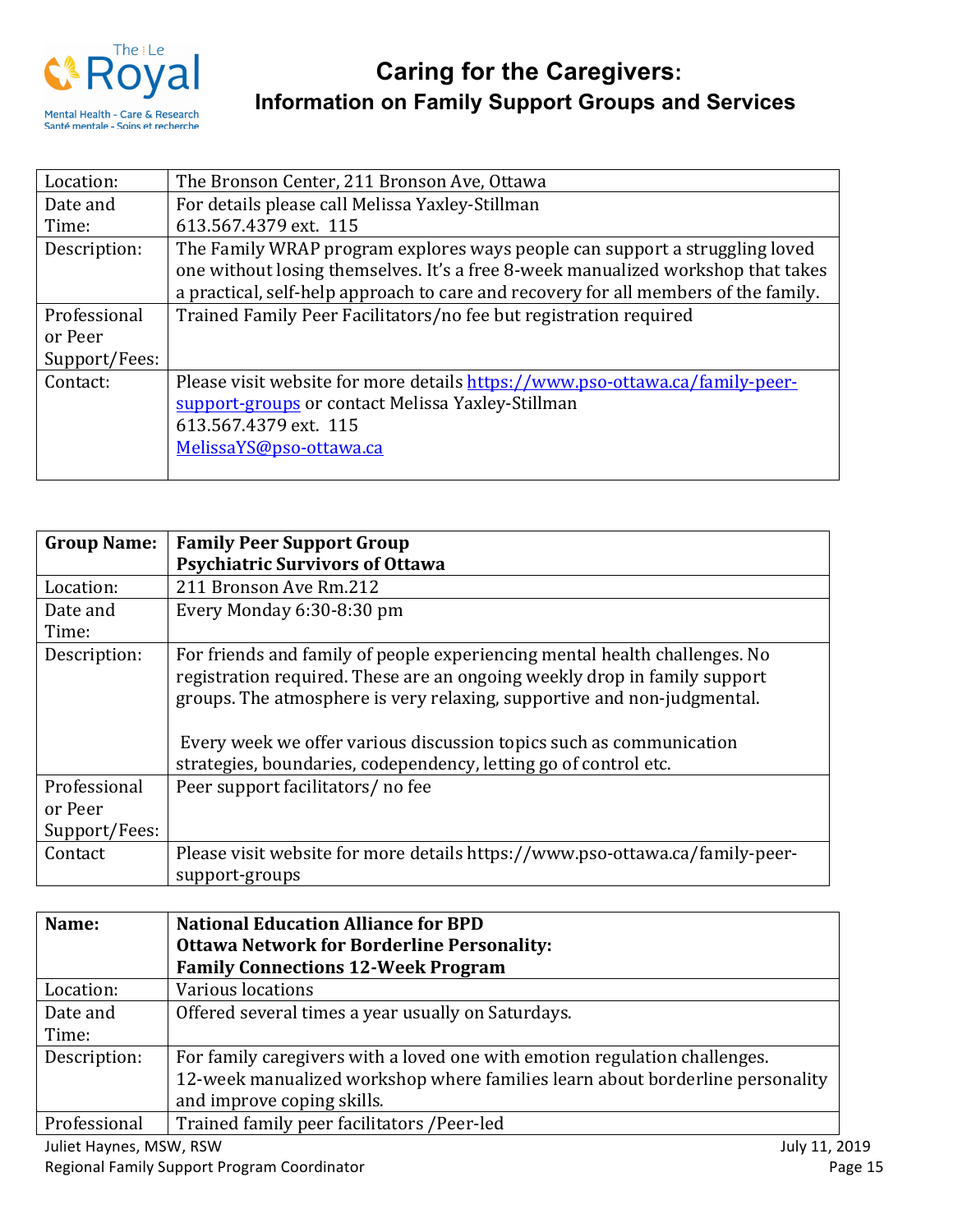

| Location:     | The Bronson Center, 211 Bronson Ave, Ottawa                                                                                                                                                                                                            |
|---------------|--------------------------------------------------------------------------------------------------------------------------------------------------------------------------------------------------------------------------------------------------------|
| Date and      | For details please call Melissa Yaxley-Stillman                                                                                                                                                                                                        |
| Time:         | 613.567.4379 ext. 115                                                                                                                                                                                                                                  |
| Description:  | The Family WRAP program explores ways people can support a struggling loved<br>one without losing themselves. It's a free 8-week manualized workshop that takes<br>a practical, self-help approach to care and recovery for all members of the family. |
| Professional  | Trained Family Peer Facilitators/no fee but registration required                                                                                                                                                                                      |
| or Peer       |                                                                                                                                                                                                                                                        |
| Support/Fees: |                                                                                                                                                                                                                                                        |
| Contact:      | Please visit website for more details https://www.pso-ottawa.ca/family-peer-<br>support-groups or contact Melissa Yaxley-Stillman<br>613.567.4379 ext. 115<br>MelissaYS@pso-ottawa.ca                                                                  |

| <b>Group Name:</b> | <b>Family Peer Support Group</b>                                                                                                                                                                                                                                                                                                                                              |
|--------------------|-------------------------------------------------------------------------------------------------------------------------------------------------------------------------------------------------------------------------------------------------------------------------------------------------------------------------------------------------------------------------------|
|                    | <b>Psychiatric Survivors of Ottawa</b>                                                                                                                                                                                                                                                                                                                                        |
| Location:          | 211 Bronson Ave Rm.212                                                                                                                                                                                                                                                                                                                                                        |
| Date and           | Every Monday 6:30-8:30 pm                                                                                                                                                                                                                                                                                                                                                     |
| Time:              |                                                                                                                                                                                                                                                                                                                                                                               |
| Description:       | For friends and family of people experiencing mental health challenges. No<br>registration required. These are an ongoing weekly drop in family support<br>groups. The atmosphere is very relaxing, supportive and non-judgmental.<br>Every week we offer various discussion topics such as communication<br>strategies, boundaries, codependency, letting go of control etc. |
| Professional       | Peer support facilitators/ no fee                                                                                                                                                                                                                                                                                                                                             |
| or Peer            |                                                                                                                                                                                                                                                                                                                                                                               |
| Support/Fees:      |                                                                                                                                                                                                                                                                                                                                                                               |
| Contact            | Please visit website for more details https://www.pso-ottawa.ca/family-peer-                                                                                                                                                                                                                                                                                                  |
|                    | support-groups                                                                                                                                                                                                                                                                                                                                                                |

| Name:                   | <b>National Education Alliance for BPD</b>                                    |  |
|-------------------------|-------------------------------------------------------------------------------|--|
|                         | <b>Ottawa Network for Borderline Personality:</b>                             |  |
|                         | <b>Family Connections 12-Week Program</b>                                     |  |
| Location:               | Various locations                                                             |  |
| Date and                | Offered several times a year usually on Saturdays.                            |  |
| Time:                   |                                                                               |  |
| Description:            | For family caregivers with a loved one with emotion regulation challenges.    |  |
|                         | 12-week manualized workshop where families learn about borderline personality |  |
|                         | and improve coping skills.                                                    |  |
| Professional            | Trained family peer facilitators /Peer-led                                    |  |
| Juliet Haynes, MSW, RSW | July 11, 2019                                                                 |  |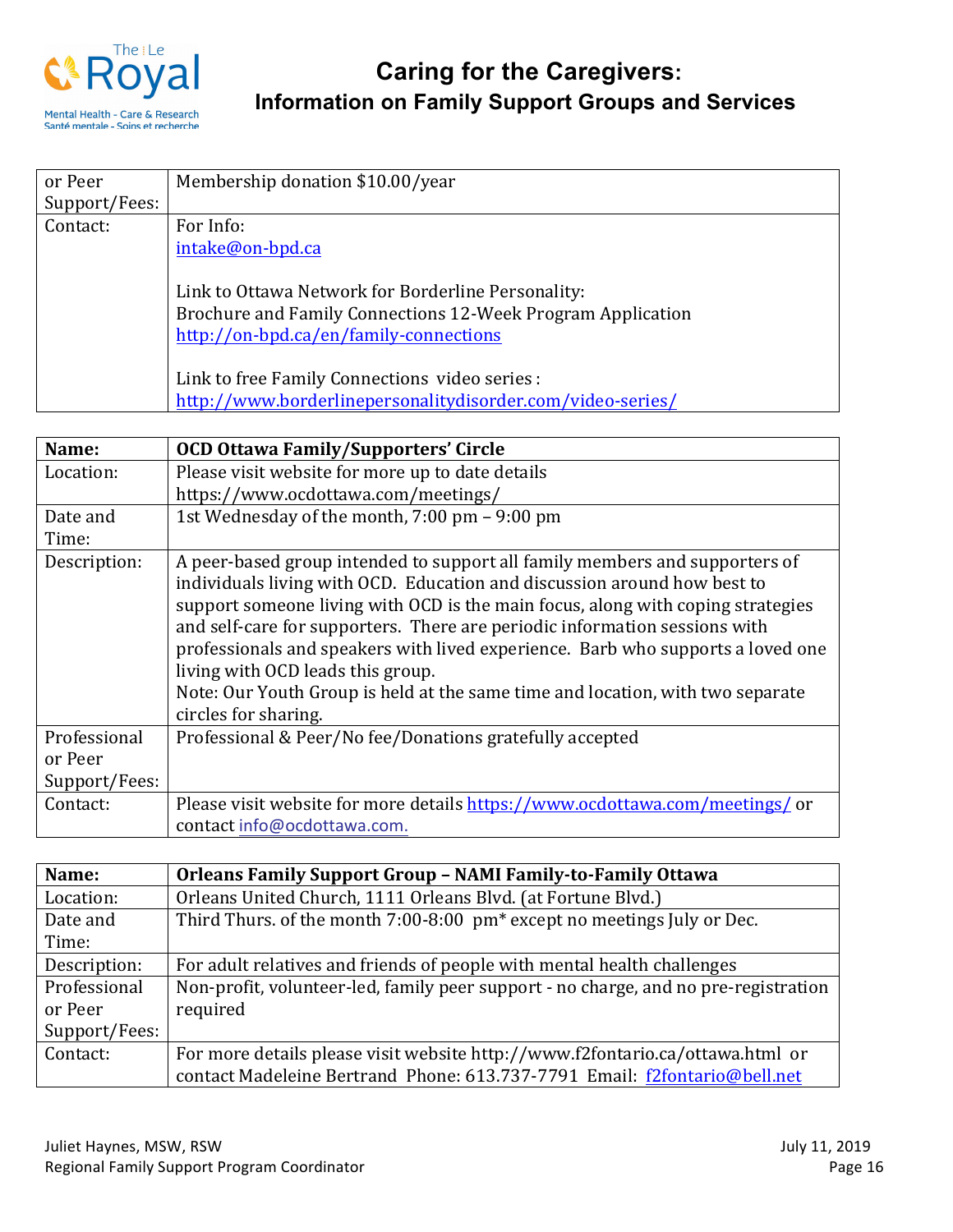

| or Peer       | Membership donation \$10.00/year                            |
|---------------|-------------------------------------------------------------|
| Support/Fees: |                                                             |
| Contact:      | For Info:                                                   |
|               | intake@on-bpd.ca                                            |
|               |                                                             |
|               | Link to Ottawa Network for Borderline Personality:          |
|               | Brochure and Family Connections 12-Week Program Application |
|               | http://on-bpd.ca/en/family-connections                      |
|               |                                                             |
|               | Link to free Family Connections video series :              |
|               | http://www.borderlinepersonalitydisorder.com/video-series/  |

| Name:         | <b>OCD Ottawa Family/Supporters' Circle</b>                                     |  |  |  |
|---------------|---------------------------------------------------------------------------------|--|--|--|
| Location:     | Please visit website for more up to date details                                |  |  |  |
|               | https://www.ocdottawa.com/meetings/                                             |  |  |  |
| Date and      | 1st Wednesday of the month, 7:00 pm - 9:00 pm                                   |  |  |  |
| Time:         |                                                                                 |  |  |  |
| Description:  | A peer-based group intended to support all family members and supporters of     |  |  |  |
|               | individuals living with OCD. Education and discussion around how best to        |  |  |  |
|               | support someone living with OCD is the main focus, along with coping strategies |  |  |  |
|               | and self-care for supporters. There are periodic information sessions with      |  |  |  |
|               | professionals and speakers with lived experience. Barb who supports a loved one |  |  |  |
|               | living with OCD leads this group.                                               |  |  |  |
|               | Note: Our Youth Group is held at the same time and location, with two separate  |  |  |  |
|               | circles for sharing.                                                            |  |  |  |
| Professional  | Professional & Peer/No fee/Donations gratefully accepted                        |  |  |  |
| or Peer       |                                                                                 |  |  |  |
| Support/Fees: |                                                                                 |  |  |  |
| Contact:      | Please visit website for more details https://www.ocdottawa.com/meetings/ or    |  |  |  |
|               | contact info@ocdottawa.com.                                                     |  |  |  |

| Name:         | Orleans Family Support Group - NAMI Family-to-Family Ottawa                         |  |  |
|---------------|-------------------------------------------------------------------------------------|--|--|
| Location:     | Orleans United Church, 1111 Orleans Blvd. (at Fortune Blvd.)                        |  |  |
| Date and      | Third Thurs. of the month 7:00-8:00 pm <sup>*</sup> except no meetings July or Dec. |  |  |
| Time:         |                                                                                     |  |  |
| Description:  | For adult relatives and friends of people with mental health challenges             |  |  |
| Professional  | Non-profit, volunteer-led, family peer support - no charge, and no pre-registration |  |  |
| or Peer       | required                                                                            |  |  |
| Support/Fees: |                                                                                     |  |  |
| Contact:      | For more details please visit website http://www.f2fontario.ca/ottawa.html or       |  |  |
|               | contact Madeleine Bertrand Phone: 613.737-7791 Email: f2fontario@bell.net           |  |  |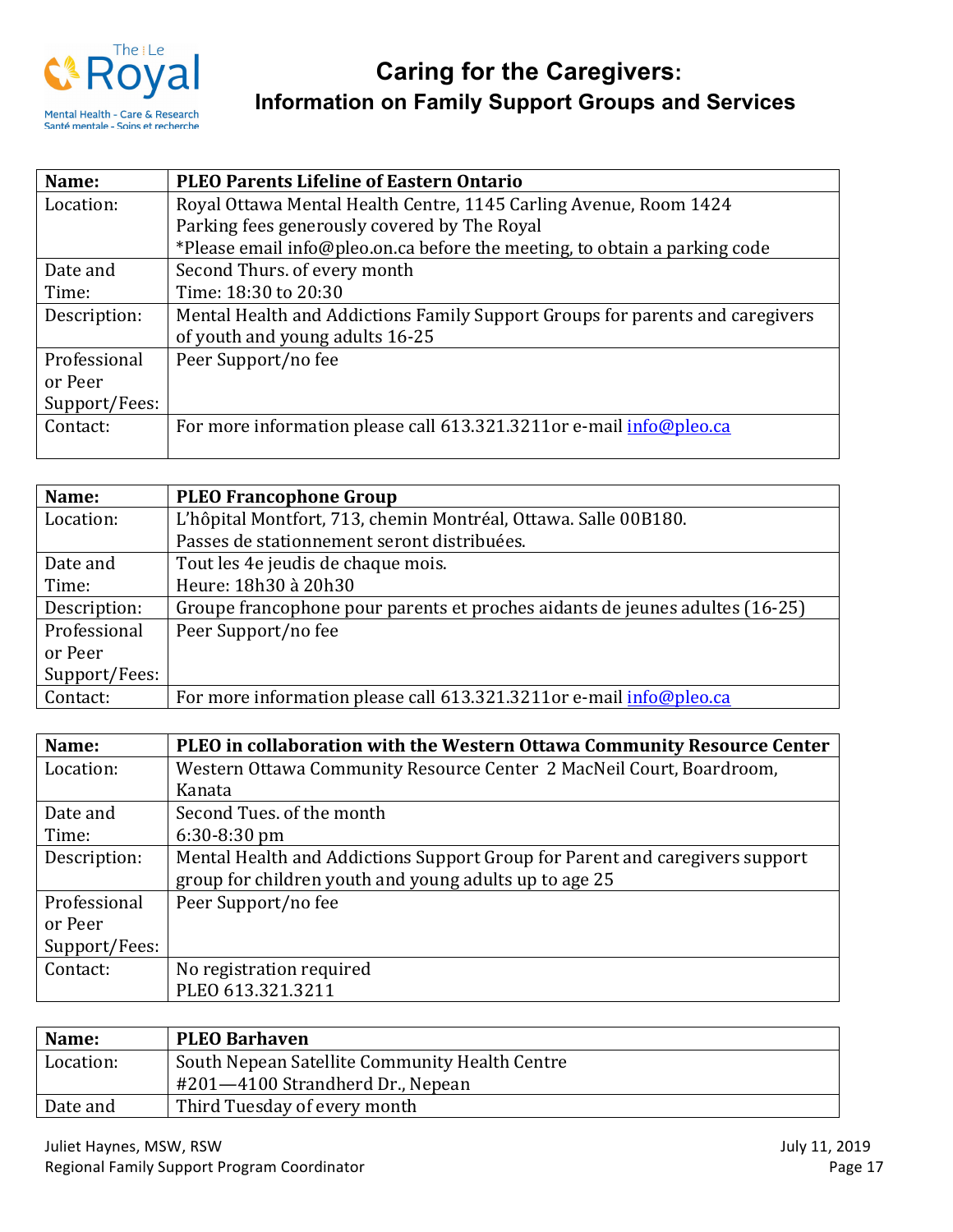

| Name:         | <b>PLEO Parents Lifeline of Eastern Ontario</b>                               |  |  |
|---------------|-------------------------------------------------------------------------------|--|--|
| Location:     | Royal Ottawa Mental Health Centre, 1145 Carling Avenue, Room 1424             |  |  |
|               | Parking fees generously covered by The Royal                                  |  |  |
|               | *Please email info@pleo.on.ca before the meeting, to obtain a parking code    |  |  |
| Date and      | Second Thurs. of every month                                                  |  |  |
| Time:         | Time: 18:30 to 20:30                                                          |  |  |
| Description:  | Mental Health and Addictions Family Support Groups for parents and caregivers |  |  |
|               | of youth and young adults 16-25                                               |  |  |
| Professional  | Peer Support/no fee                                                           |  |  |
| or Peer       |                                                                               |  |  |
| Support/Fees: |                                                                               |  |  |
| Contact:      | For more information please call 613.321.3211or e-mail info@pleo.ca           |  |  |
|               |                                                                               |  |  |

| Name:         | <b>PLEO Francophone Group</b>                                                |  |
|---------------|------------------------------------------------------------------------------|--|
| Location:     | L'hôpital Montfort, 713, chemin Montréal, Ottawa. Salle 00B180.              |  |
|               | Passes de stationnement seront distribuées.                                  |  |
| Date and      | Tout les 4e jeudis de chaque mois.                                           |  |
| Time:         | Heure: 18h30 à 20h30                                                         |  |
| Description:  | Groupe francophone pour parents et proches aidants de jeunes adultes (16-25) |  |
| Professional  | Peer Support/no fee                                                          |  |
| or Peer       |                                                                              |  |
| Support/Fees: |                                                                              |  |
| Contact:      | For more information please call 613.321.3211or e-mail info@pleo.ca          |  |

| Name:         | PLEO in collaboration with the Western Ottawa Community Resource Center      |  |  |
|---------------|------------------------------------------------------------------------------|--|--|
| Location:     | Western Ottawa Community Resource Center 2 MacNeil Court, Boardroom,         |  |  |
|               | Kanata                                                                       |  |  |
| Date and      | Second Tues. of the month                                                    |  |  |
| Time:         | $6:30-8:30$ pm                                                               |  |  |
| Description:  | Mental Health and Addictions Support Group for Parent and caregivers support |  |  |
|               | group for children youth and young adults up to age 25                       |  |  |
| Professional  | Peer Support/no fee                                                          |  |  |
| or Peer       |                                                                              |  |  |
| Support/Fees: |                                                                              |  |  |
| Contact:      | No registration required                                                     |  |  |
|               | PLEO 613.321.3211                                                            |  |  |

| Name:     | <b>PLEO Barhaven</b>                           |
|-----------|------------------------------------------------|
| Location: | South Nepean Satellite Community Health Centre |
|           | #201-4100 Strandherd Dr., Nepean               |
| Date and  | Third Tuesday of every month                   |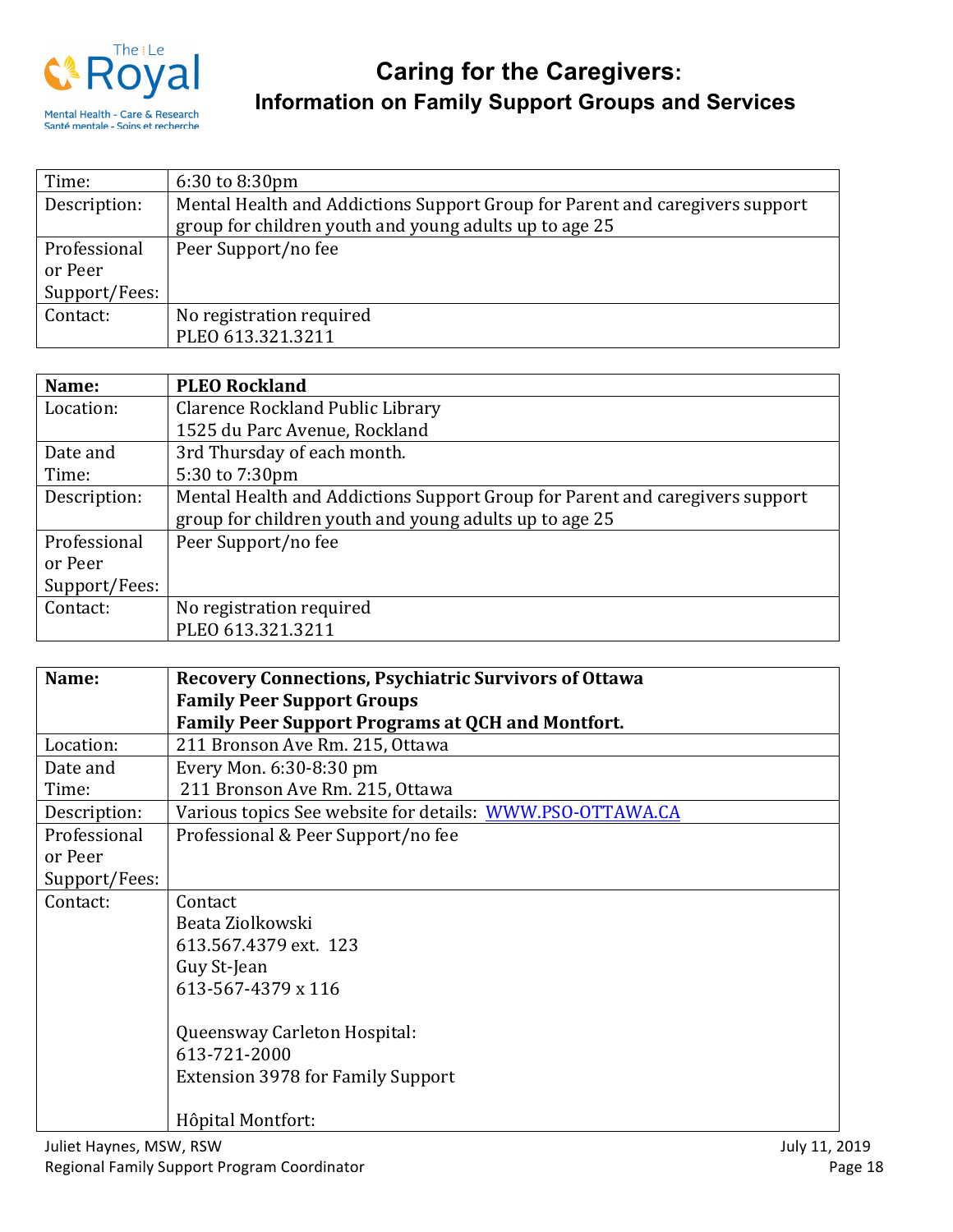

| Time:         | $6:30$ to $8:30$ pm                                                          |  |
|---------------|------------------------------------------------------------------------------|--|
| Description:  | Mental Health and Addictions Support Group for Parent and caregivers support |  |
|               | group for children youth and young adults up to age 25                       |  |
| Professional  | Peer Support/no fee                                                          |  |
| or Peer       |                                                                              |  |
| Support/Fees: |                                                                              |  |
| Contact:      | No registration required                                                     |  |
|               | PLEO 613.321.3211                                                            |  |

| Name:         | <b>PLEO Rockland</b>                                                         |
|---------------|------------------------------------------------------------------------------|
| Location:     | Clarence Rockland Public Library                                             |
|               | 1525 du Parc Avenue, Rockland                                                |
| Date and      | 3rd Thursday of each month.                                                  |
| Time:         | 5:30 to 7:30pm                                                               |
| Description:  | Mental Health and Addictions Support Group for Parent and caregivers support |
|               | group for children youth and young adults up to age 25                       |
| Professional  | Peer Support/no fee                                                          |
| or Peer       |                                                                              |
| Support/Fees: |                                                                              |
| Contact:      | No registration required                                                     |
|               | PLEO 613.321.3211                                                            |

| Name:                   | <b>Recovery Connections, Psychiatric Survivors of Ottawa</b> |               |
|-------------------------|--------------------------------------------------------------|---------------|
|                         | <b>Family Peer Support Groups</b>                            |               |
|                         | <b>Family Peer Support Programs at QCH and Montfort.</b>     |               |
| Location:               | 211 Bronson Ave Rm. 215, Ottawa                              |               |
| Date and                | Every Mon. 6:30-8:30 pm                                      |               |
| Time:                   | 211 Bronson Ave Rm. 215, Ottawa                              |               |
| Description:            | Various topics See website for details: WWW.PSO-OTTAWA.CA    |               |
| Professional            | Professional & Peer Support/no fee                           |               |
| or Peer                 |                                                              |               |
| Support/Fees:           |                                                              |               |
| Contact:                | Contact                                                      |               |
|                         | Beata Ziolkowski                                             |               |
|                         | 613.567.4379 ext. 123                                        |               |
|                         | Guy St-Jean                                                  |               |
|                         | 613-567-4379 x 116                                           |               |
|                         |                                                              |               |
|                         | Queensway Carleton Hospital:                                 |               |
|                         | 613-721-2000                                                 |               |
|                         | <b>Extension 3978 for Family Support</b>                     |               |
|                         |                                                              |               |
|                         | Hôpital Montfort:                                            |               |
| Juliet Haynes, MSW, RSW |                                                              | July 11, 2019 |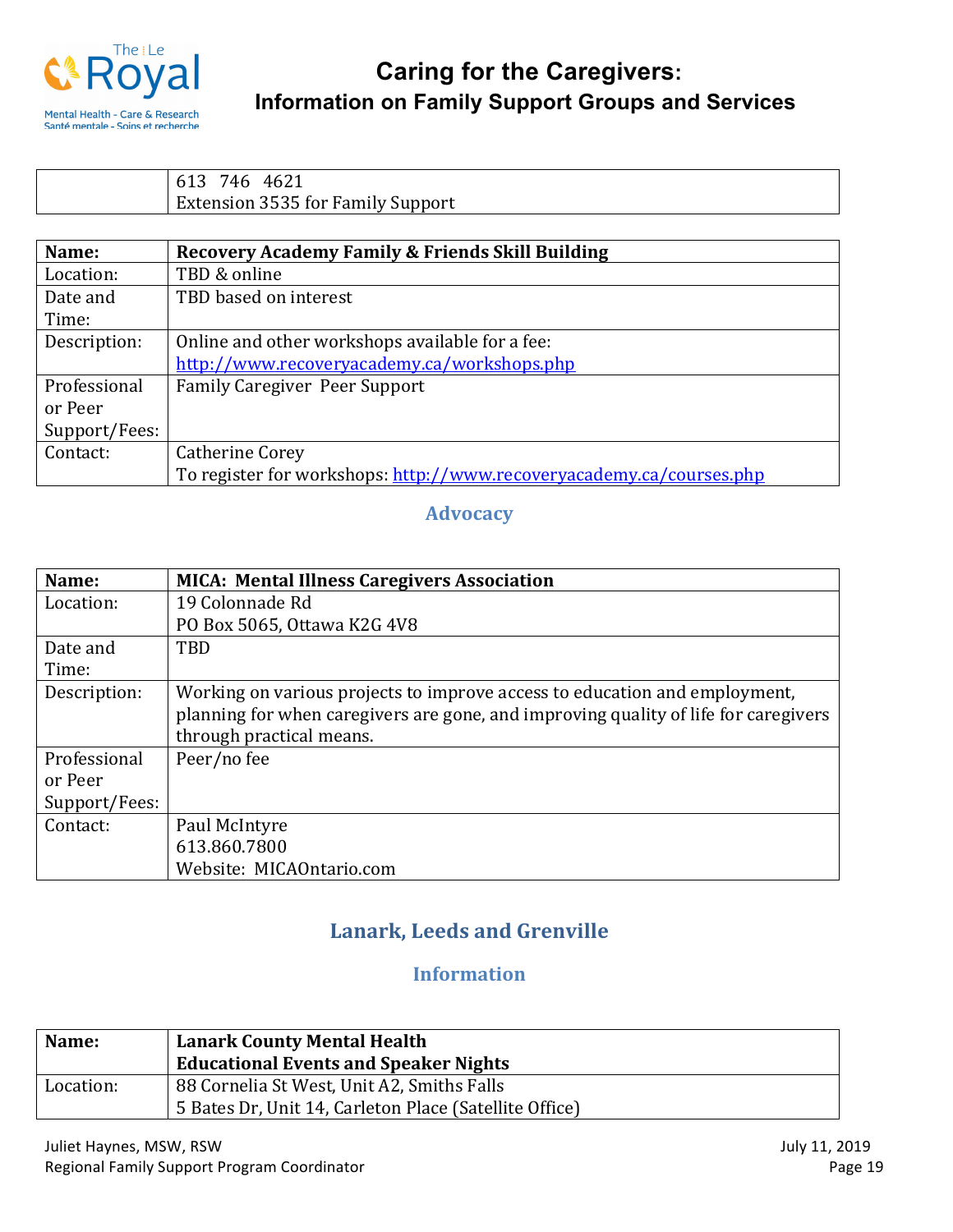

613 746 4621 Extension 3535 for Family Support

| Name:         | Recovery Academy Family & Friends Skill Building                     |
|---------------|----------------------------------------------------------------------|
| Location:     | TBD & online                                                         |
| Date and      | TBD based on interest                                                |
| Time:         |                                                                      |
| Description:  | Online and other workshops available for a fee:                      |
|               | http://www.recoveryacademy.ca/workshops.php                          |
| Professional  | <b>Family Caregiver Peer Support</b>                                 |
| or Peer       |                                                                      |
| Support/Fees: |                                                                      |
| Contact:      | <b>Catherine Corey</b>                                               |
|               | To register for workshops: http://www.recoveryacademy.ca/courses.php |

#### **Advocacy**

| Name:         | <b>MICA: Mental Illness Caregivers Association</b>                                  |
|---------------|-------------------------------------------------------------------------------------|
| Location:     | 19 Colonnade Rd                                                                     |
|               | PO Box 5065, Ottawa K2G 4V8                                                         |
| Date and      | TBD                                                                                 |
| Time:         |                                                                                     |
| Description:  | Working on various projects to improve access to education and employment,          |
|               | planning for when caregivers are gone, and improving quality of life for caregivers |
|               | through practical means.                                                            |
| Professional  | Peer/no fee                                                                         |
| or Peer       |                                                                                     |
| Support/Fees: |                                                                                     |
| Contact:      | Paul McIntyre                                                                       |
|               | 613.860.7800                                                                        |
|               | Website: MICAOntario.com                                                            |

## Lanark, Leeds and Grenville

## **Information**

| Name:     | <b>Lanark County Mental Health</b><br><b>Educational Events and Speaker Nights</b>                   |
|-----------|------------------------------------------------------------------------------------------------------|
| Location: | 88 Cornelia St West, Unit A2, Smiths Falls<br>5 Bates Dr, Unit 14, Carleton Place (Satellite Office) |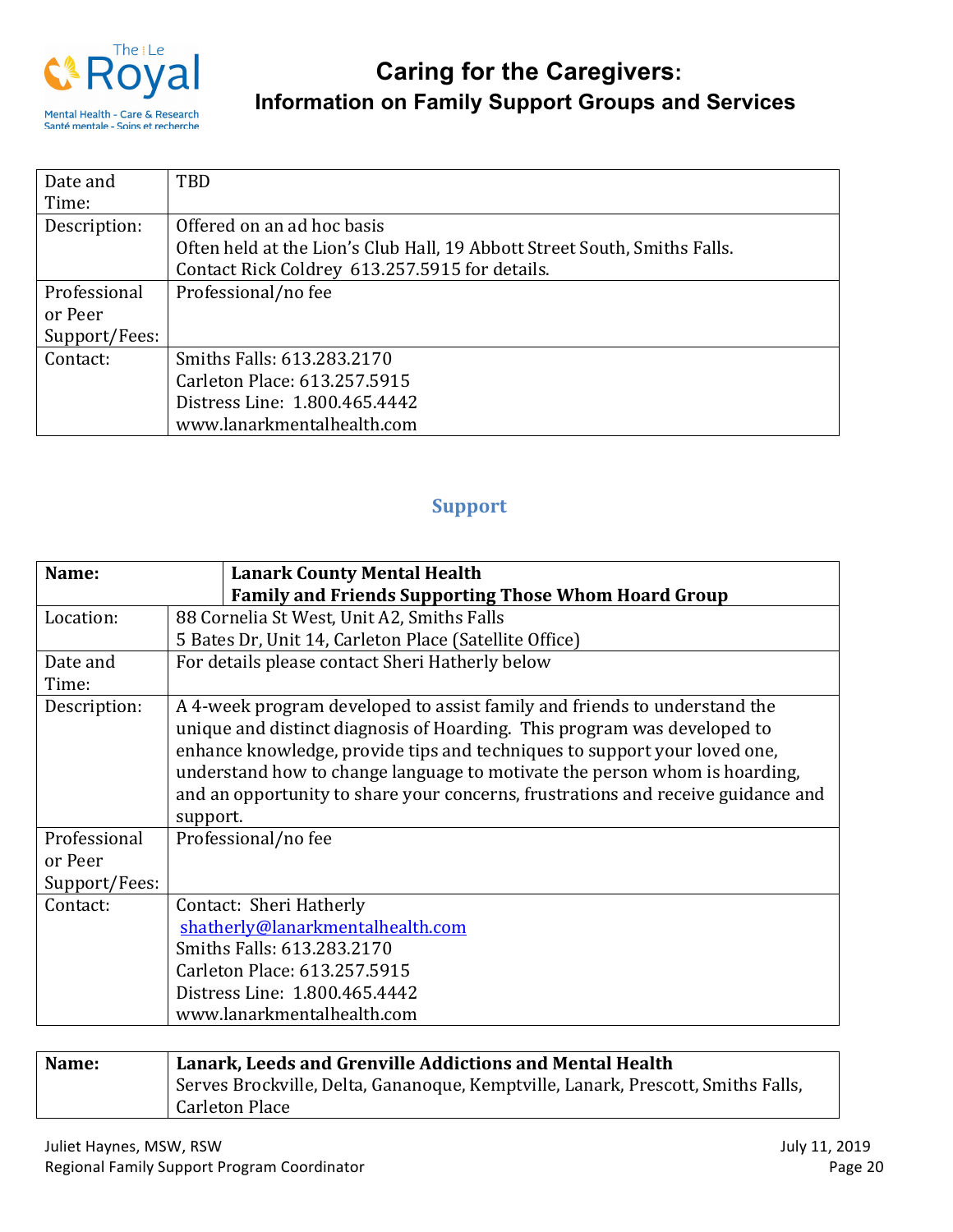

| Date and      | TBD                                                                       |
|---------------|---------------------------------------------------------------------------|
| Time:         |                                                                           |
| Description:  | Offered on an ad hoc basis                                                |
|               | Often held at the Lion's Club Hall, 19 Abbott Street South, Smiths Falls. |
|               | Contact Rick Coldrey 613.257.5915 for details.                            |
| Professional  | Professional/no fee                                                       |
| or Peer       |                                                                           |
| Support/Fees: |                                                                           |
| Contact:      | Smiths Falls: 613.283.2170                                                |
|               | Carleton Place: 613.257.5915                                              |
|               | Distress Line: 1.800.465.4442                                             |
|               | www.lanarkmentalhealth.com                                                |

## **Support**

| Name:         | <b>Lanark County Mental Health</b>                                               |
|---------------|----------------------------------------------------------------------------------|
|               | <b>Family and Friends Supporting Those Whom Hoard Group</b>                      |
| Location:     | 88 Cornelia St West, Unit A2, Smiths Falls                                       |
|               | 5 Bates Dr, Unit 14, Carleton Place (Satellite Office)                           |
| Date and      | For details please contact Sheri Hatherly below                                  |
| Time:         |                                                                                  |
| Description:  | A 4-week program developed to assist family and friends to understand the        |
|               | unique and distinct diagnosis of Hoarding. This program was developed to         |
|               | enhance knowledge, provide tips and techniques to support your loved one,        |
|               | understand how to change language to motivate the person whom is hoarding,       |
|               | and an opportunity to share your concerns, frustrations and receive guidance and |
|               | support.                                                                         |
| Professional  | Professional/no fee                                                              |
| or Peer       |                                                                                  |
| Support/Fees: |                                                                                  |
| Contact:      | Contact: Sheri Hatherly                                                          |
|               | shatherly@lanarkmentalhealth.com                                                 |
|               | Smiths Falls: 613.283.2170                                                       |
|               | Carleton Place: 613.257.5915                                                     |
|               | Distress Line: 1.800.465.4442                                                    |
|               | www.lanarkmentalhealth.com                                                       |

| Name: | Lanark, Leeds and Grenville Addictions and Mental Health                         |
|-------|----------------------------------------------------------------------------------|
|       | Serves Brockville, Delta, Gananoque, Kemptville, Lanark, Prescott, Smiths Falls, |
|       | <b>Carleton Place</b>                                                            |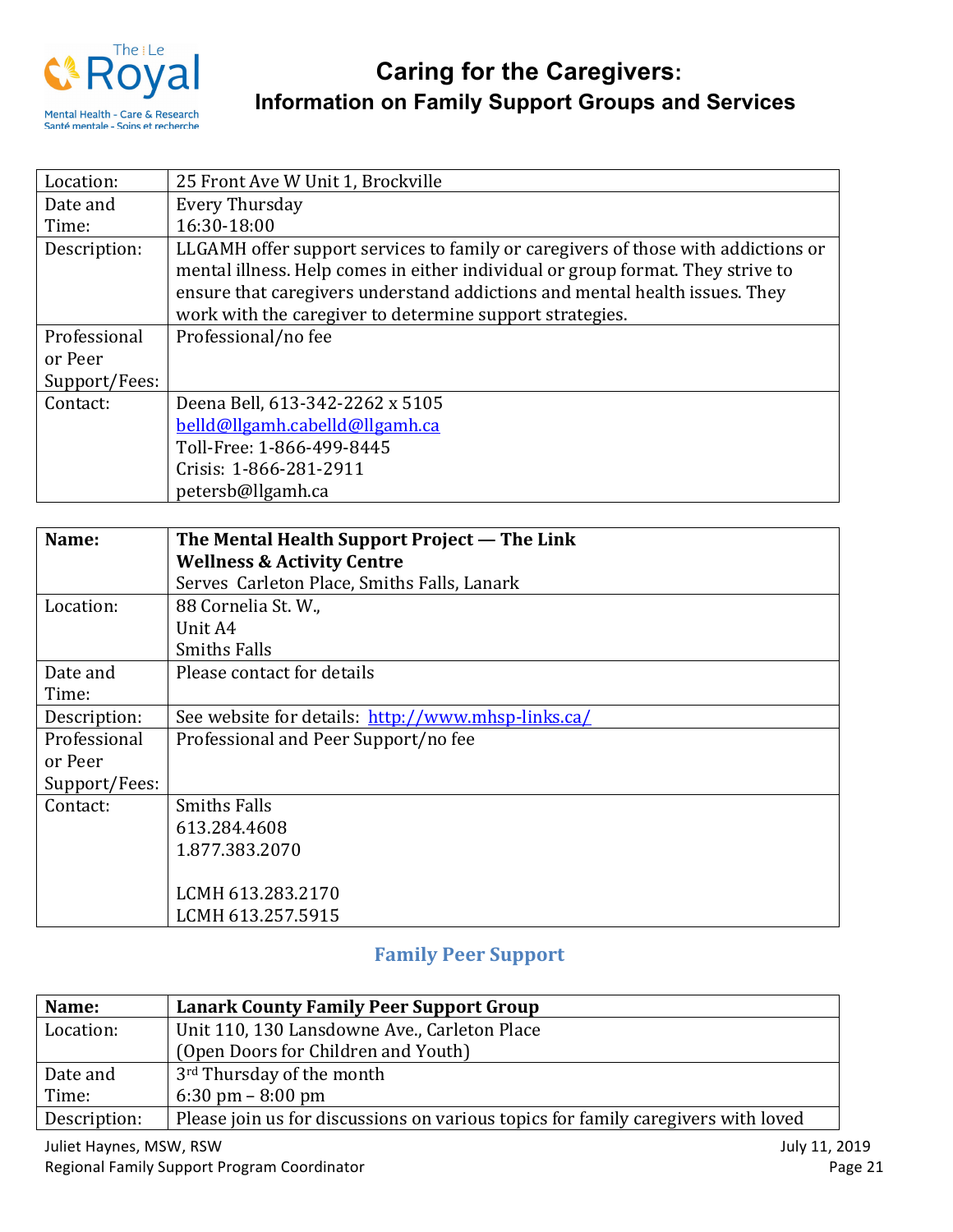

| Location:     | 25 Front Ave W Unit 1, Brockville                                                 |
|---------------|-----------------------------------------------------------------------------------|
| Date and      | Every Thursday                                                                    |
| Time:         | 16:30-18:00                                                                       |
| Description:  | LLGAMH offer support services to family or caregivers of those with addictions or |
|               | mental illness. Help comes in either individual or group format. They strive to   |
|               | ensure that caregivers understand addictions and mental health issues. They       |
|               | work with the caregiver to determine support strategies.                          |
| Professional  | Professional/no fee                                                               |
| or Peer       |                                                                                   |
| Support/Fees: |                                                                                   |
| Contact:      | Deena Bell, 613-342-2262 x 5105                                                   |
|               | belld@llgamh.cabelld@llgamh.ca                                                    |
|               | Toll-Free: 1-866-499-8445                                                         |
|               | Crisis: 1-866-281-2911                                                            |
|               | petersb@llgamh.ca                                                                 |

| Name:         | The Mental Health Support Project — The Link       |
|---------------|----------------------------------------------------|
|               | <b>Wellness &amp; Activity Centre</b>              |
|               | Serves Carleton Place, Smiths Falls, Lanark        |
| Location:     | 88 Cornelia St. W.,                                |
|               | Unit A4                                            |
|               | <b>Smiths Falls</b>                                |
| Date and      | Please contact for details                         |
| Time:         |                                                    |
| Description:  | See website for details: http://www.mhsp-links.ca/ |
| Professional  | Professional and Peer Support/no fee               |
| or Peer       |                                                    |
| Support/Fees: |                                                    |
| Contact:      | <b>Smiths Falls</b>                                |
|               | 613.284.4608                                       |
|               | 1.877.383.2070                                     |
|               |                                                    |
|               | LCMH 613.283.2170                                  |
|               | LCMH 613.257.5915                                  |

## **Family Peer Support**

| Name:        | <b>Lanark County Family Peer Support Group</b>                                    |
|--------------|-----------------------------------------------------------------------------------|
| Location:    | Unit 110, 130 Lansdowne Ave., Carleton Place                                      |
|              | (Open Doors for Children and Youth)                                               |
| Date and     | 3 <sup>rd</sup> Thursday of the month                                             |
| Time:        | $6:30 \text{ pm} - 8:00 \text{ pm}$                                               |
| Description: | Please join us for discussions on various topics for family caregivers with loved |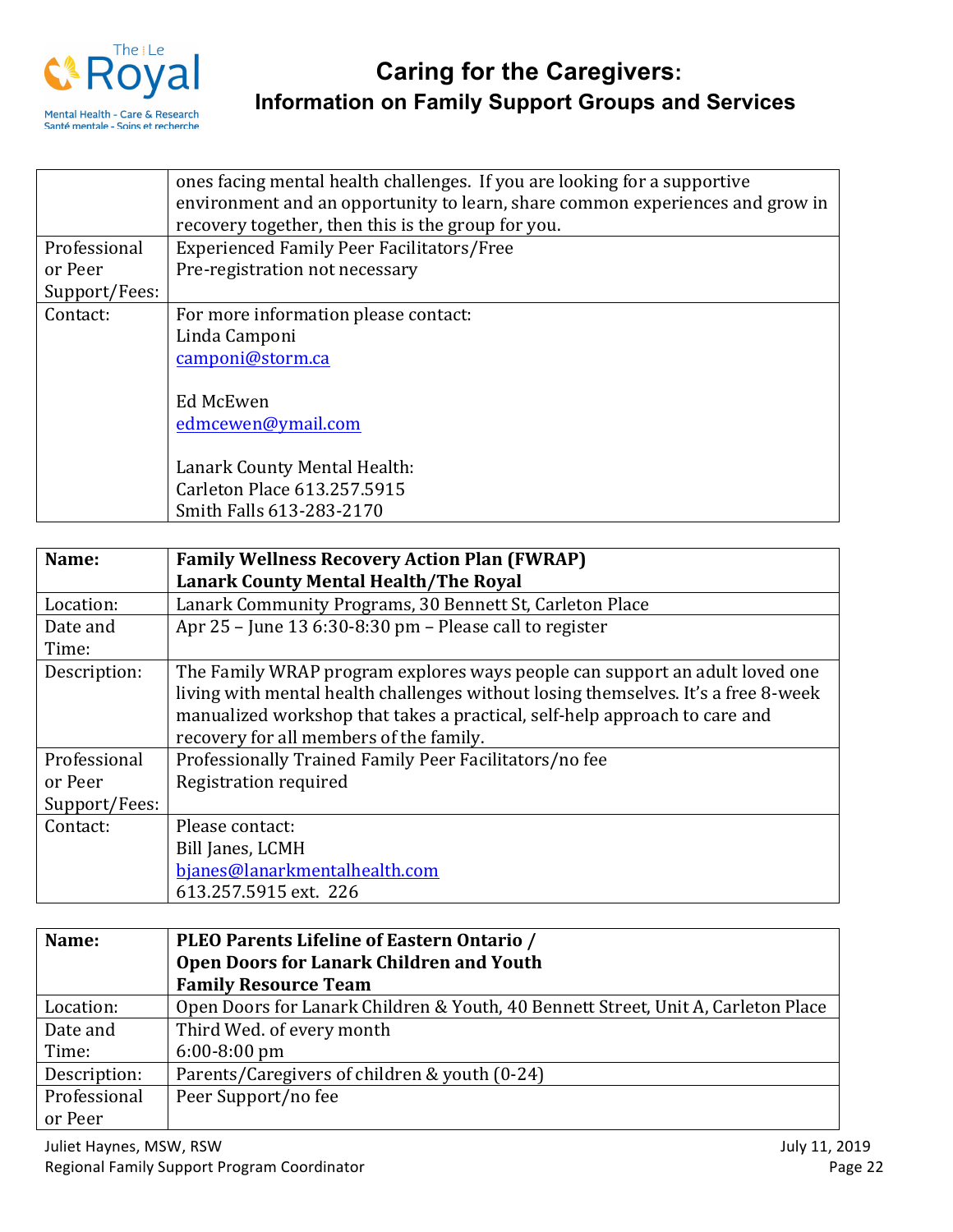

|               | ones facing mental health challenges. If you are looking for a supportive     |
|---------------|-------------------------------------------------------------------------------|
|               | environment and an opportunity to learn, share common experiences and grow in |
|               | recovery together, then this is the group for you.                            |
| Professional  | <b>Experienced Family Peer Facilitators/Free</b>                              |
| or Peer       | Pre-registration not necessary                                                |
| Support/Fees: |                                                                               |
| Contact:      | For more information please contact:                                          |
|               | Linda Camponi                                                                 |
|               | camponi@storm.ca                                                              |
|               |                                                                               |
|               | Ed McEwen                                                                     |
|               | edmcewen@ymail.com                                                            |
|               |                                                                               |
|               | Lanark County Mental Health:                                                  |
|               | Carleton Place 613.257.5915                                                   |
|               | Smith Falls 613-283-2170                                                      |

| Name:         | <b>Family Wellness Recovery Action Plan (FWRAP)</b>                                |
|---------------|------------------------------------------------------------------------------------|
|               | <b>Lanark County Mental Health/The Royal</b>                                       |
| Location:     | Lanark Community Programs, 30 Bennett St, Carleton Place                           |
| Date and      | Apr 25 - June 13 6:30-8:30 pm - Please call to register                            |
| Time:         |                                                                                    |
| Description:  | The Family WRAP program explores ways people can support an adult loved one        |
|               | living with mental health challenges without losing themselves. It's a free 8-week |
|               | manualized workshop that takes a practical, self-help approach to care and         |
|               | recovery for all members of the family.                                            |
| Professional  | Professionally Trained Family Peer Facilitators/no fee                             |
| or Peer       | Registration required                                                              |
| Support/Fees: |                                                                                    |
| Contact:      | Please contact:                                                                    |
|               | Bill Janes, LCMH                                                                   |
|               | bjanes@lanarkmentalhealth.com                                                      |
|               | 613.257.5915 ext. 226                                                              |

| Name:        | PLEO Parents Lifeline of Eastern Ontario /                                        |
|--------------|-----------------------------------------------------------------------------------|
|              | <b>Open Doors for Lanark Children and Youth</b>                                   |
|              | <b>Family Resource Team</b>                                                       |
| Location:    | Open Doors for Lanark Children & Youth, 40 Bennett Street, Unit A, Carleton Place |
| Date and     | Third Wed. of every month                                                         |
| Time:        | $6:00-8:00$ pm                                                                    |
| Description: | Parents/Caregivers of children & youth (0-24)                                     |
| Professional | Peer Support/no fee                                                               |
| or Peer      |                                                                                   |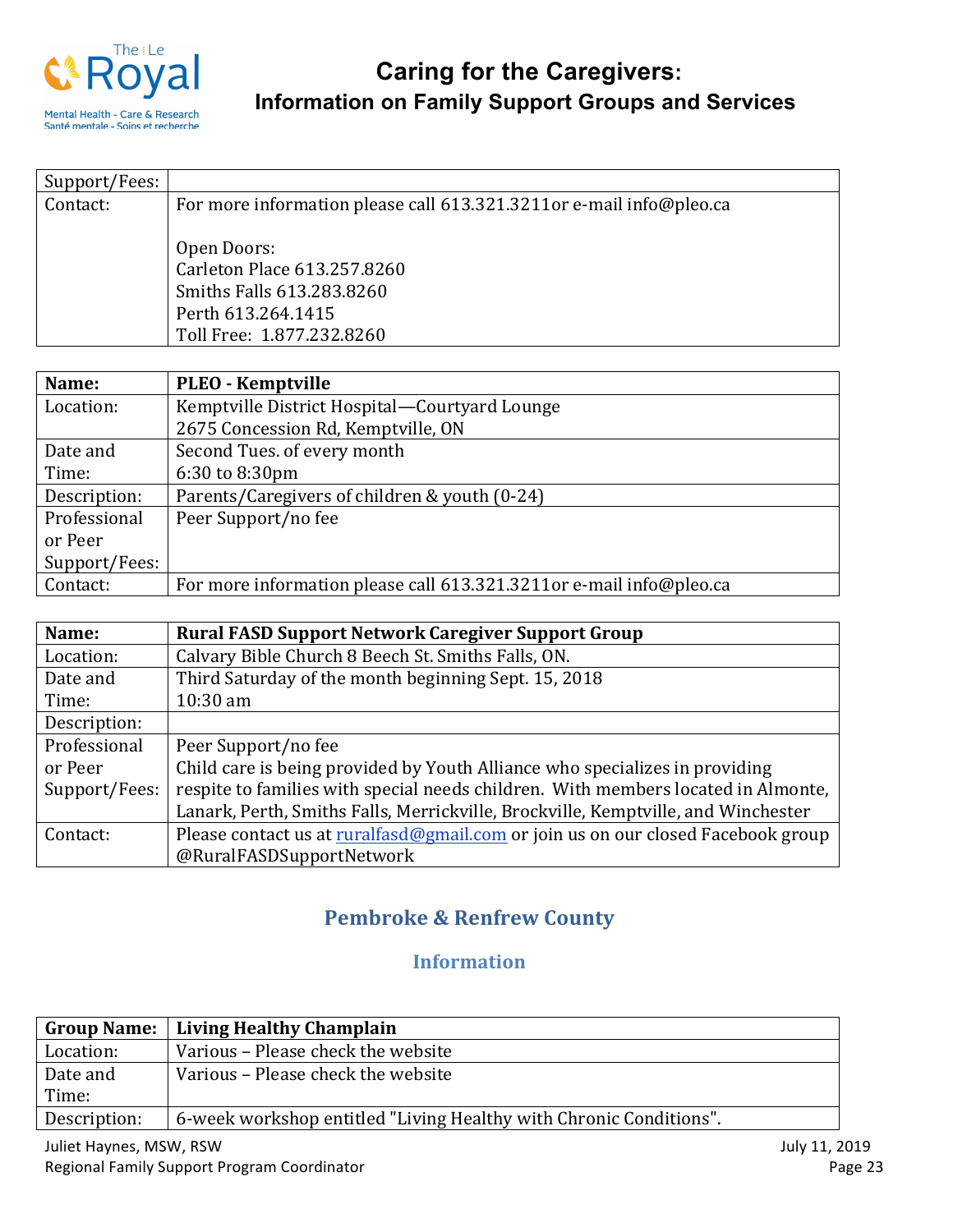

| Support/Fees: |                                                                     |
|---------------|---------------------------------------------------------------------|
| Contact:      | For more information please call 613.321.3211or e-mail info@pleo.ca |
|               |                                                                     |
|               | Open Doors:                                                         |
|               | Carleton Place 613.257.8260                                         |
|               | Smiths Falls 613.283.8260                                           |
|               | Perth 613.264.1415                                                  |
|               | Toll Free: 1.877.232.8260                                           |

| Name:         | <b>PLEO - Kemptville</b>                                            |
|---------------|---------------------------------------------------------------------|
| Location:     | Kemptville District Hospital-Courtyard Lounge                       |
|               | 2675 Concession Rd, Kemptville, ON                                  |
| Date and      | Second Tues. of every month                                         |
| Time:         | 6:30 to 8:30pm                                                      |
| Description:  | Parents/Caregivers of children & youth (0-24)                       |
| Professional  | Peer Support/no fee                                                 |
| or Peer       |                                                                     |
| Support/Fees: |                                                                     |
| Contact:      | For more information please call 613.321.3211or e-mail info@pleo.ca |

| Name:         | <b>Rural FASD Support Network Caregiver Support Group</b>                         |
|---------------|-----------------------------------------------------------------------------------|
| Location:     | Calvary Bible Church 8 Beech St. Smiths Falls, ON.                                |
| Date and      | Third Saturday of the month beginning Sept. 15, 2018                              |
| Time:         | $10:30$ am                                                                        |
| Description:  |                                                                                   |
| Professional  | Peer Support/no fee                                                               |
| or Peer       | Child care is being provided by Youth Alliance who specializes in providing       |
| Support/Fees: | respite to families with special needs children. With members located in Almonte, |
|               | Lanark, Perth, Smiths Falls, Merrickville, Brockville, Kemptville, and Winchester |
| Contact:      | Please contact us at ruralfasd@gmail.com or join us on our closed Facebook group  |
|               | @RuralFASDSupportNetwork                                                          |

## **Pembroke & Renfrew County**

## **Information**

|              | Group Name:   Living Healthy Champlain                             |
|--------------|--------------------------------------------------------------------|
| Location:    | Various - Please check the website                                 |
| Date and     | Various – Please check the website                                 |
| Time:        |                                                                    |
| Description: | 6-week workshop entitled "Living Healthy with Chronic Conditions". |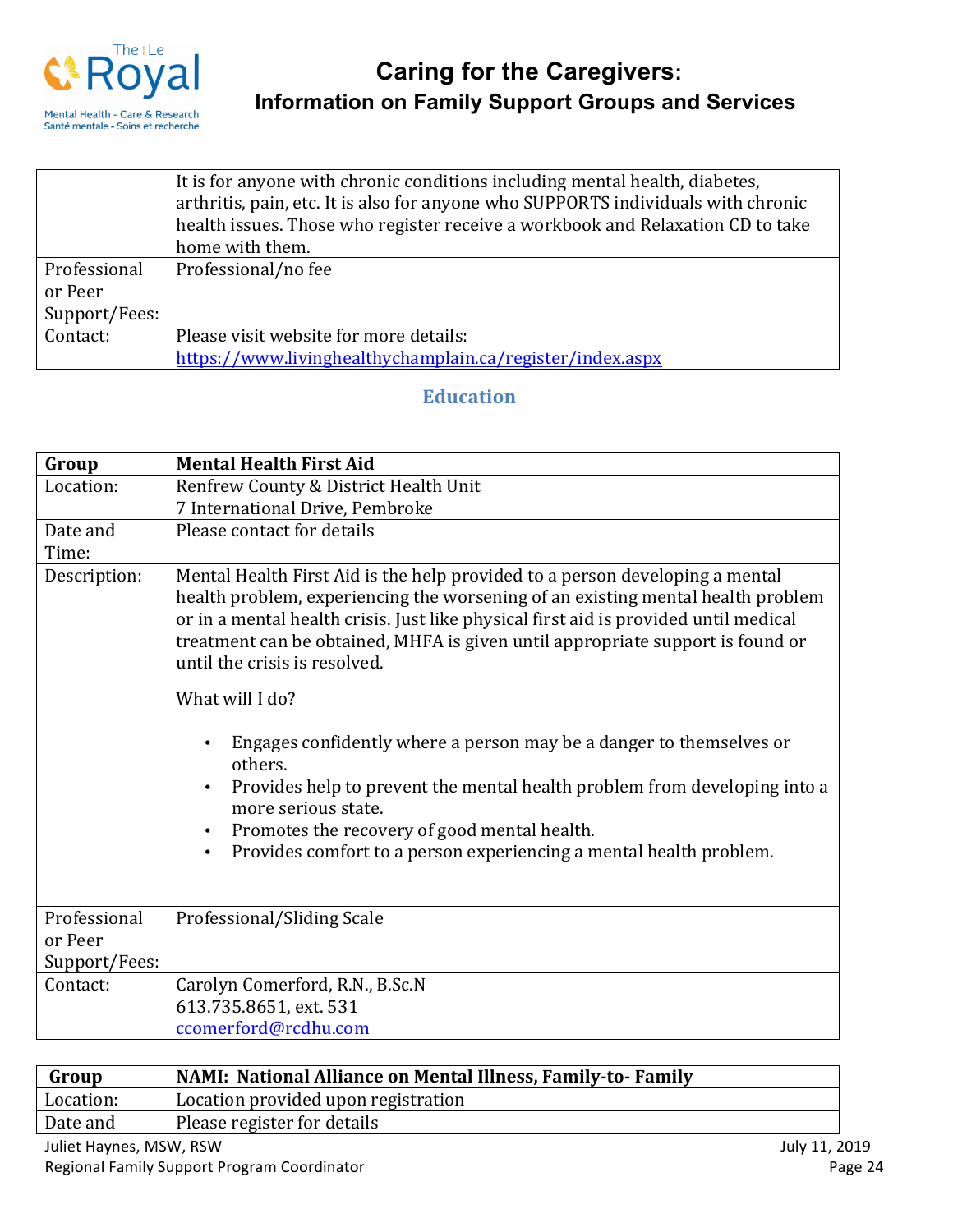

|               | It is for anyone with chronic conditions including mental health, diabetes,<br>arthritis, pain, etc. It is also for anyone who SUPPORTS individuals with chronic<br>health issues. Those who register receive a workbook and Relaxation CD to take |
|---------------|----------------------------------------------------------------------------------------------------------------------------------------------------------------------------------------------------------------------------------------------------|
|               | home with them.                                                                                                                                                                                                                                    |
| Professional  | Professional/no fee                                                                                                                                                                                                                                |
| or Peer       |                                                                                                                                                                                                                                                    |
| Support/Fees: |                                                                                                                                                                                                                                                    |
| Contact:      | Please visit website for more details:                                                                                                                                                                                                             |
|               | https://www.livinghealthychamplain.ca/register/index.aspx                                                                                                                                                                                          |

#### **Education**

| Group         | <b>Mental Health First Aid</b>                                                                                                                                                                                                                                                                                                                                             |
|---------------|----------------------------------------------------------------------------------------------------------------------------------------------------------------------------------------------------------------------------------------------------------------------------------------------------------------------------------------------------------------------------|
| Location:     | Renfrew County & District Health Unit                                                                                                                                                                                                                                                                                                                                      |
|               | 7 International Drive, Pembroke                                                                                                                                                                                                                                                                                                                                            |
| Date and      | Please contact for details                                                                                                                                                                                                                                                                                                                                                 |
| Time:         |                                                                                                                                                                                                                                                                                                                                                                            |
| Description:  | Mental Health First Aid is the help provided to a person developing a mental<br>health problem, experiencing the worsening of an existing mental health problem<br>or in a mental health crisis. Just like physical first aid is provided until medical<br>treatment can be obtained, MHFA is given until appropriate support is found or<br>until the crisis is resolved. |
|               | What will I do?                                                                                                                                                                                                                                                                                                                                                            |
|               | Engages confidently where a person may be a danger to themselves or<br>others.<br>Provides help to prevent the mental health problem from developing into a<br>more serious state.<br>Promotes the recovery of good mental health.<br>Provides comfort to a person experiencing a mental health problem.                                                                   |
| Professional  | Professional/Sliding Scale                                                                                                                                                                                                                                                                                                                                                 |
| or Peer       |                                                                                                                                                                                                                                                                                                                                                                            |
| Support/Fees: |                                                                                                                                                                                                                                                                                                                                                                            |
| Contact:      | Carolyn Comerford, R.N., B.Sc.N                                                                                                                                                                                                                                                                                                                                            |
|               | 613.735.8651, ext. 531                                                                                                                                                                                                                                                                                                                                                     |
|               | ccomerford@rcdhu.com                                                                                                                                                                                                                                                                                                                                                       |

| Group     | NAMI: National Alliance on Mental Illness, Family-to-Family |
|-----------|-------------------------------------------------------------|
| Location: | Location provided upon registration                         |
| Date and  | Please register for details                                 |
|           |                                                             |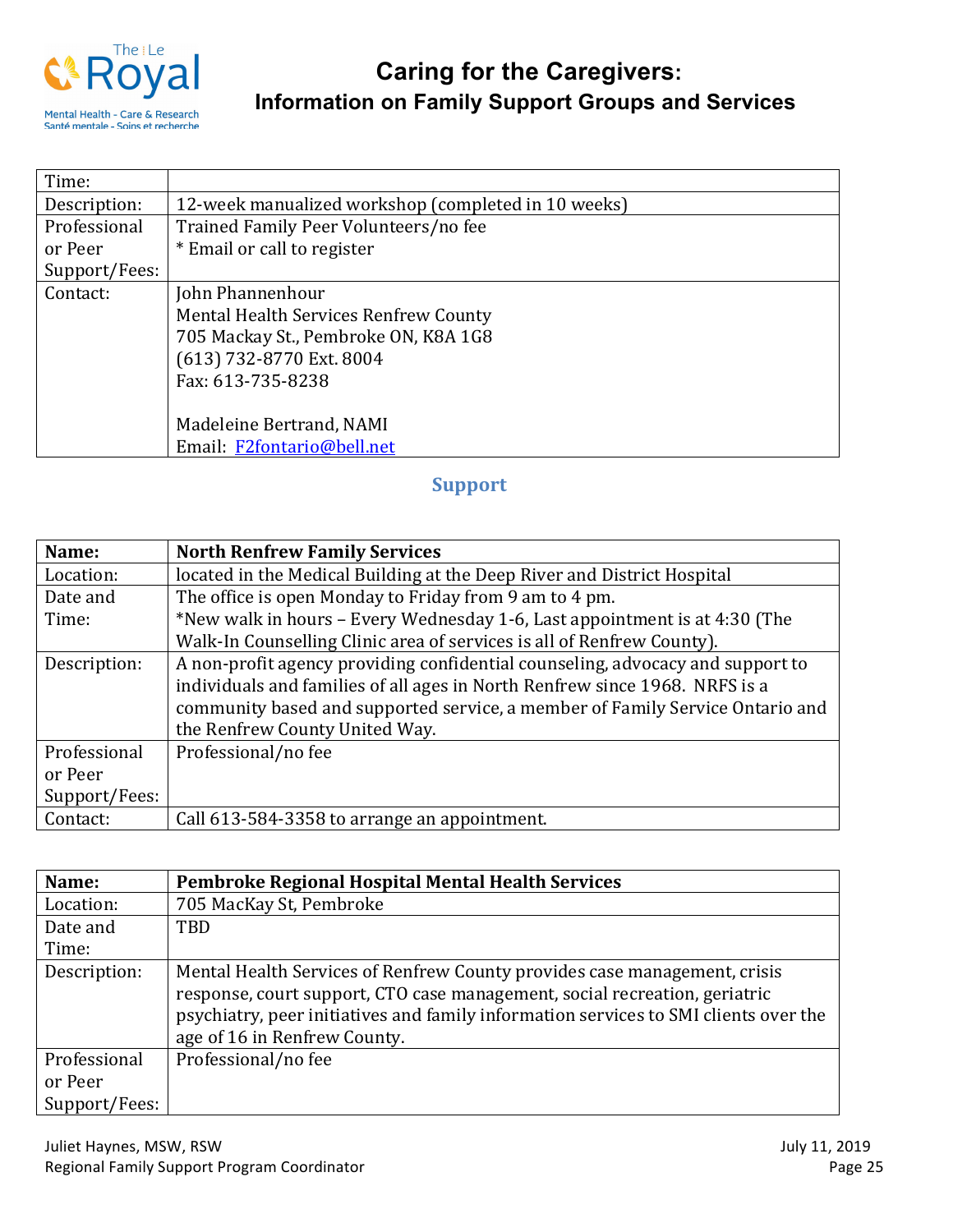

| Time:         |                                                     |
|---------------|-----------------------------------------------------|
| Description:  | 12-week manualized workshop (completed in 10 weeks) |
| Professional  | Trained Family Peer Volunteers/no fee               |
| or Peer       | * Email or call to register                         |
| Support/Fees: |                                                     |
| Contact:      | John Phannenhour                                    |
|               | Mental Health Services Renfrew County               |
|               | 705 Mackay St., Pembroke ON, K8A 1G8                |
|               | (613) 732-8770 Ext. 8004                            |
|               | Fax: 613-735-8238                                   |
|               |                                                     |
|               | Madeleine Bertrand, NAMI                            |
|               | Email: F2fontario@bell.net                          |

## **Support**

| Name:         | <b>North Renfrew Family Services</b>                                           |
|---------------|--------------------------------------------------------------------------------|
| Location:     | located in the Medical Building at the Deep River and District Hospital        |
| Date and      | The office is open Monday to Friday from 9 am to 4 pm.                         |
| Time:         | *New walk in hours – Every Wednesday 1-6, Last appointment is at 4:30 (The     |
|               | Walk-In Counselling Clinic area of services is all of Renfrew County).         |
| Description:  | A non-profit agency providing confidential counseling, advocacy and support to |
|               | individuals and families of all ages in North Renfrew since 1968. NRFS is a    |
|               | community based and supported service, a member of Family Service Ontario and  |
|               | the Renfrew County United Way.                                                 |
| Professional  | Professional/no fee                                                            |
| or Peer       |                                                                                |
| Support/Fees: |                                                                                |
| Contact:      | Call 613-584-3358 to arrange an appointment.                                   |

| Name:         | Pembroke Regional Hospital Mental Health Services                                                                                                                                                                                                                               |
|---------------|---------------------------------------------------------------------------------------------------------------------------------------------------------------------------------------------------------------------------------------------------------------------------------|
| Location:     | 705 MacKay St, Pembroke                                                                                                                                                                                                                                                         |
| Date and      | TBD                                                                                                                                                                                                                                                                             |
| Time:         |                                                                                                                                                                                                                                                                                 |
| Description:  | Mental Health Services of Renfrew County provides case management, crisis<br>response, court support, CTO case management, social recreation, geriatric<br>psychiatry, peer initiatives and family information services to SMI clients over the<br>age of 16 in Renfrew County. |
| Professional  | Professional/no fee                                                                                                                                                                                                                                                             |
| or Peer       |                                                                                                                                                                                                                                                                                 |
| Support/Fees: |                                                                                                                                                                                                                                                                                 |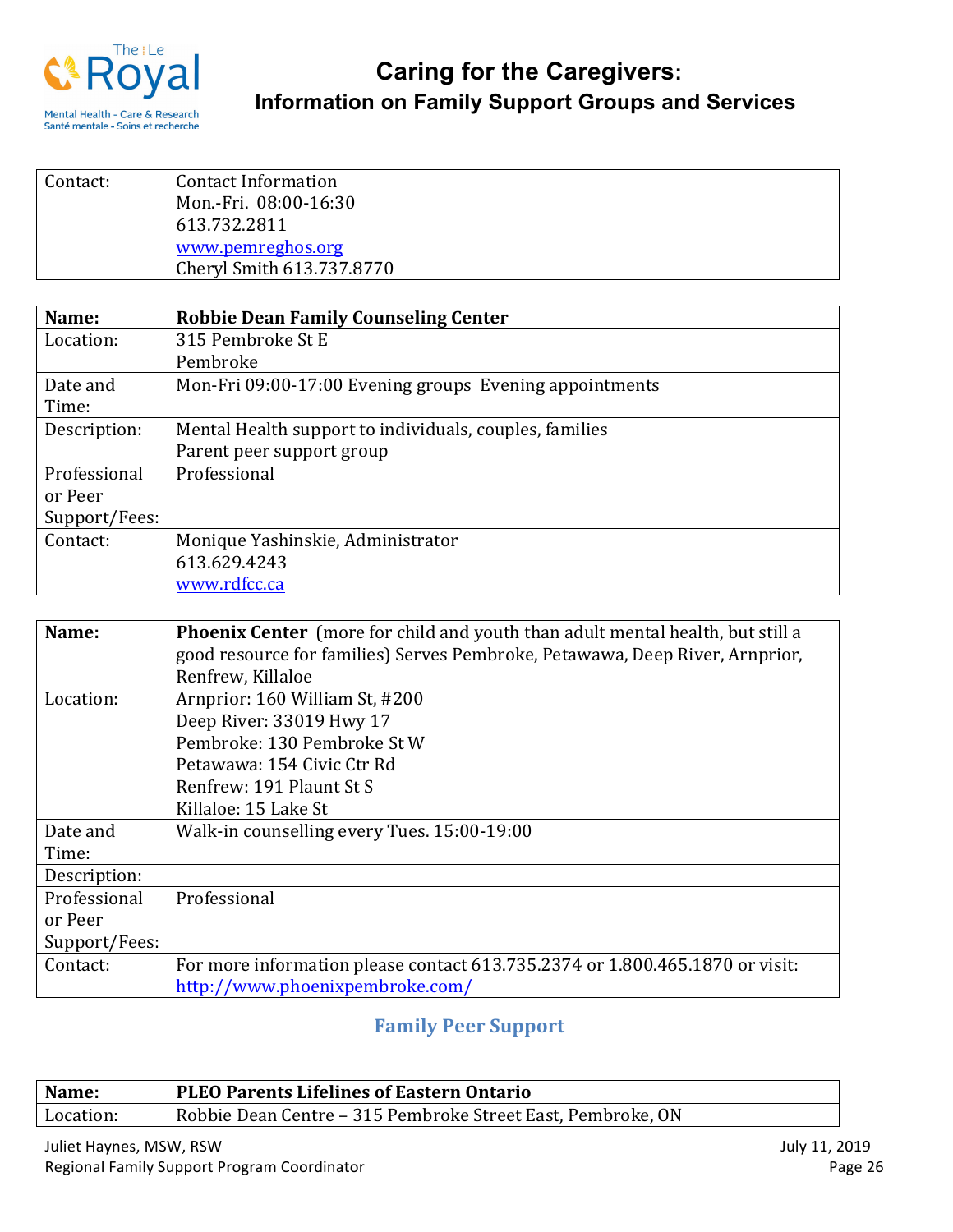

| Contact: | <b>Contact Information</b><br>Mon.-Fri. 08:00-16:30<br>613.732.2811 |
|----------|---------------------------------------------------------------------|
|          | www.pemreghos.org<br>Cheryl Smith 613.737.8770                      |

| Name:         | <b>Robbie Dean Family Counseling Center</b>             |
|---------------|---------------------------------------------------------|
| Location:     | 315 Pembroke St E                                       |
|               | Pembroke                                                |
| Date and      | Mon-Fri 09:00-17:00 Evening groups Evening appointments |
| Time:         |                                                         |
| Description:  | Mental Health support to individuals, couples, families |
|               | Parent peer support group                               |
| Professional  | Professional                                            |
| or Peer       |                                                         |
| Support/Fees: |                                                         |
| Contact:      | Monique Yashinskie, Administrator                       |
|               | 613.629.4243                                            |
|               | www.rdfcc.ca                                            |

| Name:         |                                                                                       |
|---------------|---------------------------------------------------------------------------------------|
|               | <b>Phoenix Center</b> (more for child and youth than adult mental health, but still a |
|               | good resource for families) Serves Pembroke, Petawawa, Deep River, Arnprior,          |
|               | Renfrew, Killaloe                                                                     |
| Location:     | Arnprior: 160 William St, #200                                                        |
|               | Deep River: 33019 Hwy 17                                                              |
|               | Pembroke: 130 Pembroke St W                                                           |
|               | Petawawa: 154 Civic Ctr Rd                                                            |
|               | Renfrew: 191 Plaunt St S                                                              |
|               | Killaloe: 15 Lake St                                                                  |
| Date and      | Walk-in counselling every Tues. 15:00-19:00                                           |
| Time:         |                                                                                       |
| Description:  |                                                                                       |
| Professional  | Professional                                                                          |
| or Peer       |                                                                                       |
| Support/Fees: |                                                                                       |
| Contact:      | For more information please contact 613.735.2374 or 1.800.465.1870 or visit:          |
|               | http://www.phoenixpembroke.com/                                                       |

## **Family Peer Support**

| Name:     | <b>PLEO Parents Lifelines of Eastern Ontario</b>            |
|-----------|-------------------------------------------------------------|
| Location: | Robbie Dean Centre – 315 Pembroke Street East, Pembroke, ON |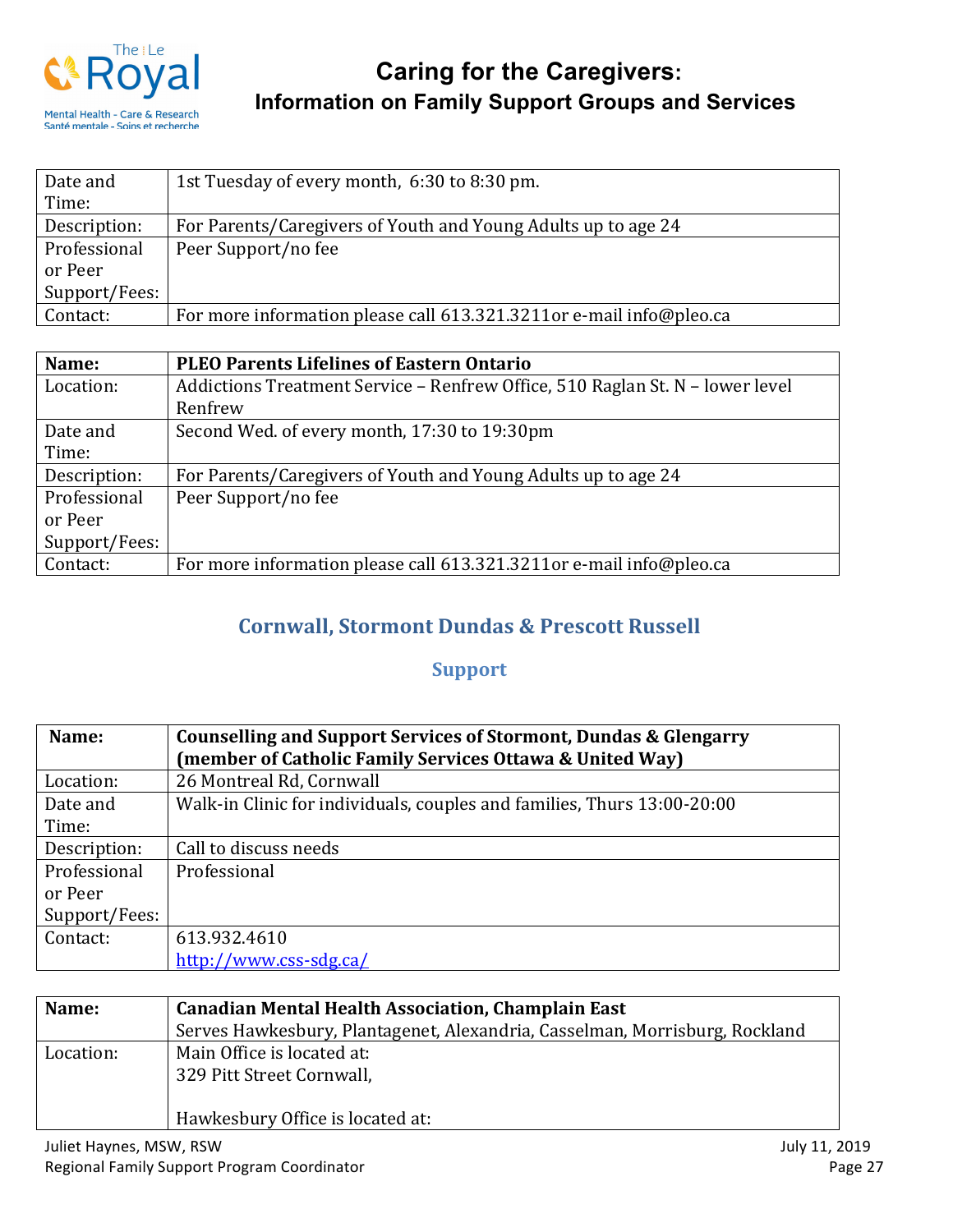

| Date and      | 1st Tuesday of every month, 6:30 to 8:30 pm.                        |
|---------------|---------------------------------------------------------------------|
| Time:         |                                                                     |
| Description:  | For Parents/Caregivers of Youth and Young Adults up to age 24       |
| Professional  | Peer Support/no fee                                                 |
| or Peer       |                                                                     |
| Support/Fees: |                                                                     |
| Contact:      | For more information please call 613.321.3211or e-mail info@pleo.ca |

| Name:         | <b>PLEO Parents Lifelines of Eastern Ontario</b>                              |
|---------------|-------------------------------------------------------------------------------|
| Location:     | Addictions Treatment Service - Renfrew Office, 510 Raglan St. N - lower level |
|               | Renfrew                                                                       |
| Date and      | Second Wed. of every month, 17:30 to 19:30pm                                  |
| Time:         |                                                                               |
| Description:  | For Parents/Caregivers of Youth and Young Adults up to age 24                 |
| Professional  | Peer Support/no fee                                                           |
| or Peer       |                                                                               |
| Support/Fees: |                                                                               |
| Contact:      | For more information please call 613.321.3211or e-mail info@pleo.ca           |

## **Cornwall, Stormont Dundas & Prescott Russell**

## **Support**

| Name:         | Counselling and Support Services of Stormont, Dundas & Glengarry        |
|---------------|-------------------------------------------------------------------------|
|               | (member of Catholic Family Services Ottawa & United Way)                |
| Location:     | 26 Montreal Rd, Cornwall                                                |
| Date and      | Walk-in Clinic for individuals, couples and families, Thurs 13:00-20:00 |
| Time:         |                                                                         |
| Description:  | Call to discuss needs                                                   |
| Professional  | Professional                                                            |
| or Peer       |                                                                         |
| Support/Fees: |                                                                         |
| Contact:      | 613.932.4610                                                            |
|               | http://www.css-sdg.ca/                                                  |

| Name:     | <b>Canadian Mental Health Association, Champlain East</b>                   |
|-----------|-----------------------------------------------------------------------------|
|           | Serves Hawkesbury, Plantagenet, Alexandria, Casselman, Morrisburg, Rockland |
| Location: | Main Office is located at:<br>329 Pitt Street Cornwall,                     |
|           | Hawkesbury Office is located at:                                            |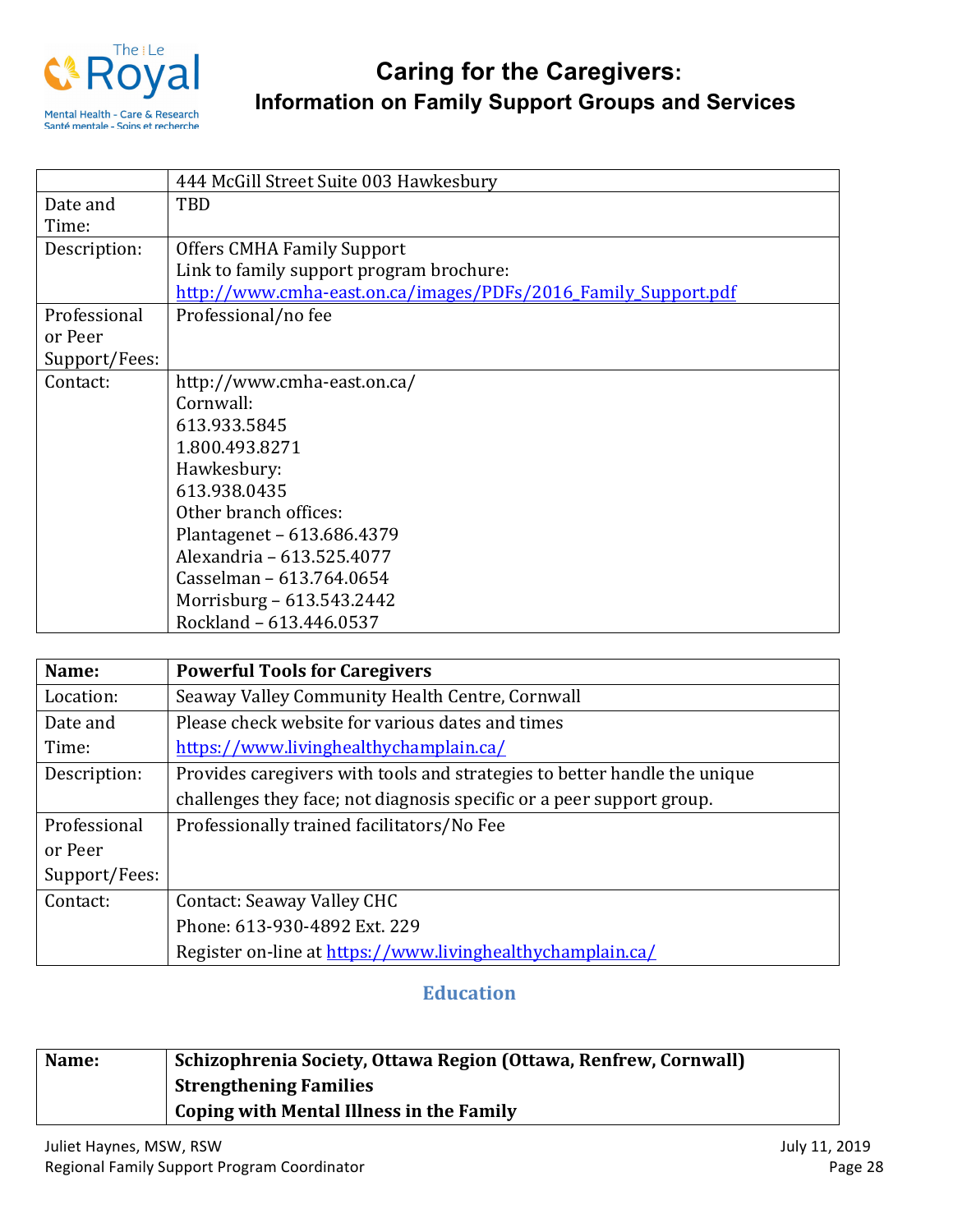

|               | 444 McGill Street Suite 003 Hawkesbury                         |
|---------------|----------------------------------------------------------------|
| Date and      | TBD                                                            |
| Time:         |                                                                |
| Description:  | <b>Offers CMHA Family Support</b>                              |
|               | Link to family support program brochure:                       |
|               | http://www.cmha-east.on.ca/images/PDFs/2016_Family_Support.pdf |
| Professional  | Professional/no fee                                            |
| or Peer       |                                                                |
| Support/Fees: |                                                                |
| Contact:      | http://www.cmha-east.on.ca/                                    |
|               | Cornwall:                                                      |
|               | 613.933.5845                                                   |
|               | 1.800.493.8271                                                 |
|               | Hawkesbury:                                                    |
|               | 613.938.0435                                                   |
|               | Other branch offices:                                          |
|               | Plantagenet - 613.686.4379                                     |
|               | Alexandria - 613.525.4077                                      |
|               | Casselman - 613.764.0654                                       |
|               | Morrisburg – 613.543.2442                                      |
|               | Rockland - 613.446.0537                                        |

| Name:         | <b>Powerful Tools for Caregivers</b>                                      |
|---------------|---------------------------------------------------------------------------|
| Location:     | Seaway Valley Community Health Centre, Cornwall                           |
| Date and      | Please check website for various dates and times                          |
| Time:         | https://www.livinghealthychamplain.ca/                                    |
| Description:  | Provides caregivers with tools and strategies to better handle the unique |
|               | challenges they face; not diagnosis specific or a peer support group.     |
| Professional  | Professionally trained facilitators/No Fee                                |
| or Peer       |                                                                           |
| Support/Fees: |                                                                           |
| Contact:      | <b>Contact: Seaway Valley CHC</b>                                         |
|               | Phone: 613-930-4892 Ext. 229                                              |
|               | Register on-line at https://www.livinghealthychamplain.ca/                |

### **Education**

| Name: | Schizophrenia Society, Ottawa Region (Ottawa, Renfrew, Cornwall) |
|-------|------------------------------------------------------------------|
|       | <b>Strengthening Families</b>                                    |
|       | Coping with Mental Illness in the Family                         |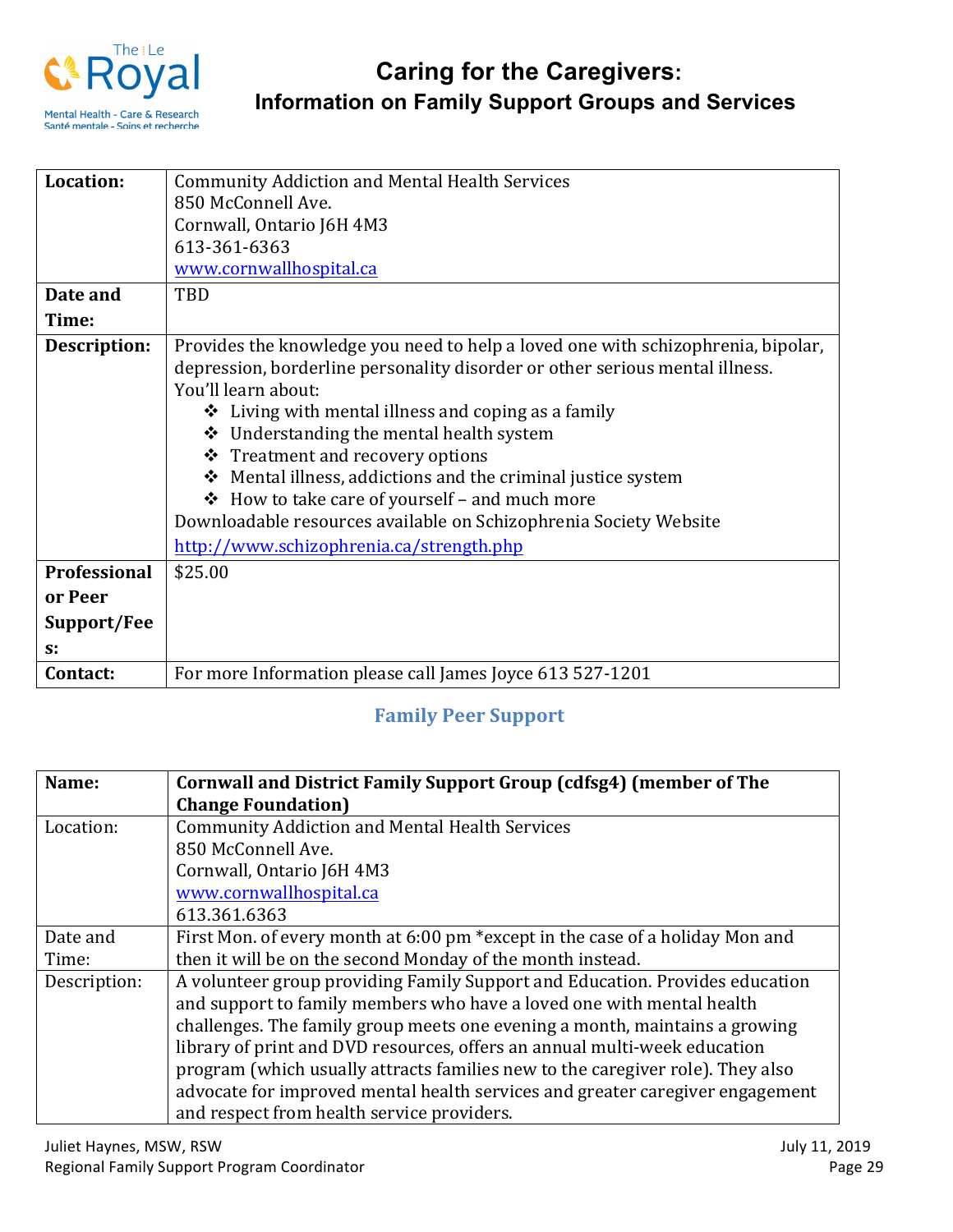

| Location:    |                                                                                  |
|--------------|----------------------------------------------------------------------------------|
|              | <b>Community Addiction and Mental Health Services</b>                            |
|              | 850 McConnell Ave.                                                               |
|              | Cornwall, Ontario J6H 4M3                                                        |
|              | 613-361-6363                                                                     |
|              | www.cornwallhospital.ca                                                          |
| Date and     | TBD                                                                              |
| Time:        |                                                                                  |
| Description: | Provides the knowledge you need to help a loved one with schizophrenia, bipolar, |
|              | depression, borderline personality disorder or other serious mental illness.     |
|              | You'll learn about:                                                              |
|              | $\triangleleft$ Living with mental illness and coping as a family                |
|              | Understanding the mental health system<br>❖                                      |
|              | ❖ Treatment and recovery options                                                 |
|              | Mental illness, addictions and the criminal justice system<br>❖                  |
|              | How to take care of yourself - and much more<br>❖                                |
|              |                                                                                  |
|              | Downloadable resources available on Schizophrenia Society Website                |
|              | http://www.schizophrenia.ca/strength.php                                         |
| Professional | \$25.00                                                                          |
| or Peer      |                                                                                  |
| Support/Fee  |                                                                                  |
| $S^*$        |                                                                                  |
| Contact:     | For more Information please call James Joyce 613 527-1201                        |

## **Family Peer Support**

| Name:        | Cornwall and District Family Support Group (cdfsg4) (member of The<br><b>Change Foundation</b> ) |
|--------------|--------------------------------------------------------------------------------------------------|
| Location:    | <b>Community Addiction and Mental Health Services</b>                                            |
|              | 850 McConnell Ave.                                                                               |
|              | Cornwall, Ontario J6H 4M3                                                                        |
|              | www.cornwallhospital.ca                                                                          |
|              | 613.361.6363                                                                                     |
| Date and     | First Mon. of every month at 6:00 pm *except in the case of a holiday Mon and                    |
| Time:        | then it will be on the second Monday of the month instead.                                       |
| Description: | A volunteer group providing Family Support and Education. Provides education                     |
|              | and support to family members who have a loved one with mental health                            |
|              | challenges. The family group meets one evening a month, maintains a growing                      |
|              | library of print and DVD resources, offers an annual multi-week education                        |
|              | program (which usually attracts families new to the caregiver role). They also                   |
|              | advocate for improved mental health services and greater caregiver engagement                    |
|              | and respect from health service providers.                                                       |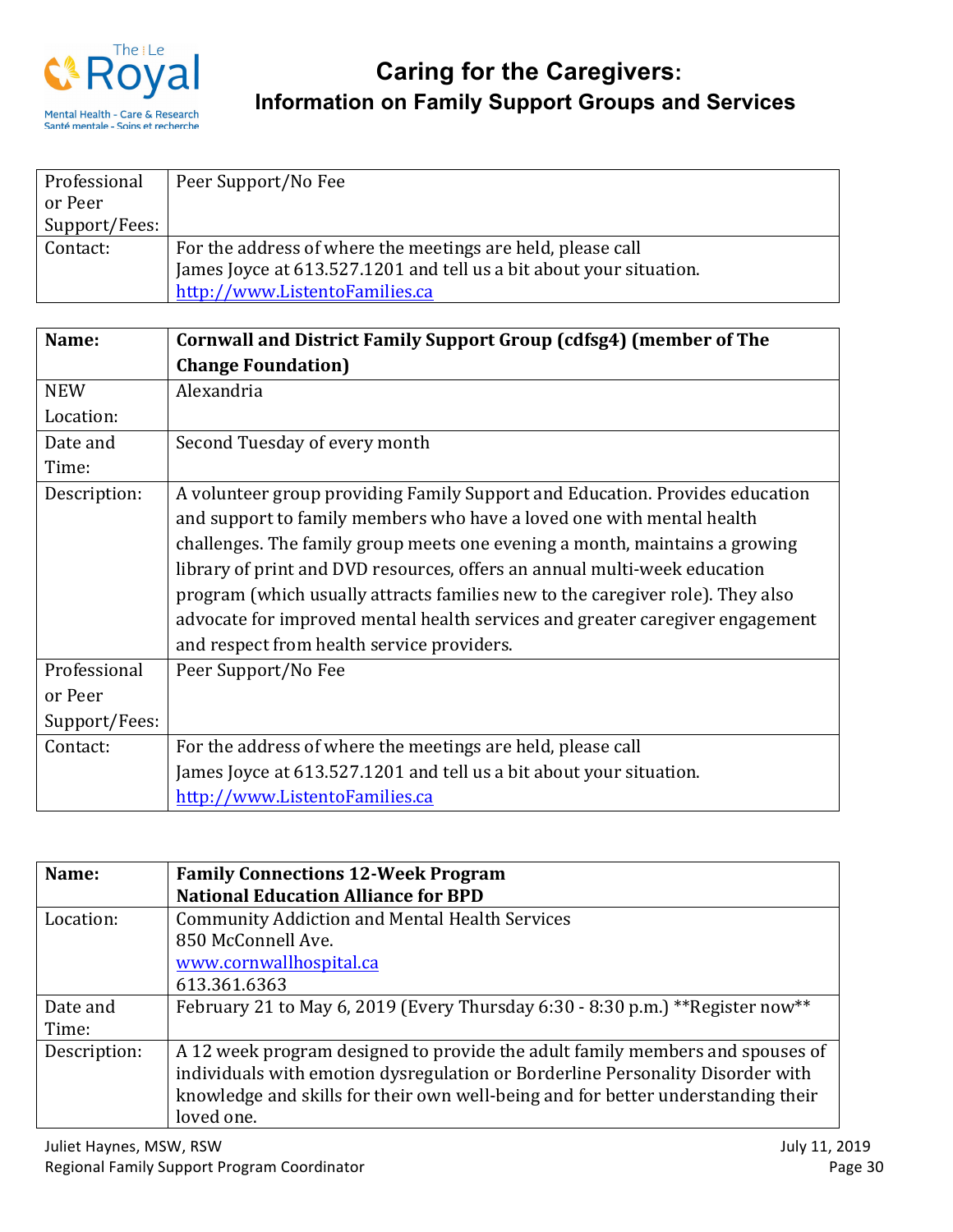

| Professional  | Peer Support/No Fee                                                 |
|---------------|---------------------------------------------------------------------|
| or Peer       |                                                                     |
| Support/Fees: |                                                                     |
| Contact:      | For the address of where the meetings are held, please call         |
|               | James Joyce at 613.527.1201 and tell us a bit about your situation. |
|               | http://www.ListentoFamilies.ca                                      |

| Name:         | Cornwall and District Family Support Group (cdfsg4) (member of The             |
|---------------|--------------------------------------------------------------------------------|
|               | <b>Change Foundation</b> )                                                     |
| <b>NEW</b>    | Alexandria                                                                     |
| Location:     |                                                                                |
| Date and      | Second Tuesday of every month                                                  |
| Time:         |                                                                                |
| Description:  | A volunteer group providing Family Support and Education. Provides education   |
|               | and support to family members who have a loved one with mental health          |
|               | challenges. The family group meets one evening a month, maintains a growing    |
|               | library of print and DVD resources, offers an annual multi-week education      |
|               | program (which usually attracts families new to the caregiver role). They also |
|               | advocate for improved mental health services and greater caregiver engagement  |
|               | and respect from health service providers.                                     |
| Professional  | Peer Support/No Fee                                                            |
| or Peer       |                                                                                |
| Support/Fees: |                                                                                |
| Contact:      | For the address of where the meetings are held, please call                    |
|               | James Joyce at 613.527.1201 and tell us a bit about your situation.            |
|               | http://www.ListentoFamilies.ca                                                 |

| Name:        | <b>Family Connections 12-Week Program</b>                                        |
|--------------|----------------------------------------------------------------------------------|
|              | <b>National Education Alliance for BPD</b>                                       |
| Location:    | <b>Community Addiction and Mental Health Services</b>                            |
|              | 850 McConnell Ave.                                                               |
|              | www.cornwallhospital.ca                                                          |
|              | 613.361.6363                                                                     |
| Date and     | February 21 to May 6, 2019 (Every Thursday 6:30 - 8:30 p.m.) ** Register now**   |
| Time:        |                                                                                  |
| Description: | A 12 week program designed to provide the adult family members and spouses of    |
|              | individuals with emotion dysregulation or Borderline Personality Disorder with   |
|              | knowledge and skills for their own well-being and for better understanding their |
|              | loved one.                                                                       |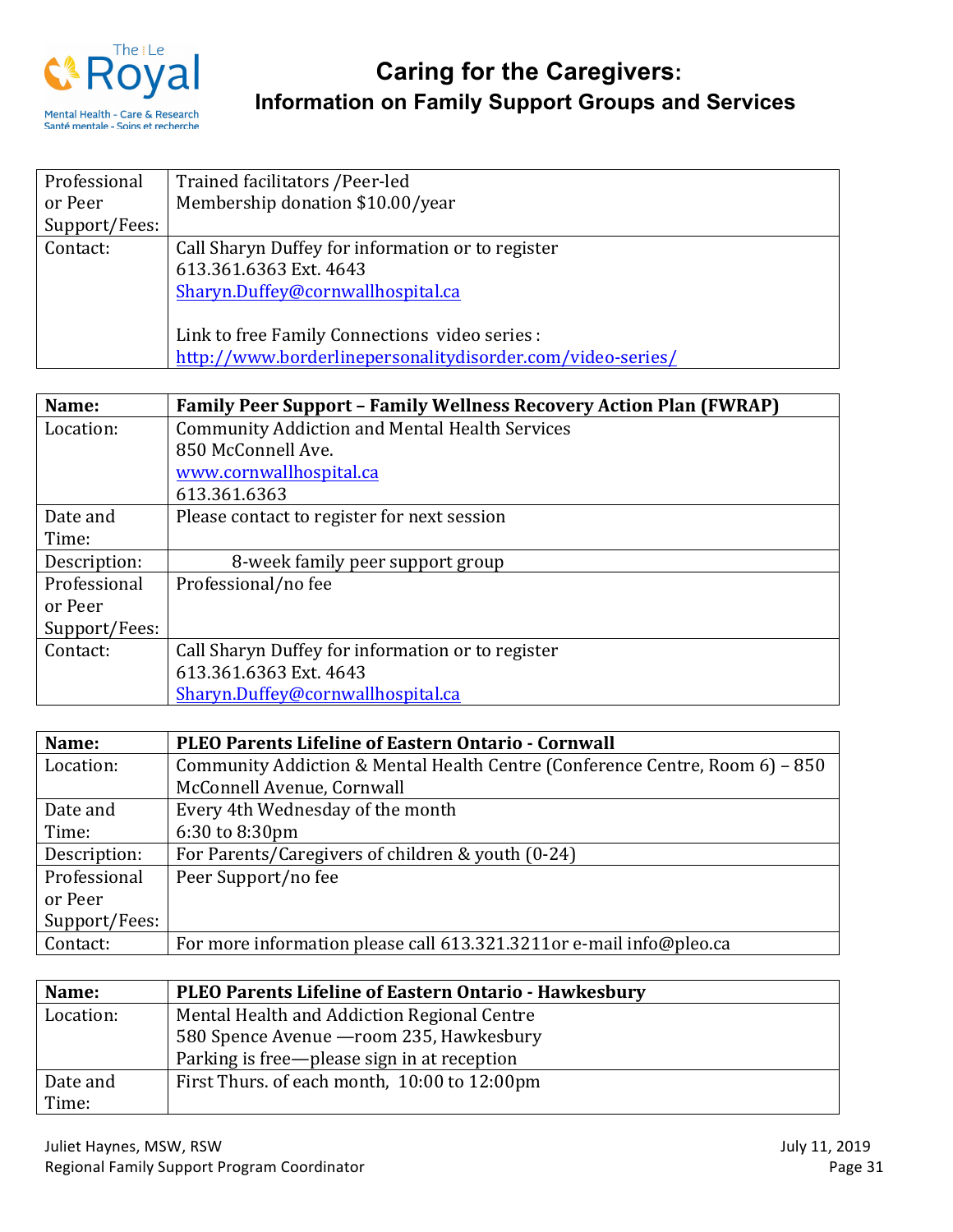

| Professional  | Trained facilitators / Peer-led                            |
|---------------|------------------------------------------------------------|
| or Peer       | Membership donation \$10.00/year                           |
| Support/Fees: |                                                            |
| Contact:      | Call Sharyn Duffey for information or to register          |
|               | 613.361.6363 Ext. 4643                                     |
|               | Sharyn.Duffey@cornwallhospital.ca                          |
|               |                                                            |
|               | Link to free Family Connections video series :             |
|               | http://www.borderlinepersonalitydisorder.com/video-series/ |

| Name:         | <b>Family Peer Support - Family Wellness Recovery Action Plan (FWRAP)</b> |
|---------------|---------------------------------------------------------------------------|
| Location:     | <b>Community Addiction and Mental Health Services</b>                     |
|               | 850 McConnell Ave.                                                        |
|               | www.cornwallhospital.ca                                                   |
|               | 613.361.6363                                                              |
| Date and      | Please contact to register for next session                               |
| Time:         |                                                                           |
| Description:  | 8-week family peer support group                                          |
| Professional  | Professional/no fee                                                       |
| or Peer       |                                                                           |
| Support/Fees: |                                                                           |
| Contact:      | Call Sharyn Duffey for information or to register                         |
|               | 613.361.6363 Ext. 4643                                                    |
|               | Sharyn.Duffey@cornwallhospital.ca                                         |

| Name:         | <b>PLEO Parents Lifeline of Eastern Ontario - Cornwall</b>                   |
|---------------|------------------------------------------------------------------------------|
| Location:     | Community Addiction & Mental Health Centre (Conference Centre, Room 6) – 850 |
|               | McConnell Avenue, Cornwall                                                   |
| Date and      | Every 4th Wednesday of the month                                             |
| Time:         | 6:30 to 8:30pm                                                               |
| Description:  | For Parents/Caregivers of children & youth (0-24)                            |
| Professional  | Peer Support/no fee                                                          |
| or Peer       |                                                                              |
| Support/Fees: |                                                                              |
| Contact:      | For more information please call 613.321.3211or e-mail info@pleo.ca          |

| Name:     | PLEO Parents Lifeline of Eastern Ontario - Hawkesbury |
|-----------|-------------------------------------------------------|
| Location: | Mental Health and Addiction Regional Centre           |
|           | 580 Spence Avenue - room 235, Hawkesbury              |
|           | Parking is free-please sign in at reception           |
| Date and  | First Thurs. of each month, 10:00 to 12:00pm          |
| Time:     |                                                       |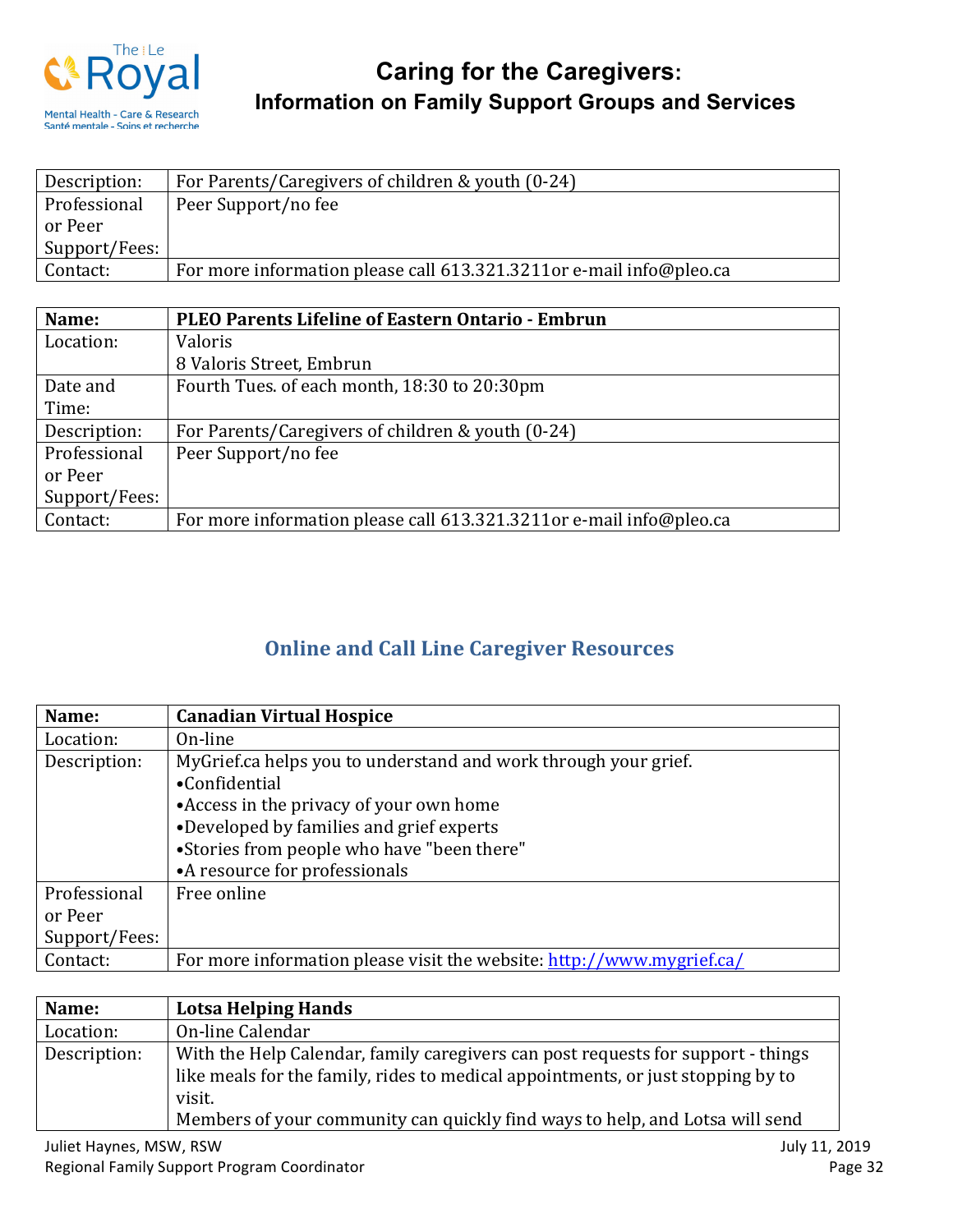

| Description:  | For Parents/Caregivers of children & youth (0-24)                   |
|---------------|---------------------------------------------------------------------|
| Professional  | Peer Support/no fee                                                 |
| or Peer       |                                                                     |
| Support/Fees: |                                                                     |
| Contact:      | For more information please call 613.321.3211or e-mail info@pleo.ca |

| Name:         | <b>PLEO Parents Lifeline of Eastern Ontario - Embrun</b>            |
|---------------|---------------------------------------------------------------------|
| Location:     | Valoris                                                             |
|               | 8 Valoris Street, Embrun                                            |
| Date and      | Fourth Tues. of each month, 18:30 to 20:30pm                        |
| Time:         |                                                                     |
| Description:  | For Parents/Caregivers of children & youth (0-24)                   |
| Professional  | Peer Support/no fee                                                 |
| or Peer       |                                                                     |
| Support/Fees: |                                                                     |
| Contact:      | For more information please call 613.321.3211or e-mail info@pleo.ca |

## **Online and Call Line Caregiver Resources**

| Name:         | <b>Canadian Virtual Hospice</b>                                       |
|---------------|-----------------------------------------------------------------------|
| Location:     | On-line                                                               |
| Description:  | My Grief.ca helps you to understand and work through your grief.      |
|               | •Confidential                                                         |
|               | • Access in the privacy of your own home                              |
|               | •Developed by families and grief experts                              |
|               | •Stories from people who have "been there"                            |
|               | •A resource for professionals                                         |
| Professional  | Free online                                                           |
| or Peer       |                                                                       |
| Support/Fees: |                                                                       |
| Contact:      | For more information please visit the website: http://www.mygrief.ca/ |

| Name:        | <b>Lotsa Helping Hands</b>                                                       |
|--------------|----------------------------------------------------------------------------------|
| Location:    | On-line Calendar                                                                 |
| Description: | With the Help Calendar, family caregivers can post requests for support - things |
|              | like meals for the family, rides to medical appointments, or just stopping by to |
|              | visit.                                                                           |
|              | Members of your community can quickly find ways to help, and Lotsa will send     |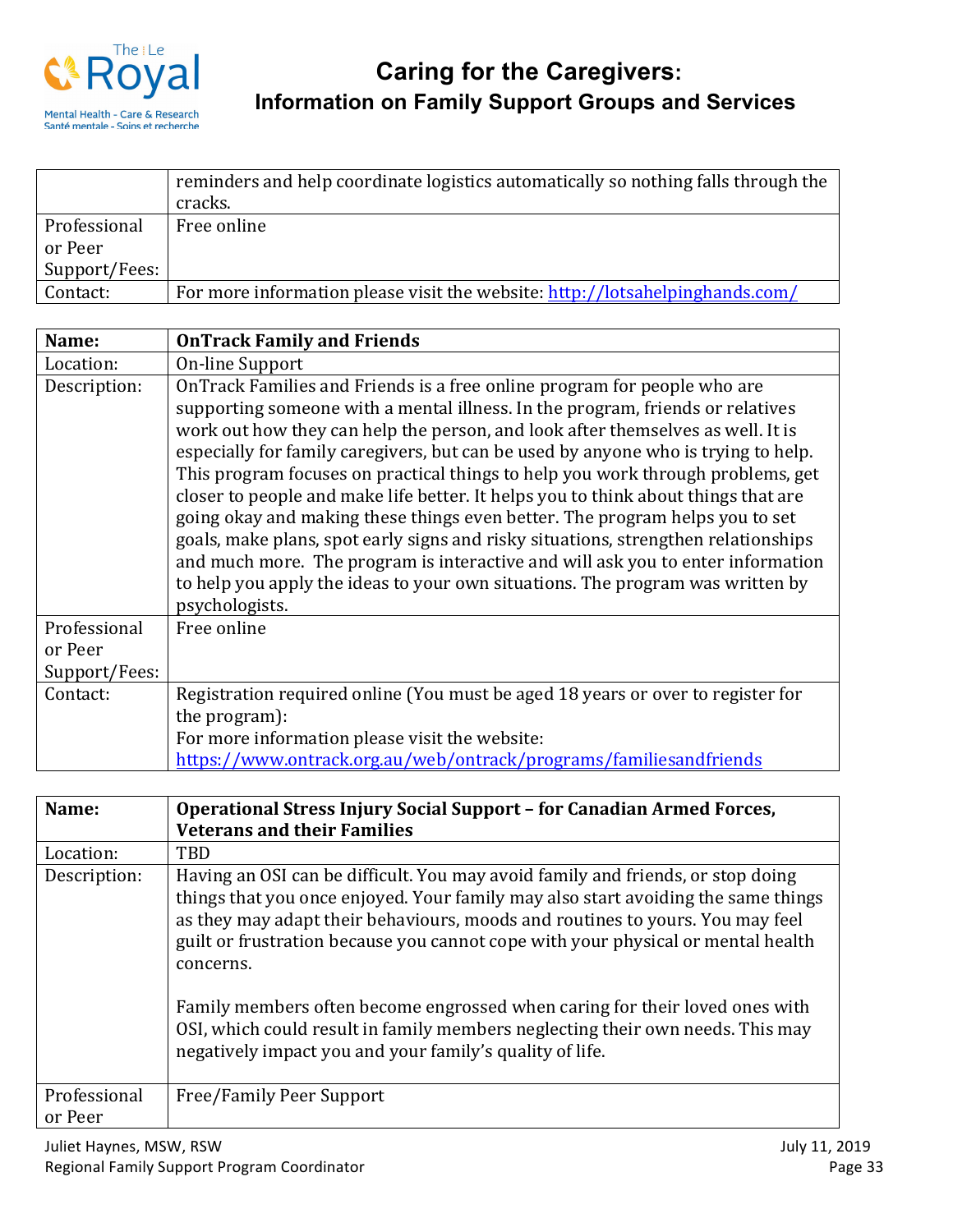

|               | reminders and help coordinate logistics automatically so nothing falls through the<br>cracks. |
|---------------|-----------------------------------------------------------------------------------------------|
| Professional  | Free online                                                                                   |
| or Peer       |                                                                                               |
| Support/Fees: |                                                                                               |
| Contact:      | For more information please visit the website: http://lotsahelpinghands.com/                  |

| Name:                                    | <b>OnTrack Family and Friends</b>                                                                                                                                                                                                                                                                                                                                                                                                                                                                                                                                                                                                                                                                                                                                                                                                                                         |
|------------------------------------------|---------------------------------------------------------------------------------------------------------------------------------------------------------------------------------------------------------------------------------------------------------------------------------------------------------------------------------------------------------------------------------------------------------------------------------------------------------------------------------------------------------------------------------------------------------------------------------------------------------------------------------------------------------------------------------------------------------------------------------------------------------------------------------------------------------------------------------------------------------------------------|
| Location:                                | On-line Support                                                                                                                                                                                                                                                                                                                                                                                                                                                                                                                                                                                                                                                                                                                                                                                                                                                           |
| Description:                             | OnTrack Families and Friends is a free online program for people who are<br>supporting someone with a mental illness. In the program, friends or relatives<br>work out how they can help the person, and look after themselves as well. It is<br>especially for family caregivers, but can be used by anyone who is trying to help.<br>This program focuses on practical things to help you work through problems, get<br>closer to people and make life better. It helps you to think about things that are<br>going okay and making these things even better. The program helps you to set<br>goals, make plans, spot early signs and risky situations, strengthen relationships<br>and much more. The program is interactive and will ask you to enter information<br>to help you apply the ideas to your own situations. The program was written by<br>psychologists. |
| Professional<br>or Peer<br>Support/Fees: | Free online                                                                                                                                                                                                                                                                                                                                                                                                                                                                                                                                                                                                                                                                                                                                                                                                                                                               |
| Contact:                                 | Registration required online (You must be aged 18 years or over to register for<br>the program):<br>For more information please visit the website:<br>https://www.ontrack.org.au/web/ontrack/programs/familiesandfriends                                                                                                                                                                                                                                                                                                                                                                                                                                                                                                                                                                                                                                                  |

| Name:                   | Operational Stress Injury Social Support – for Canadian Armed Forces,                                                                                                                                                                                                                                                                                                                                                                                                                                                                                                               |
|-------------------------|-------------------------------------------------------------------------------------------------------------------------------------------------------------------------------------------------------------------------------------------------------------------------------------------------------------------------------------------------------------------------------------------------------------------------------------------------------------------------------------------------------------------------------------------------------------------------------------|
|                         | <b>Veterans and their Families</b>                                                                                                                                                                                                                                                                                                                                                                                                                                                                                                                                                  |
| Location:               | <b>TBD</b>                                                                                                                                                                                                                                                                                                                                                                                                                                                                                                                                                                          |
| Description:            | Having an OSI can be difficult. You may avoid family and friends, or stop doing<br>things that you once enjoyed. Your family may also start avoiding the same things<br>as they may adapt their behaviours, moods and routines to yours. You may feel<br>guilt or frustration because you cannot cope with your physical or mental health<br>concerns.<br>Family members often become engrossed when caring for their loved ones with<br>OSI, which could result in family members neglecting their own needs. This may<br>negatively impact you and your family's quality of life. |
| Professional<br>or Peer | Free/Family Peer Support                                                                                                                                                                                                                                                                                                                                                                                                                                                                                                                                                            |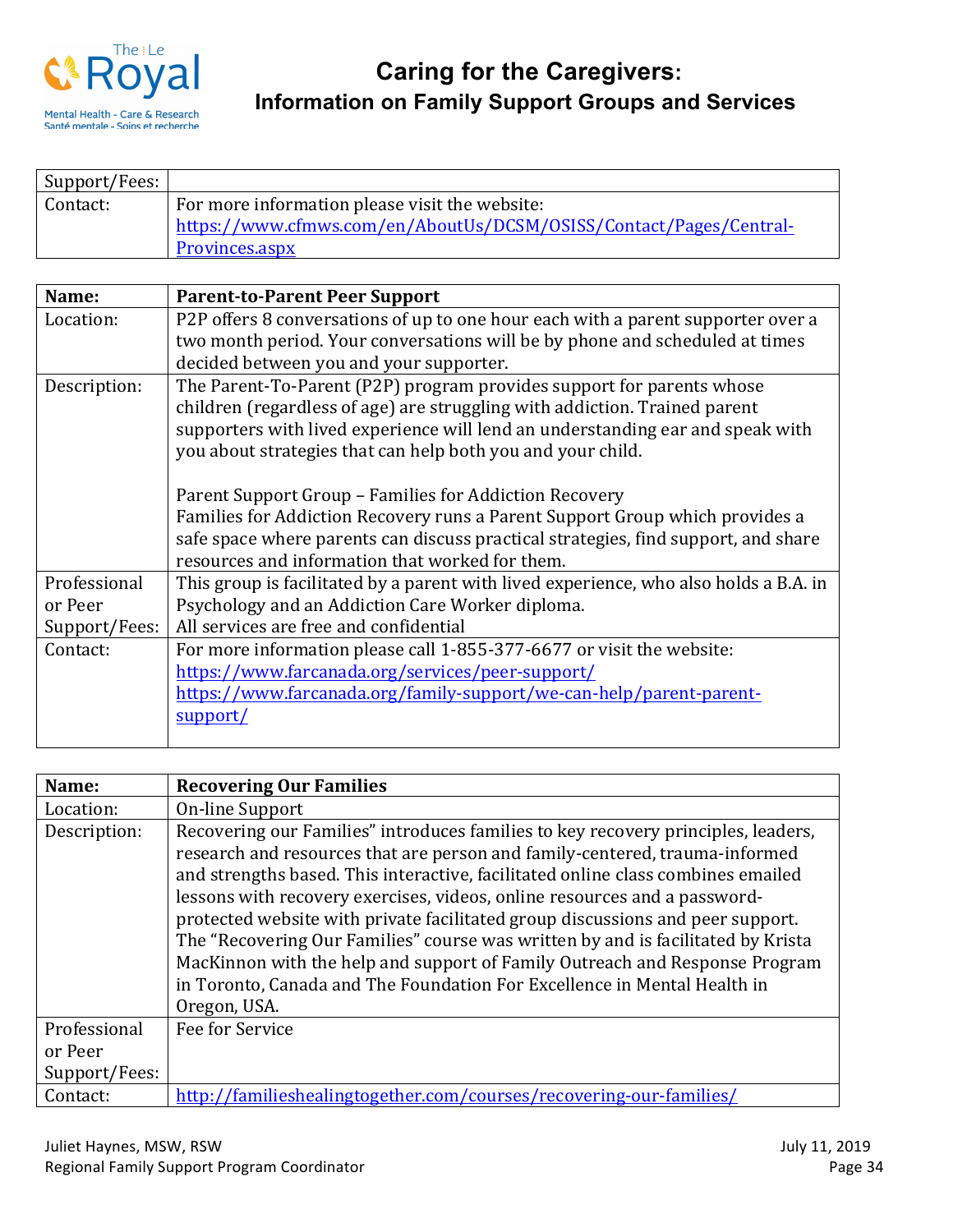

| Support/Fees: |                                                                    |
|---------------|--------------------------------------------------------------------|
| Contact:      | For more information please visit the website:                     |
|               | https://www.cfmws.com/en/AboutUs/DCSM/OSISS/Contact/Pages/Central- |
|               | <b>Provinces.aspx</b>                                              |

| Name:         | <b>Parent-to-Parent Peer Support</b>                                                  |
|---------------|---------------------------------------------------------------------------------------|
| Location:     | P2P offers 8 conversations of up to one hour each with a parent supporter over a      |
|               | two month period. Your conversations will be by phone and scheduled at times          |
|               | decided between you and your supporter.                                               |
| Description:  | The Parent-To-Parent (P2P) program provides support for parents whose                 |
|               | children (regardless of age) are struggling with addiction. Trained parent            |
|               | supporters with lived experience will lend an understanding ear and speak with        |
|               | you about strategies that can help both you and your child.                           |
|               |                                                                                       |
|               | Parent Support Group – Families for Addiction Recovery                                |
|               | Families for Addiction Recovery runs a Parent Support Group which provides a          |
|               | safe space where parents can discuss practical strategies, find support, and share    |
|               | resources and information that worked for them.                                       |
| Professional  | This group is facilitated by a parent with lived experience, who also holds a B.A. in |
| or Peer       | Psychology and an Addiction Care Worker diploma.                                      |
| Support/Fees: | All services are free and confidential                                                |
| Contact:      | For more information please call 1-855-377-6677 or visit the website:                 |
|               | https://www.farcanada.org/services/peer-support/                                      |
|               | https://www.farcanada.org/family-support/we-can-help/parent-parent-                   |
|               | support/                                                                              |
|               |                                                                                       |

| Name:         | <b>Recovering Our Families</b>                                                                                                                                                                                                                                                                                                                                                                                                                                                                                                                                                                                                                                                     |
|---------------|------------------------------------------------------------------------------------------------------------------------------------------------------------------------------------------------------------------------------------------------------------------------------------------------------------------------------------------------------------------------------------------------------------------------------------------------------------------------------------------------------------------------------------------------------------------------------------------------------------------------------------------------------------------------------------|
| Location:     | On-line Support                                                                                                                                                                                                                                                                                                                                                                                                                                                                                                                                                                                                                                                                    |
| Description:  | Recovering our Families" introduces families to key recovery principles, leaders,<br>research and resources that are person and family-centered, trauma-informed<br>and strengths based. This interactive, facilitated online class combines emailed<br>lessons with recovery exercises, videos, online resources and a password-<br>protected website with private facilitated group discussions and peer support.<br>The "Recovering Our Families" course was written by and is facilitated by Krista<br>MacKinnon with the help and support of Family Outreach and Response Program<br>in Toronto, Canada and The Foundation For Excellence in Mental Health in<br>Oregon, USA. |
| Professional  | Fee for Service                                                                                                                                                                                                                                                                                                                                                                                                                                                                                                                                                                                                                                                                    |
| or Peer       |                                                                                                                                                                                                                                                                                                                                                                                                                                                                                                                                                                                                                                                                                    |
| Support/Fees: |                                                                                                                                                                                                                                                                                                                                                                                                                                                                                                                                                                                                                                                                                    |
| Contact:      | http://familieshealingtogether.com/courses/recovering-our-families/                                                                                                                                                                                                                                                                                                                                                                                                                                                                                                                                                                                                                |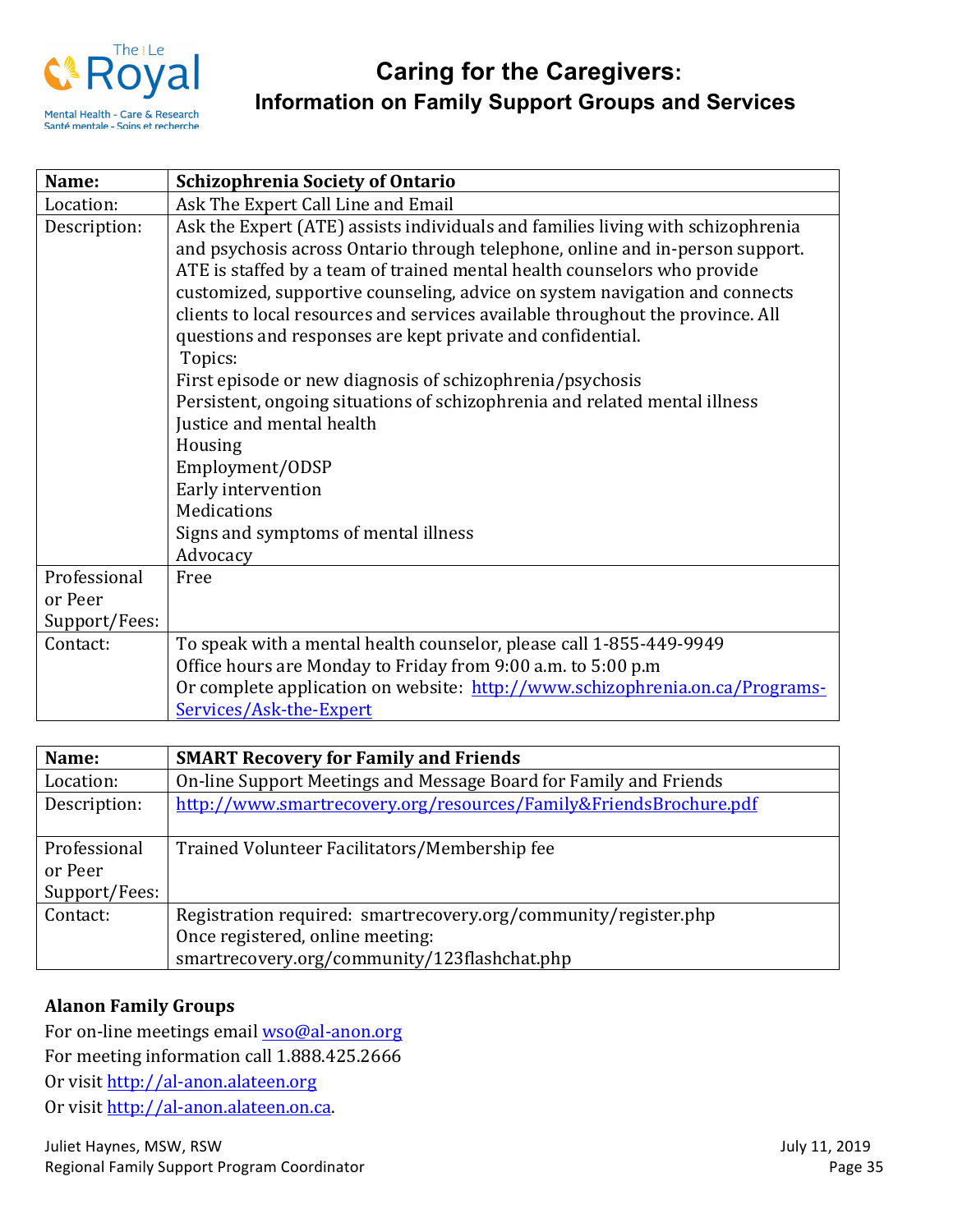

| Name:         | <b>Schizophrenia Society of Ontario</b>                                                                                                                                                                                                                                                                                                                                                                                                                                                                                                                                                                                                                                                                                                                                               |
|---------------|---------------------------------------------------------------------------------------------------------------------------------------------------------------------------------------------------------------------------------------------------------------------------------------------------------------------------------------------------------------------------------------------------------------------------------------------------------------------------------------------------------------------------------------------------------------------------------------------------------------------------------------------------------------------------------------------------------------------------------------------------------------------------------------|
| Location:     | Ask The Expert Call Line and Email                                                                                                                                                                                                                                                                                                                                                                                                                                                                                                                                                                                                                                                                                                                                                    |
| Description:  | Ask the Expert (ATE) assists individuals and families living with schizophrenia<br>and psychosis across Ontario through telephone, online and in-person support.<br>ATE is staffed by a team of trained mental health counselors who provide<br>customized, supportive counseling, advice on system navigation and connects<br>clients to local resources and services available throughout the province. All<br>questions and responses are kept private and confidential.<br>Topics:<br>First episode or new diagnosis of schizophrenia/psychosis<br>Persistent, ongoing situations of schizophrenia and related mental illness<br>Justice and mental health<br>Housing<br>Employment/ODSP<br>Early intervention<br>Medications<br>Signs and symptoms of mental illness<br>Advocacy |
| Professional  | Free                                                                                                                                                                                                                                                                                                                                                                                                                                                                                                                                                                                                                                                                                                                                                                                  |
| or Peer       |                                                                                                                                                                                                                                                                                                                                                                                                                                                                                                                                                                                                                                                                                                                                                                                       |
| Support/Fees: |                                                                                                                                                                                                                                                                                                                                                                                                                                                                                                                                                                                                                                                                                                                                                                                       |
| Contact:      | To speak with a mental health counselor, please call 1-855-449-9949                                                                                                                                                                                                                                                                                                                                                                                                                                                                                                                                                                                                                                                                                                                   |
|               | Office hours are Monday to Friday from 9:00 a.m. to 5:00 p.m                                                                                                                                                                                                                                                                                                                                                                                                                                                                                                                                                                                                                                                                                                                          |
|               | Or complete application on website: http://www.schizophrenia.on.ca/Programs-                                                                                                                                                                                                                                                                                                                                                                                                                                                                                                                                                                                                                                                                                                          |
|               | Services/Ask-the-Expert                                                                                                                                                                                                                                                                                                                                                                                                                                                                                                                                                                                                                                                                                                                                                               |

| Name:         | <b>SMART Recovery for Family and Friends</b>                      |
|---------------|-------------------------------------------------------------------|
| Location:     | On-line Support Meetings and Message Board for Family and Friends |
| Description:  | http://www.smartrecovery.org/resources/Family&FriendsBrochure.pdf |
| Professional  | Trained Volunteer Facilitators/Membership fee                     |
| or Peer       |                                                                   |
| Support/Fees: |                                                                   |
| Contact:      | Registration required: smartrecovery.org/community/register.php   |
|               | Once registered, online meeting:                                  |
|               | smartrecovery.org/community/123flashchat.php                      |

### **Alanon Family Groups**

For on-line meetings email wso@al-anon.org For meeting information call 1.888.425.2666 Or visit http://al-anon.alateen.org Or visit http://al-anon.alateen.on.ca.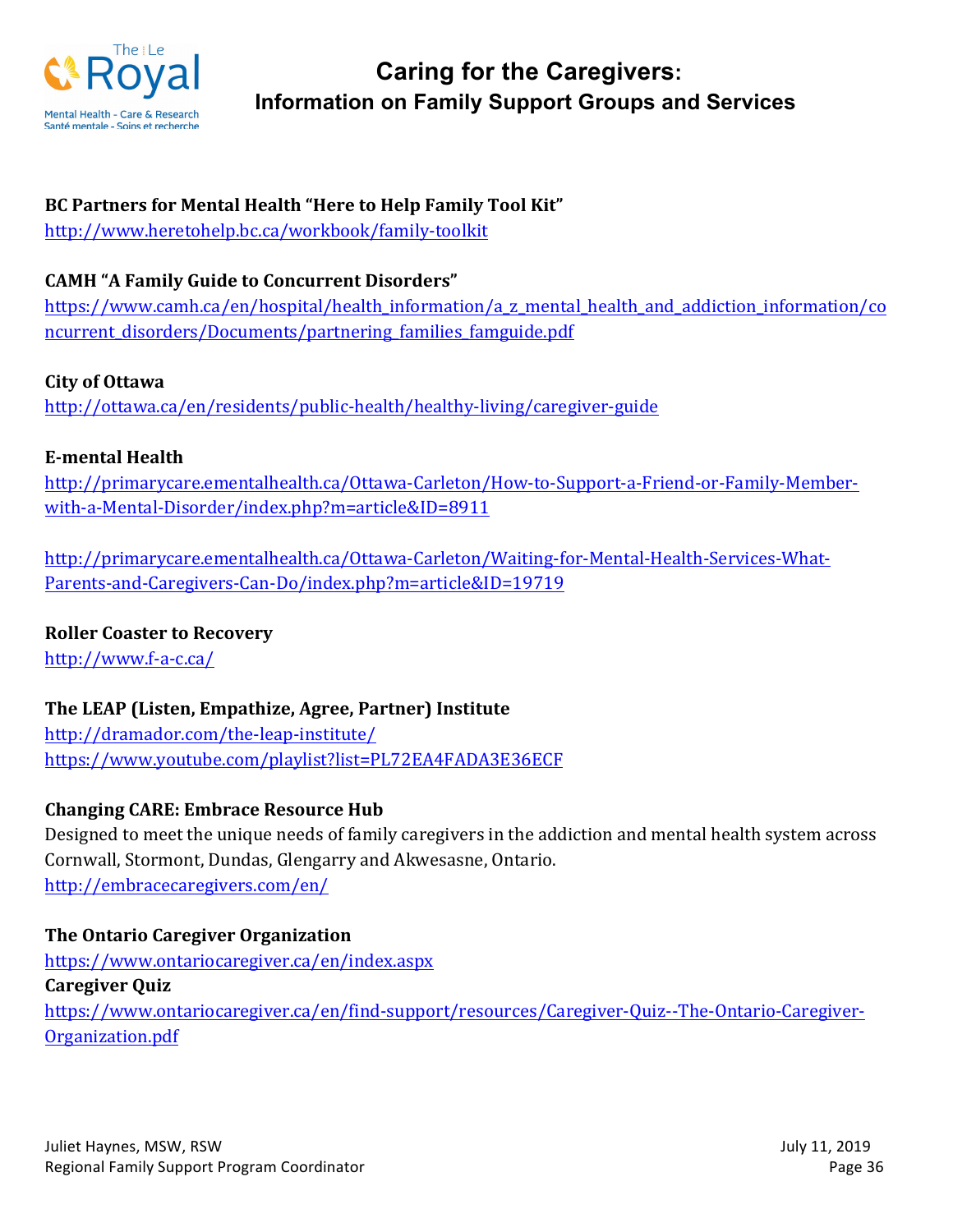

#### **BC Partners for Mental Health "Here to Help Family Tool Kit"**

http://www.heretohelp.bc.ca/workbook/family-toolkit

#### **CAMH "A Family Guide to Concurrent Disorders"**

https://www.camh.ca/en/hospital/health\_information/a\_z\_mental\_health\_and\_addiction\_information/co ncurrent\_disorders/Documents/partnering\_families\_famguide.pdf

#### **City of Ottawa**

http://ottawa.ca/en/residents/public-health/healthy-living/caregiver-guide

#### **E-mental Health**

http://primarycare.ementalhealth.ca/Ottawa-Carleton/How-to-Support-a-Friend-or-Family-Memberwith-a-Mental-Disorder/index.php?m=article&ID=8911

http://primarycare.ementalhealth.ca/Ottawa-Carleton/Waiting-for-Mental-Health-Services-What-Parents-and-Caregivers-Can-Do/index.php?m=article&ID=19719

#### **Roller Coaster to Recovery**

http://www.f-a-c.ca/

## The LEAP (Listen, Empathize, Agree, Partner) Institute

http://dramador.com/the-leap-institute/ https://www.youtube.com/playlist?list=PL72EA4FADA3E36ECF

#### **Changing CARE: Embrace Resource Hub**

Designed to meet the unique needs of family caregivers in the addiction and mental health system across Cornwall, Stormont, Dundas, Glengarry and Akwesasne, Ontario. http://embracecaregivers.com/en/

#### **The Ontario Caregiver Organization**

https://www.ontariocaregiver.ca/en/index.aspx **Caregiver Quiz** https://www.ontariocaregiver.ca/en/find-support/resources/Caregiver-Quiz--The-Ontario-Caregiver-Organization.pdf